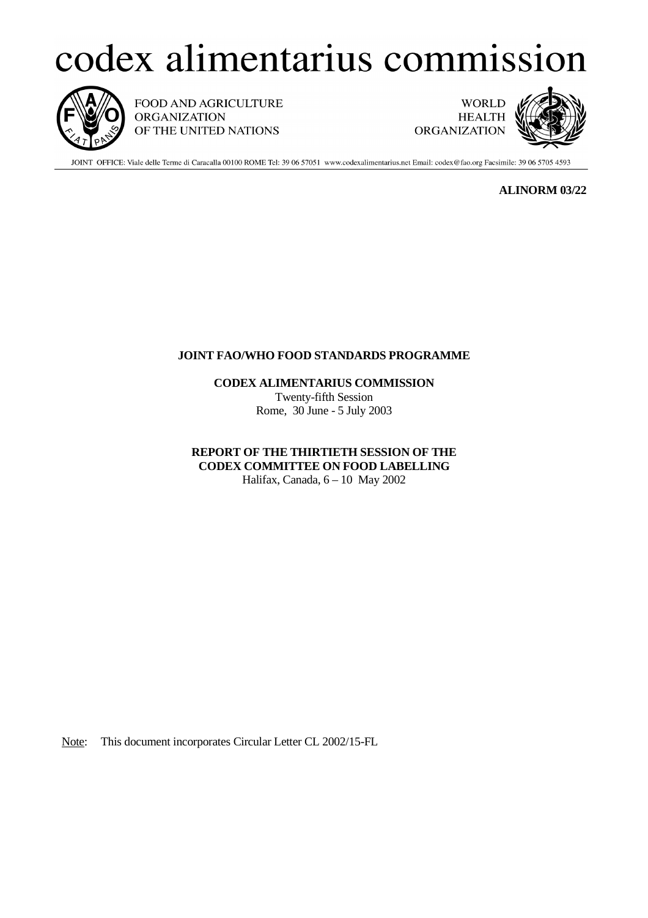## codex alimentarius commission



FOOD AND AGRICULTURE **ORGANIZATION** OF THE UNITED NATIONS

**WORLD HEALTH ORGANIZATION** 



JOINT OFFICE: Viale delle Terme di Caracalla 00100 ROME Tel: 39 06 57051 www.codexalimentarius.net Email: codex@fao.org Facsimile: 39 06 5705 4593

**ALINORM 03/22**

## **JOINT FAO/WHO FOOD STANDARDS PROGRAMME**

**CODEX ALIMENTARIUS COMMISSION** Twenty-fifth Session Rome, 30 June - 5 July 2003

**REPORT OF THE THIRTIETH SESSION OF THE CODEX COMMITTEE ON FOOD LABELLING** Halifax, Canada, 6 – 10 May 2002

Note: This document incorporates Circular Letter CL 2002/15-FL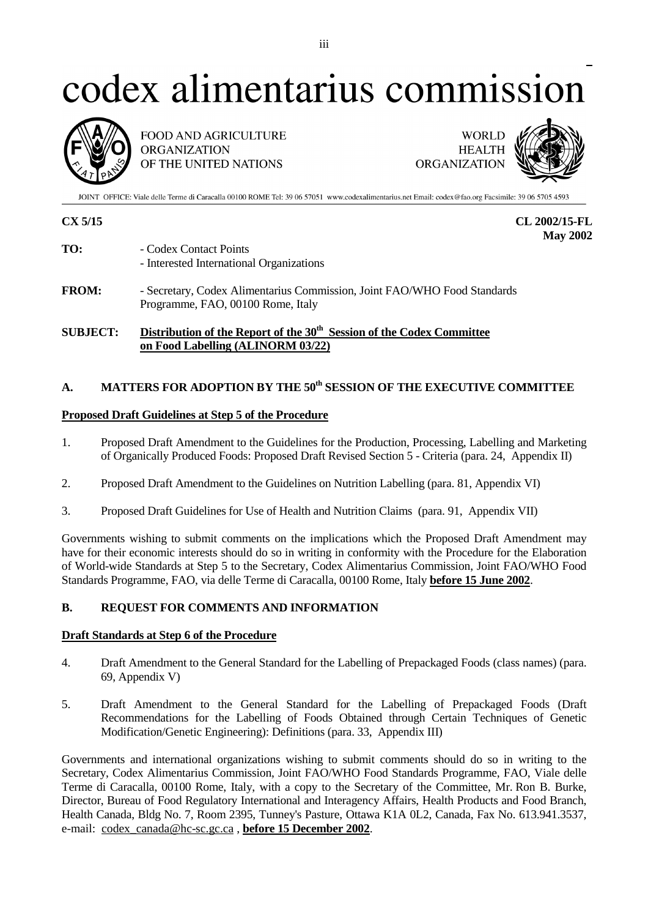# codex alimentarius commission



FOOD AND AGRICULTURE **ORGANIZATION** OF THE UNITED NATIONS

**WORLD HEALTH ORGANIZATION** 



JOINT OFFICE: Viale delle Terme di Caracalla 00100 ROME Tel: 39 06 57051 www.codexalimentarius.net Email: codex@fao.org Facsimile: 39 06 5705 4593

**CX 5/15 CL 2002/15-FL May 2002**

- **TO:** Codex Contact Points - Interested International Organizations
- **FROM:** Secretary, Codex Alimentarius Commission, Joint FAO/WHO Food Standards Programme, FAO, 00100 Rome, Italy

## **SUBJECT:** Distribution of the Report of the 30<sup>th</sup> Session of the Codex Committee **on Food Labelling (ALINORM 03/22)**

## A. MATTERS FOR ADOPTION BY THE 50<sup>th</sup> SESSION OF THE EXECUTIVE COMMITTEE

## **Proposed Draft Guidelines at Step 5 of the Procedure**

- 1. Proposed Draft Amendment to the Guidelines for the Production, Processing, Labelling and Marketing of Organically Produced Foods: Proposed Draft Revised Section 5 - Criteria (para. 24, Appendix II)
- 2. Proposed Draft Amendment to the Guidelines on Nutrition Labelling (para. 81, Appendix VI)
- 3. Proposed Draft Guidelines for Use of Health and Nutrition Claims (para. 91, Appendix VII)

Governments wishing to submit comments on the implications which the Proposed Draft Amendment may have for their economic interests should do so in writing in conformity with the Procedure for the Elaboration of World-wide Standards at Step 5 to the Secretary, Codex Alimentarius Commission, Joint FAO/WHO Food Standards Programme, FAO, via delle Terme di Caracalla, 00100 Rome, Italy **before 15 June 2002**.

## **B. REQUEST FOR COMMENTS AND INFORMATION**

## **Draft Standards at Step 6 of the Procedure**

- 4. Draft Amendment to the General Standard for the Labelling of Prepackaged Foods (class names) (para. 69, Appendix V)
- 5. Draft Amendment to the General Standard for the Labelling of Prepackaged Foods (Draft Recommendations for the Labelling of Foods Obtained through Certain Techniques of Genetic Modification/Genetic Engineering): Definitions (para. 33, Appendix III)

Governments and international organizations wishing to submit comments should do so in writing to the Secretary, Codex Alimentarius Commission, Joint FAO/WHO Food Standards Programme, FAO, Viale delle Terme di Caracalla, 00100 Rome, Italy, with a copy to the Secretary of the Committee, Mr. Ron B. Burke, Director, Bureau of Food Regulatory International and Interagency Affairs, Health Products and Food Branch, Health Canada, Bldg No. 7, Room 2395, Tunney's Pasture, Ottawa K1A 0L2, Canada, Fax No. 613.941.3537, e-mail: codex\_canada@hc-sc.gc.ca , **before 15 December 2002**.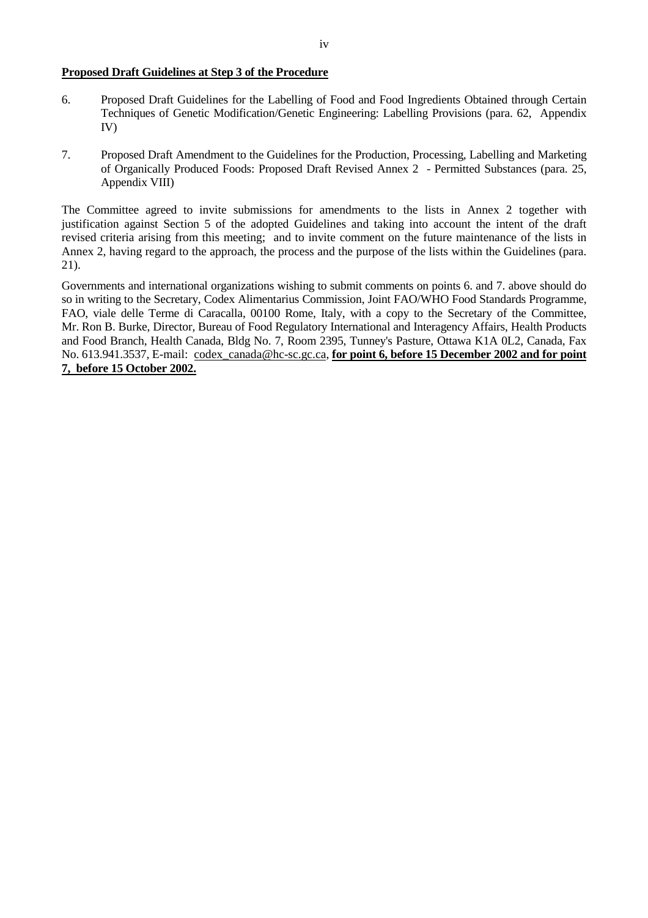#### **Proposed Draft Guidelines at Step 3 of the Procedure**

- 6. Proposed Draft Guidelines for the Labelling of Food and Food Ingredients Obtained through Certain Techniques of Genetic Modification/Genetic Engineering: Labelling Provisions (para. 62, Appendix IV)
- 7. Proposed Draft Amendment to the Guidelines for the Production, Processing, Labelling and Marketing of Organically Produced Foods: Proposed Draft Revised Annex 2 - Permitted Substances (para. 25, Appendix VIII)

The Committee agreed to invite submissions for amendments to the lists in Annex 2 together with justification against Section 5 of the adopted Guidelines and taking into account the intent of the draft revised criteria arising from this meeting; and to invite comment on the future maintenance of the lists in Annex 2, having regard to the approach, the process and the purpose of the lists within the Guidelines (para. 21).

Governments and international organizations wishing to submit comments on points 6. and 7. above should do so in writing to the Secretary, Codex Alimentarius Commission, Joint FAO/WHO Food Standards Programme, FAO, viale delle Terme di Caracalla, 00100 Rome, Italy, with a copy to the Secretary of the Committee, Mr. Ron B. Burke, Director, Bureau of Food Regulatory International and Interagency Affairs, Health Products and Food Branch, Health Canada, Bldg No. 7, Room 2395, Tunney's Pasture, Ottawa K1A 0L2, Canada, Fax No. 613.941.3537, E-mail: codex\_canada@hc-sc.gc.ca, **for point 6, before 15 December 2002 and for point 7, before 15 October 2002.**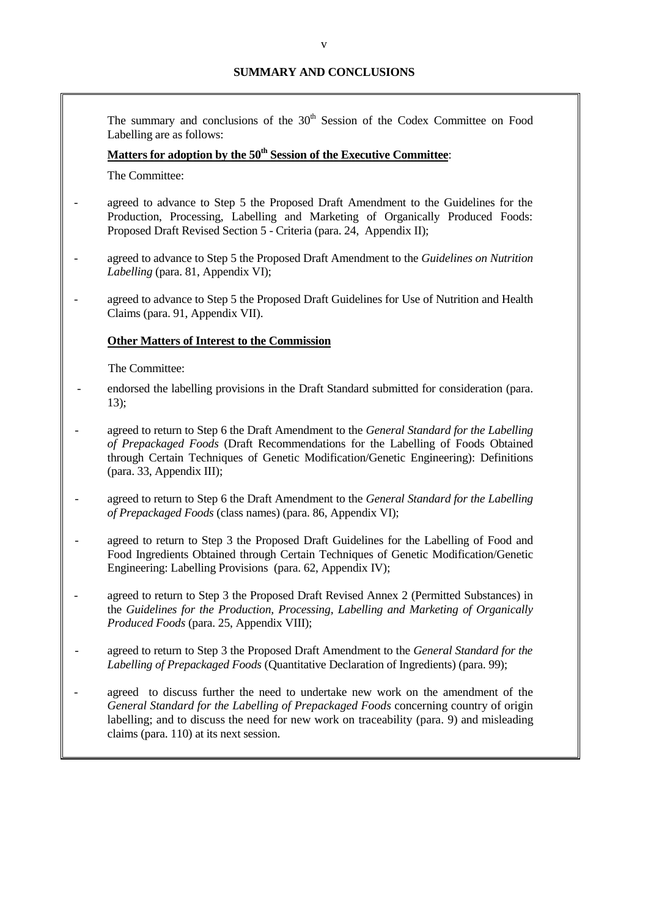The summary and conclusions of the  $30<sup>th</sup>$  Session of the Codex Committee on Food Labelling are as follows:

## **Matters for adoption by the 50<sup>th</sup> Session of the Executive Committee:**

The Committee:

- agreed to advance to Step 5 the Proposed Draft Amendment to the Guidelines for the Production, Processing, Labelling and Marketing of Organically Produced Foods: Proposed Draft Revised Section 5 - Criteria (para. 24, Appendix II);
- agreed to advance to Step 5 the Proposed Draft Amendment to the *Guidelines on Nutrition Labelling* (para. 81, Appendix VI);
- agreed to advance to Step 5 the Proposed Draft Guidelines for Use of Nutrition and Health Claims (para. 91, Appendix VII).

#### **Other Matters of Interest to the Commission**

The Committee:

- endorsed the labelling provisions in the Draft Standard submitted for consideration (para. 13);
- agreed to return to Step 6 the Draft Amendment to the *General Standard for the Labelling of Prepackaged Foods* (Draft Recommendations for the Labelling of Foods Obtained through Certain Techniques of Genetic Modification/Genetic Engineering): Definitions (para. 33, Appendix III);
- agreed to return to Step 6 the Draft Amendment to the *General Standard for the Labelling of Prepackaged Foods* (class names) (para. 86, Appendix VI);
- agreed to return to Step 3 the Proposed Draft Guidelines for the Labelling of Food and Food Ingredients Obtained through Certain Techniques of Genetic Modification/Genetic Engineering: Labelling Provisions (para. 62, Appendix IV);
- agreed to return to Step 3 the Proposed Draft Revised Annex 2 (Permitted Substances) in the *Guidelines for the Production, Processing, Labelling and Marketing of Organically Produced Foods* (para. 25, Appendix VIII);
- agreed to return to Step 3 the Proposed Draft Amendment to the *General Standard for the Labelling of Prepackaged Foods* (Quantitative Declaration of Ingredients) (para. 99);
- agreed to discuss further the need to undertake new work on the amendment of the *General Standard for the Labelling of Prepackaged Foods* concerning country of origin labelling; and to discuss the need for new work on traceability (para. 9) and misleading claims (para. 110) at its next session.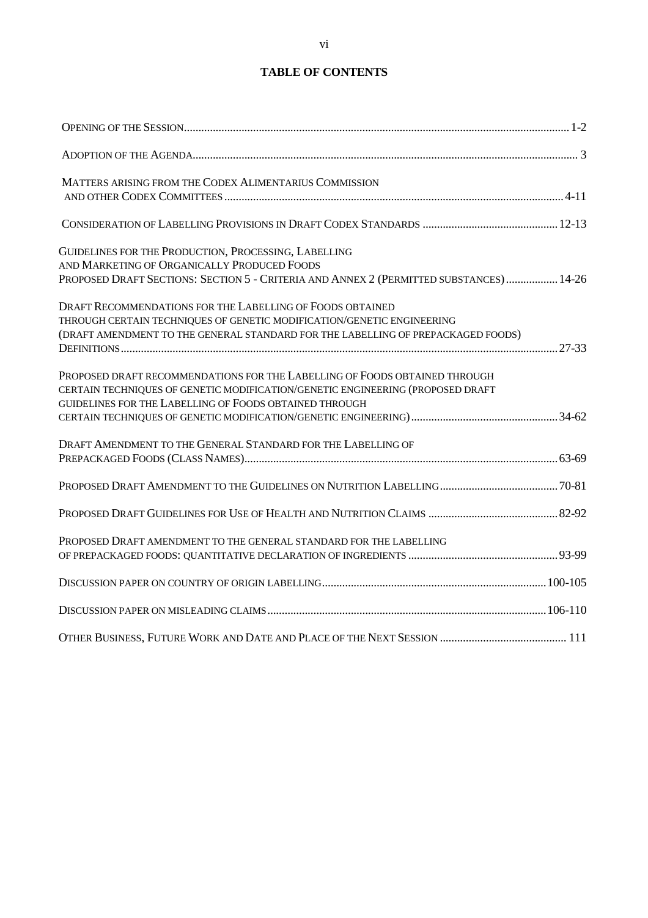## **TABLE OF CONTENTS**

| MATTERS ARISING FROM THE CODEX ALIMENTARIUS COMMISSION                                                                                                                                                                  |  |
|-------------------------------------------------------------------------------------------------------------------------------------------------------------------------------------------------------------------------|--|
|                                                                                                                                                                                                                         |  |
| GUIDELINES FOR THE PRODUCTION, PROCESSING, LABELLING<br>AND MARKETING OF ORGANICALLY PRODUCED FOODS<br>PROPOSED DRAFT SECTIONS: SECTION 5 - CRITERIA AND ANNEX 2 (PERMITTED SUBSTANCES) 14-26                           |  |
| DRAFT RECOMMENDATIONS FOR THE LABELLING OF FOODS OBTAINED<br>THROUGH CERTAIN TECHNIQUES OF GENETIC MODIFICATION/GENETIC ENGINEERING<br>(DRAFT AMENDMENT TO THE GENERAL STANDARD FOR THE LABELLING OF PREPACKAGED FOODS) |  |
| PROPOSED DRAFT RECOMMENDATIONS FOR THE LABELLING OF FOODS OBTAINED THROUGH<br>CERTAIN TECHNIQUES OF GENETIC MODIFICATION/GENETIC ENGINEERING (PROPOSED DRAFT<br>GUIDELINES FOR THE LABELLING OF FOODS OBTAINED THROUGH  |  |
| DRAFT AMENDMENT TO THE GENERAL STANDARD FOR THE LABELLING OF                                                                                                                                                            |  |
|                                                                                                                                                                                                                         |  |
|                                                                                                                                                                                                                         |  |
| PROPOSED DRAFT AMENDMENT TO THE GENERAL STANDARD FOR THE LABELLING                                                                                                                                                      |  |
|                                                                                                                                                                                                                         |  |
|                                                                                                                                                                                                                         |  |
|                                                                                                                                                                                                                         |  |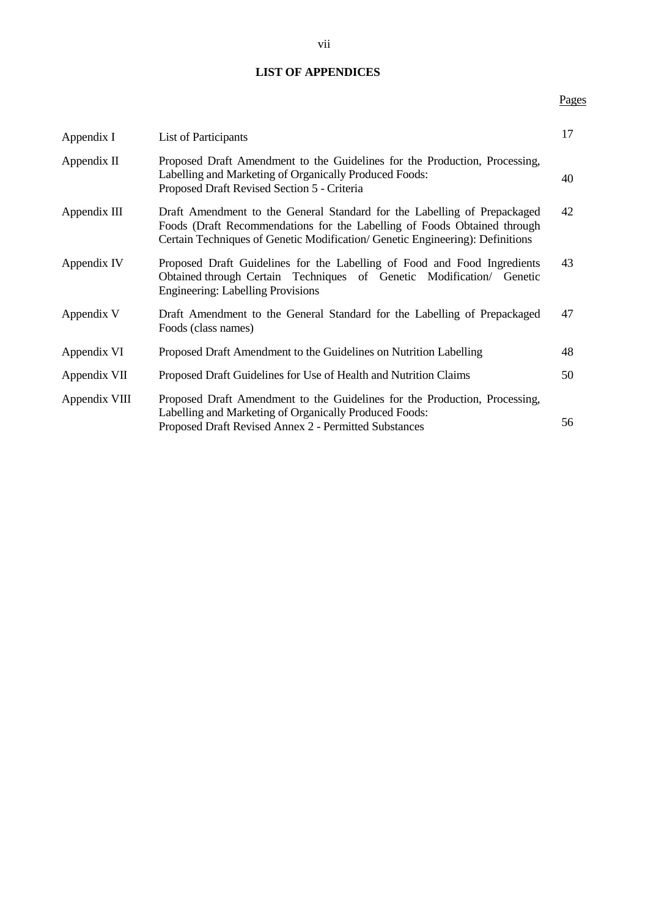## **LIST OF APPENDICES**

## Pages

| Appendix I    | <b>List of Participants</b>                                                                                                                                                                                                           | 17 |
|---------------|---------------------------------------------------------------------------------------------------------------------------------------------------------------------------------------------------------------------------------------|----|
| Appendix II   | Proposed Draft Amendment to the Guidelines for the Production, Processing,<br>Labelling and Marketing of Organically Produced Foods:<br>Proposed Draft Revised Section 5 - Criteria                                                   | 40 |
| Appendix III  | Draft Amendment to the General Standard for the Labelling of Prepackaged<br>Foods (Draft Recommendations for the Labelling of Foods Obtained through<br>Certain Techniques of Genetic Modification/ Genetic Engineering): Definitions | 42 |
| Appendix IV   | Proposed Draft Guidelines for the Labelling of Food and Food Ingredients<br>Obtained through Certain Techniques of Genetic Modification/ Genetic<br><b>Engineering: Labelling Provisions</b>                                          | 43 |
| Appendix V    | Draft Amendment to the General Standard for the Labelling of Prepackaged<br>Foods (class names)                                                                                                                                       | 47 |
| Appendix VI   | Proposed Draft Amendment to the Guidelines on Nutrition Labelling                                                                                                                                                                     | 48 |
| Appendix VII  | Proposed Draft Guidelines for Use of Health and Nutrition Claims                                                                                                                                                                      | 50 |
| Appendix VIII | Proposed Draft Amendment to the Guidelines for the Production, Processing,<br>Labelling and Marketing of Organically Produced Foods:<br>Proposed Draft Revised Annex 2 - Permitted Substances                                         | 56 |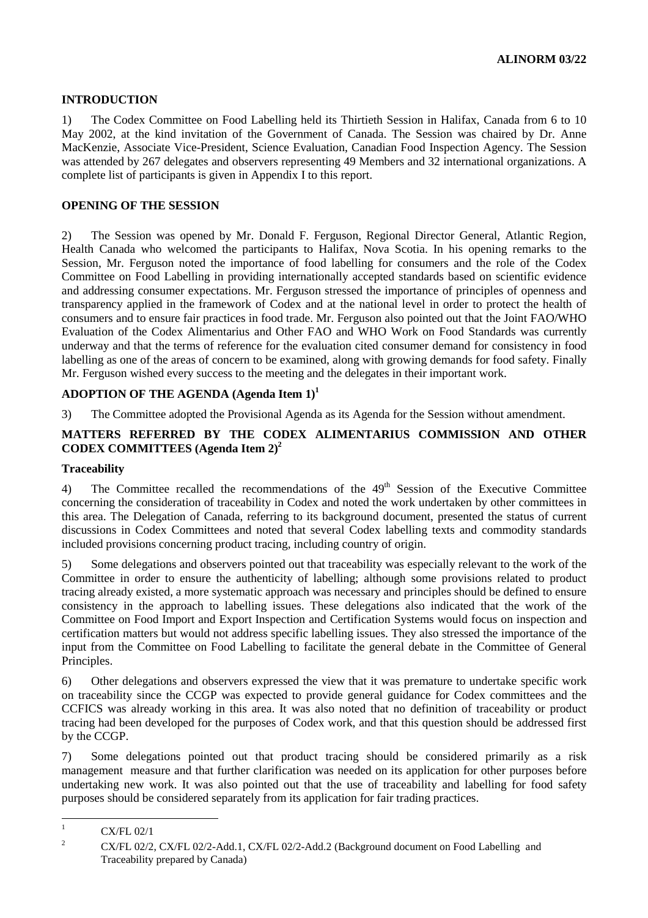## **INTRODUCTION**

1) The Codex Committee on Food Labelling held its Thirtieth Session in Halifax, Canada from 6 to 10 May 2002, at the kind invitation of the Government of Canada. The Session was chaired by Dr. Anne MacKenzie, Associate Vice-President, Science Evaluation, Canadian Food Inspection Agency. The Session was attended by 267 delegates and observers representing 49 Members and 32 international organizations. A complete list of participants is given in Appendix I to this report.

## **OPENING OF THE SESSION**

2) The Session was opened by Mr. Donald F. Ferguson, Regional Director General, Atlantic Region, Health Canada who welcomed the participants to Halifax, Nova Scotia. In his opening remarks to the Session, Mr. Ferguson noted the importance of food labelling for consumers and the role of the Codex Committee on Food Labelling in providing internationally accepted standards based on scientific evidence and addressing consumer expectations. Mr. Ferguson stressed the importance of principles of openness and transparency applied in the framework of Codex and at the national level in order to protect the health of consumers and to ensure fair practices in food trade. Mr. Ferguson also pointed out that the Joint FAO/WHO Evaluation of the Codex Alimentarius and Other FAO and WHO Work on Food Standards was currently underway and that the terms of reference for the evaluation cited consumer demand for consistency in food labelling as one of the areas of concern to be examined, along with growing demands for food safety. Finally Mr. Ferguson wished every success to the meeting and the delegates in their important work.

## **ADOPTION OF THE AGENDA (Agenda Item 1)<sup>1</sup>**

3) The Committee adopted the Provisional Agenda as its Agenda for the Session without amendment.

## **MATTERS REFERRED BY THE CODEX ALIMENTARIUS COMMISSION AND OTHER CODEX COMMITTEES (Agenda Item 2)2**

## **Traceability**

4) The Committee recalled the recommendations of the  $49<sup>th</sup>$  Session of the Executive Committee concerning the consideration of traceability in Codex and noted the work undertaken by other committees in this area. The Delegation of Canada, referring to its background document, presented the status of current discussions in Codex Committees and noted that several Codex labelling texts and commodity standards included provisions concerning product tracing, including country of origin.

5) Some delegations and observers pointed out that traceability was especially relevant to the work of the Committee in order to ensure the authenticity of labelling; although some provisions related to product tracing already existed, a more systematic approach was necessary and principles should be defined to ensure consistency in the approach to labelling issues. These delegations also indicated that the work of the Committee on Food Import and Export Inspection and Certification Systems would focus on inspection and certification matters but would not address specific labelling issues. They also stressed the importance of the input from the Committee on Food Labelling to facilitate the general debate in the Committee of General Principles.

6) Other delegations and observers expressed the view that it was premature to undertake specific work on traceability since the CCGP was expected to provide general guidance for Codex committees and the CCFICS was already working in this area. It was also noted that no definition of traceability or product tracing had been developed for the purposes of Codex work, and that this question should be addressed first by the CCGP.

7) Some delegations pointed out that product tracing should be considered primarily as a risk management measure and that further clarification was needed on its application for other purposes before undertaking new work. It was also pointed out that the use of traceability and labelling for food safety purposes should be considered separately from its application for fair trading practices.

 $\frac{1}{1}$ CX/FL 02/1

<sup>2</sup> CX/FL 02/2, CX/FL 02/2-Add.1, CX/FL 02/2-Add.2 (Background document on Food Labelling and Traceability prepared by Canada)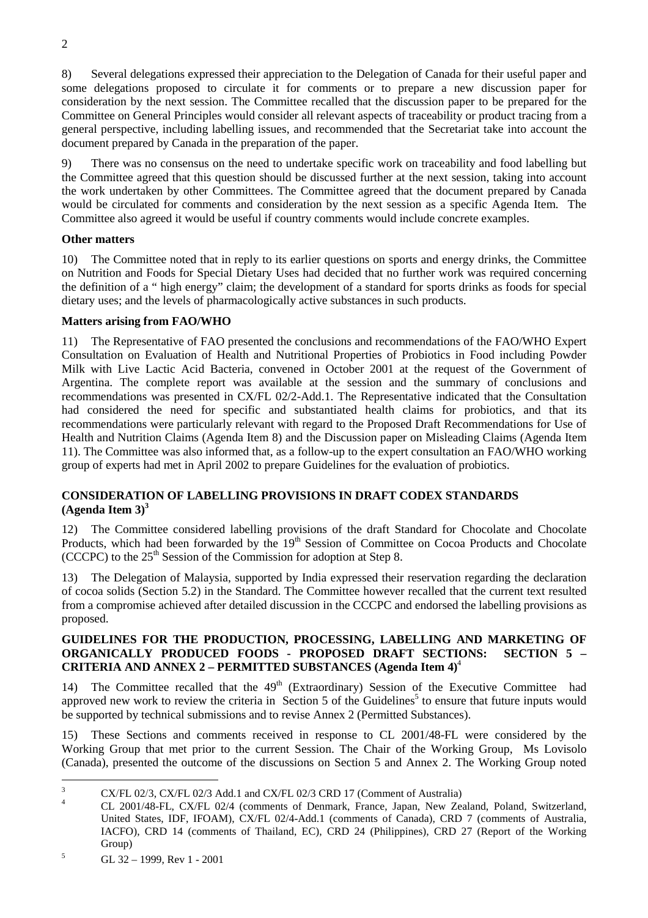8) Several delegations expressed their appreciation to the Delegation of Canada for their useful paper and some delegations proposed to circulate it for comments or to prepare a new discussion paper for consideration by the next session. The Committee recalled that the discussion paper to be prepared for the Committee on General Principles would consider all relevant aspects of traceability or product tracing from a general perspective, including labelling issues, and recommended that the Secretariat take into account the document prepared by Canada in the preparation of the paper.

9) There was no consensus on the need to undertake specific work on traceability and food labelling but the Committee agreed that this question should be discussed further at the next session, taking into account the work undertaken by other Committees. The Committee agreed that the document prepared by Canada would be circulated for comments and consideration by the next session as a specific Agenda Item. The Committee also agreed it would be useful if country comments would include concrete examples.

## **Other matters**

10) The Committee noted that in reply to its earlier questions on sports and energy drinks, the Committee on Nutrition and Foods for Special Dietary Uses had decided that no further work was required concerning the definition of a " high energy" claim; the development of a standard for sports drinks as foods for special dietary uses; and the levels of pharmacologically active substances in such products.

## **Matters arising from FAO/WHO**

11) The Representative of FAO presented the conclusions and recommendations of the FAO/WHO Expert Consultation on Evaluation of Health and Nutritional Properties of Probiotics in Food including Powder Milk with Live Lactic Acid Bacteria, convened in October 2001 at the request of the Government of Argentina. The complete report was available at the session and the summary of conclusions and recommendations was presented in CX/FL 02/2-Add.1. The Representative indicated that the Consultation had considered the need for specific and substantiated health claims for probiotics, and that its recommendations were particularly relevant with regard to the Proposed Draft Recommendations for Use of Health and Nutrition Claims (Agenda Item 8) and the Discussion paper on Misleading Claims (Agenda Item 11). The Committee was also informed that, as a follow-up to the expert consultation an FAO/WHO working group of experts had met in April 2002 to prepare Guidelines for the evaluation of probiotics.

## **CONSIDERATION OF LABELLING PROVISIONS IN DRAFT CODEX STANDARDS**  $(A$ genda Item  $3^3$

12) The Committee considered labelling provisions of the draft Standard for Chocolate and Chocolate Products, which had been forwarded by the 19<sup>th</sup> Session of Committee on Cocoa Products and Chocolate (CCCPC) to the  $25<sup>th</sup>$  Session of the Commission for adoption at Step 8.

13) The Delegation of Malaysia, supported by India expressed their reservation regarding the declaration of cocoa solids (Section 5.2) in the Standard. The Committee however recalled that the current text resulted from a compromise achieved after detailed discussion in the CCCPC and endorsed the labelling provisions as proposed.

## **GUIDELINES FOR THE PRODUCTION, PROCESSING, LABELLING AND MARKETING OF ORGANICALLY PRODUCED FOODS - PROPOSED DRAFT SECTIONS: SECTION 5 – CRITERIA AND ANNEX 2 – PERMITTED SUBSTANCES (Agenda Item 4)**<sup>4</sup>

14) The Committee recalled that the 49<sup>th</sup> (Extraordinary) Session of the Executive Committee had approved new work to review the criteria in Section 5 of the Guidelines<sup>5</sup> to ensure that future inputs would be supported by technical submissions and to revise Annex 2 (Permitted Substances).

15) These Sections and comments received in response to CL 2001/48-FL were considered by the Working Group that met prior to the current Session. The Chair of the Working Group, Ms Lovisolo (Canada), presented the outcome of the discussions on Section 5 and Annex 2. The Working Group noted

 $\overline{a}$ 

<sup>3</sup> <sup>3</sup> CX/FL 02/3, CX/FL 02/3 Add.1 and CX/FL 02/3 CRD 17 (Comment of Australia)

CL 2001/48-FL, CX/FL 02/4 (comments of Denmark, France, Japan, New Zealand, Poland, Switzerland, United States, IDF, IFOAM), CX/FL 02/4-Add.1 (comments of Canada), CRD 7 (comments of Australia, IACFO), CRD 14 (comments of Thailand, EC), CRD 24 (Philippines), CRD 27 (Report of the Working Group)

<sup>5</sup> GL 32 – 1999, Rev 1 - 2001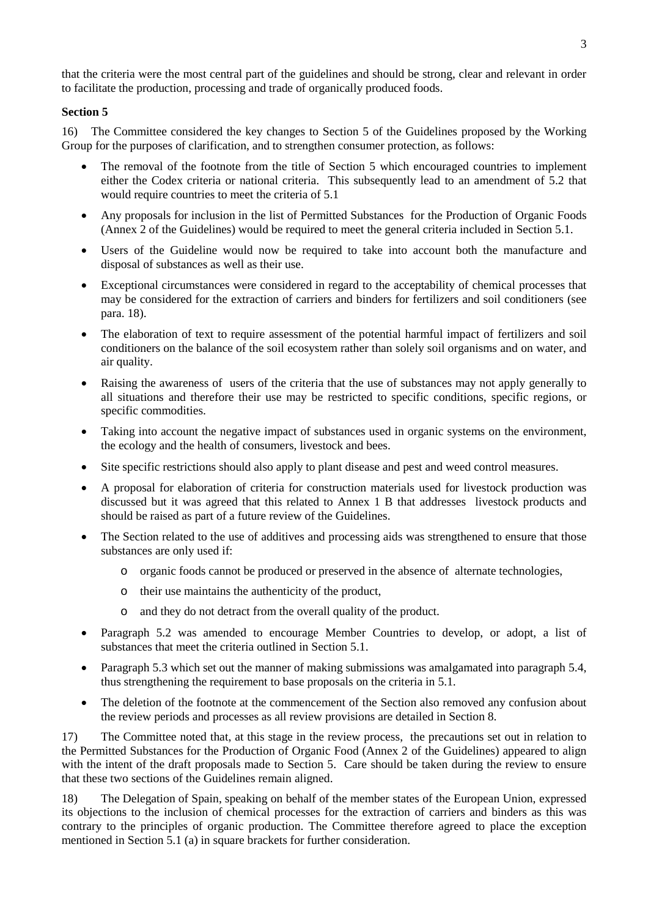that the criteria were the most central part of the guidelines and should be strong, clear and relevant in order to facilitate the production, processing and trade of organically produced foods.

## **Section 5**

16) The Committee considered the key changes to Section 5 of the Guidelines proposed by the Working Group for the purposes of clarification, and to strengthen consumer protection, as follows:

- The removal of the footnote from the title of Section 5 which encouraged countries to implement either the Codex criteria or national criteria. This subsequently lead to an amendment of 5.2 that would require countries to meet the criteria of 5.1
- Any proposals for inclusion in the list of Permitted Substances for the Production of Organic Foods (Annex 2 of the Guidelines) would be required to meet the general criteria included in Section 5.1.
- Users of the Guideline would now be required to take into account both the manufacture and disposal of substances as well as their use.
- Exceptional circumstances were considered in regard to the acceptability of chemical processes that may be considered for the extraction of carriers and binders for fertilizers and soil conditioners (see para. 18).
- The elaboration of text to require assessment of the potential harmful impact of fertilizers and soil conditioners on the balance of the soil ecosystem rather than solely soil organisms and on water, and air quality.
- Raising the awareness of users of the criteria that the use of substances may not apply generally to all situations and therefore their use may be restricted to specific conditions, specific regions, or specific commodities.
- Taking into account the negative impact of substances used in organic systems on the environment, the ecology and the health of consumers, livestock and bees.
- Site specific restrictions should also apply to plant disease and pest and weed control measures.
- A proposal for elaboration of criteria for construction materials used for livestock production was discussed but it was agreed that this related to Annex 1 B that addresses livestock products and should be raised as part of a future review of the Guidelines.
- The Section related to the use of additives and processing aids was strengthened to ensure that those substances are only used if:
	- o organic foods cannot be produced or preserved in the absence of alternate technologies,
	- o their use maintains the authenticity of the product,
	- o and they do not detract from the overall quality of the product.
- Paragraph 5.2 was amended to encourage Member Countries to develop, or adopt, a list of substances that meet the criteria outlined in Section 5.1.
- Paragraph 5.3 which set out the manner of making submissions was amalgamated into paragraph 5.4, thus strengthening the requirement to base proposals on the criteria in 5.1.
- The deletion of the footnote at the commencement of the Section also removed any confusion about the review periods and processes as all review provisions are detailed in Section 8.

17) The Committee noted that, at this stage in the review process, the precautions set out in relation to the Permitted Substances for the Production of Organic Food (Annex 2 of the Guidelines) appeared to align with the intent of the draft proposals made to Section 5. Care should be taken during the review to ensure that these two sections of the Guidelines remain aligned.

18) The Delegation of Spain, speaking on behalf of the member states of the European Union, expressed its objections to the inclusion of chemical processes for the extraction of carriers and binders as this was contrary to the principles of organic production. The Committee therefore agreed to place the exception mentioned in Section 5.1 (a) in square brackets for further consideration.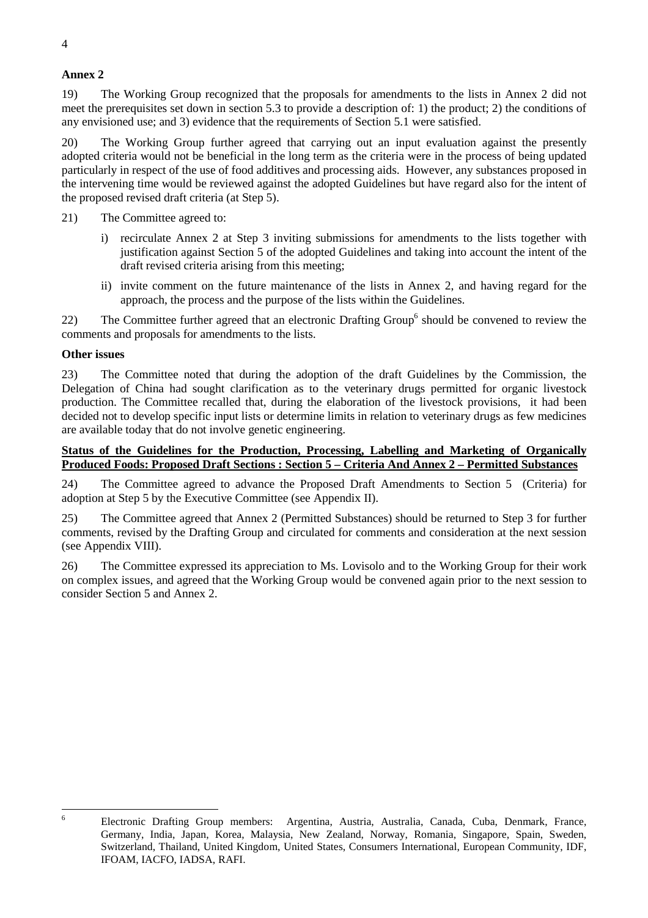## **Annex 2**

19) The Working Group recognized that the proposals for amendments to the lists in Annex 2 did not meet the prerequisites set down in section 5.3 to provide a description of: 1) the product; 2) the conditions of any envisioned use; and 3) evidence that the requirements of Section 5.1 were satisfied.

20) The Working Group further agreed that carrying out an input evaluation against the presently adopted criteria would not be beneficial in the long term as the criteria were in the process of being updated particularly in respect of the use of food additives and processing aids. However, any substances proposed in the intervening time would be reviewed against the adopted Guidelines but have regard also for the intent of the proposed revised draft criteria (at Step 5).

- 21) The Committee agreed to:
	- i) recirculate Annex 2 at Step 3 inviting submissions for amendments to the lists together with justification against Section 5 of the adopted Guidelines and taking into account the intent of the draft revised criteria arising from this meeting;
	- ii) invite comment on the future maintenance of the lists in Annex 2, and having regard for the approach, the process and the purpose of the lists within the Guidelines.

22) The Committee further agreed that an electronic Drafting Group<sup>6</sup> should be convened to review the comments and proposals for amendments to the lists.

## **Other issues**

6

23) The Committee noted that during the adoption of the draft Guidelines by the Commission, the Delegation of China had sought clarification as to the veterinary drugs permitted for organic livestock production. The Committee recalled that, during the elaboration of the livestock provisions, it had been decided not to develop specific input lists or determine limits in relation to veterinary drugs as few medicines are available today that do not involve genetic engineering.

## **Status of the Guidelines for the Production, Processing, Labelling and Marketing of Organically Produced Foods: Proposed Draft Sections : Section 5 – Criteria And Annex 2 – Permitted Substances**

24) The Committee agreed to advance the Proposed Draft Amendments to Section 5 (Criteria) for adoption at Step 5 by the Executive Committee (see Appendix II).

25) The Committee agreed that Annex 2 (Permitted Substances) should be returned to Step 3 for further comments, revised by the Drafting Group and circulated for comments and consideration at the next session (see Appendix VIII).

26) The Committee expressed its appreciation to Ms. Lovisolo and to the Working Group for their work on complex issues, and agreed that the Working Group would be convened again prior to the next session to consider Section 5 and Annex 2.

Electronic Drafting Group members: Argentina, Austria, Australia, Canada, Cuba, Denmark, France, Germany, India, Japan, Korea, Malaysia, New Zealand, Norway, Romania, Singapore, Spain, Sweden, Switzerland, Thailand, United Kingdom, United States, Consumers International, European Community, IDF, IFOAM, IACFO, IADSA, RAFI.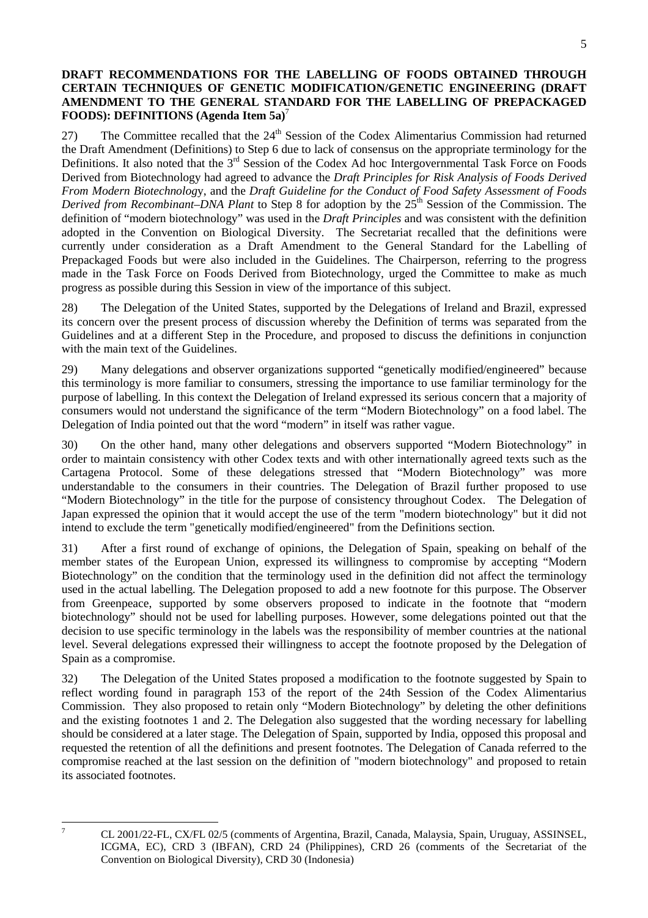## **DRAFT RECOMMENDATIONS FOR THE LABELLING OF FOODS OBTAINED THROUGH CERTAIN TECHNIQUES OF GENETIC MODIFICATION/GENETIC ENGINEERING (DRAFT AMENDMENT TO THE GENERAL STANDARD FOR THE LABELLING OF PREPACKAGED FOODS): DEFINITIONS (Agenda Item 5a)**<sup>7</sup>

27) The Committee recalled that the  $24<sup>th</sup>$  Session of the Codex Alimentarius Commission had returned the Draft Amendment (Definitions) to Step 6 due to lack of consensus on the appropriate terminology for the Definitions. It also noted that the 3<sup>rd</sup> Session of the Codex Ad hoc Intergovernmental Task Force on Foods Derived from Biotechnology had agreed to advance the *Draft Principles for Risk Analysis of Foods Derived From Modern Biotechnolog*y, and the *Draft Guideline for the Conduct of Food Safety Assessment of Foods Derived from Recombinant–DNA Plant* to Step 8 for adoption by the 25<sup>th</sup> Session of the Commission. The definition of "modern biotechnology" was used in the *Draft Principles* and was consistent with the definition adopted in the Convention on Biological Diversity. The Secretariat recalled that the definitions were currently under consideration as a Draft Amendment to the General Standard for the Labelling of Prepackaged Foods but were also included in the Guidelines. The Chairperson, referring to the progress made in the Task Force on Foods Derived from Biotechnology, urged the Committee to make as much progress as possible during this Session in view of the importance of this subject.

28) The Delegation of the United States, supported by the Delegations of Ireland and Brazil, expressed its concern over the present process of discussion whereby the Definition of terms was separated from the Guidelines and at a different Step in the Procedure, and proposed to discuss the definitions in conjunction with the main text of the Guidelines.

29) Many delegations and observer organizations supported "genetically modified/engineered" because this terminology is more familiar to consumers, stressing the importance to use familiar terminology for the purpose of labelling. In this context the Delegation of Ireland expressed its serious concern that a majority of consumers would not understand the significance of the term "Modern Biotechnology" on a food label. The Delegation of India pointed out that the word "modern" in itself was rather vague.

30) On the other hand, many other delegations and observers supported "Modern Biotechnology" in order to maintain consistency with other Codex texts and with other internationally agreed texts such as the Cartagena Protocol. Some of these delegations stressed that "Modern Biotechnology" was more understandable to the consumers in their countries. The Delegation of Brazil further proposed to use "Modern Biotechnology" in the title for the purpose of consistency throughout Codex. The Delegation of Japan expressed the opinion that it would accept the use of the term "modern biotechnology" but it did not intend to exclude the term "genetically modified/engineered" from the Definitions section.

31) After a first round of exchange of opinions, the Delegation of Spain, speaking on behalf of the member states of the European Union, expressed its willingness to compromise by accepting "Modern Biotechnology" on the condition that the terminology used in the definition did not affect the terminology used in the actual labelling. The Delegation proposed to add a new footnote for this purpose. The Observer from Greenpeace, supported by some observers proposed to indicate in the footnote that "modern biotechnology" should not be used for labelling purposes. However, some delegations pointed out that the decision to use specific terminology in the labels was the responsibility of member countries at the national level. Several delegations expressed their willingness to accept the footnote proposed by the Delegation of Spain as a compromise.

32) The Delegation of the United States proposed a modification to the footnote suggested by Spain to reflect wording found in paragraph 153 of the report of the 24th Session of the Codex Alimentarius Commission. They also proposed to retain only "Modern Biotechnology" by deleting the other definitions and the existing footnotes 1 and 2. The Delegation also suggested that the wording necessary for labelling should be considered at a later stage. The Delegation of Spain, supported by India, opposed this proposal and requested the retention of all the definitions and present footnotes. The Delegation of Canada referred to the compromise reached at the last session on the definition of "modern biotechnology" and proposed to retain its associated footnotes.

<sup>-&</sup>lt;br>7

CL 2001/22-FL, CX/FL 02/5 (comments of Argentina, Brazil, Canada, Malaysia, Spain, Uruguay, ASSINSEL, ICGMA, EC), CRD 3 (IBFAN), CRD 24 (Philippines), CRD 26 (comments of the Secretariat of the Convention on Biological Diversity), CRD 30 (Indonesia)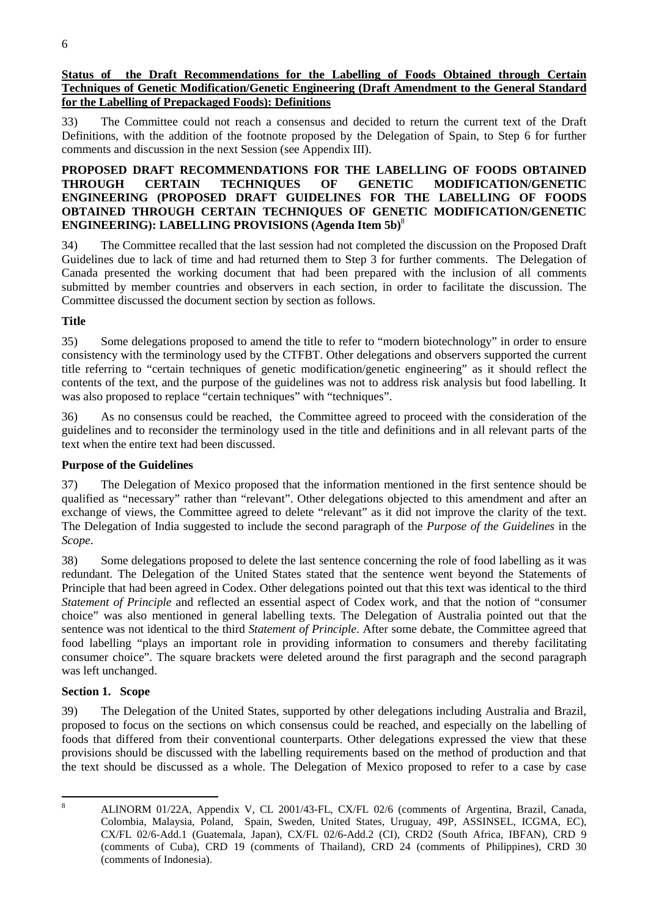**Status of the Draft Recommendations for the Labelling of Foods Obtained through Certain Techniques of Genetic Modification/Genetic Engineering (Draft Amendment to the General Standard for the Labelling of Prepackaged Foods): Definitions**

33) The Committee could not reach a consensus and decided to return the current text of the Draft Definitions, with the addition of the footnote proposed by the Delegation of Spain, to Step 6 for further comments and discussion in the next Session (see Appendix III).

## **PROPOSED DRAFT RECOMMENDATIONS FOR THE LABELLING OF FOODS OBTAINED THROUGH CERTAIN TECHNIQUES OF GENETIC MODIFICATION/GENETIC ENGINEERING (PROPOSED DRAFT GUIDELINES FOR THE LABELLING OF FOODS OBTAINED THROUGH CERTAIN TECHNIQUES OF GENETIC MODIFICATION/GENETIC ENGINEERING): LABELLING PROVISIONS (Agenda Item 5b)**<sup>8</sup>

34) The Committee recalled that the last session had not completed the discussion on the Proposed Draft Guidelines due to lack of time and had returned them to Step 3 for further comments. The Delegation of Canada presented the working document that had been prepared with the inclusion of all comments submitted by member countries and observers in each section, in order to facilitate the discussion. The Committee discussed the document section by section as follows.

## **Title**

35) Some delegations proposed to amend the title to refer to "modern biotechnology" in order to ensure consistency with the terminology used by the CTFBT. Other delegations and observers supported the current title referring to "certain techniques of genetic modification/genetic engineering" as it should reflect the contents of the text, and the purpose of the guidelines was not to address risk analysis but food labelling. It was also proposed to replace "certain techniques" with "techniques".

36) As no consensus could be reached, the Committee agreed to proceed with the consideration of the guidelines and to reconsider the terminology used in the title and definitions and in all relevant parts of the text when the entire text had been discussed.

## **Purpose of the Guidelines**

37) The Delegation of Mexico proposed that the information mentioned in the first sentence should be qualified as "necessary" rather than "relevant". Other delegations objected to this amendment and after an exchange of views, the Committee agreed to delete "relevant" as it did not improve the clarity of the text. The Delegation of India suggested to include the second paragraph of the *Purpose of the Guidelines* in the *Scope*.

38) Some delegations proposed to delete the last sentence concerning the role of food labelling as it was redundant. The Delegation of the United States stated that the sentence went beyond the Statements of Principle that had been agreed in Codex. Other delegations pointed out that this text was identical to the third *Statement of Principle* and reflected an essential aspect of Codex work, and that the notion of "consumer choice" was also mentioned in general labelling texts. The Delegation of Australia pointed out that the sentence was not identical to the third *Statement of Principle*. After some debate, the Committee agreed that food labelling "plays an important role in providing information to consumers and thereby facilitating consumer choice". The square brackets were deleted around the first paragraph and the second paragraph was left unchanged.

## **Section 1. Scope**

39) The Delegation of the United States, supported by other delegations including Australia and Brazil, proposed to focus on the sections on which consensus could be reached, and especially on the labelling of foods that differed from their conventional counterparts. Other delegations expressed the view that these provisions should be discussed with the labelling requirements based on the method of production and that the text should be discussed as a whole. The Delegation of Mexico proposed to refer to a case by case

 8

ALINORM 01/22A, Appendix V, CL 2001/43-FL, CX/FL 02/6 (comments of Argentina, Brazil, Canada, Colombia, Malaysia, Poland, Spain, Sweden, United States, Uruguay, 49P, ASSINSEL, ICGMA, EC), CX/FL 02/6-Add.1 (Guatemala, Japan), CX/FL 02/6-Add.2 (CI), CRD2 (South Africa, IBFAN), CRD 9 (comments of Cuba), CRD 19 (comments of Thailand), CRD 24 (comments of Philippines), CRD 30 (comments of Indonesia).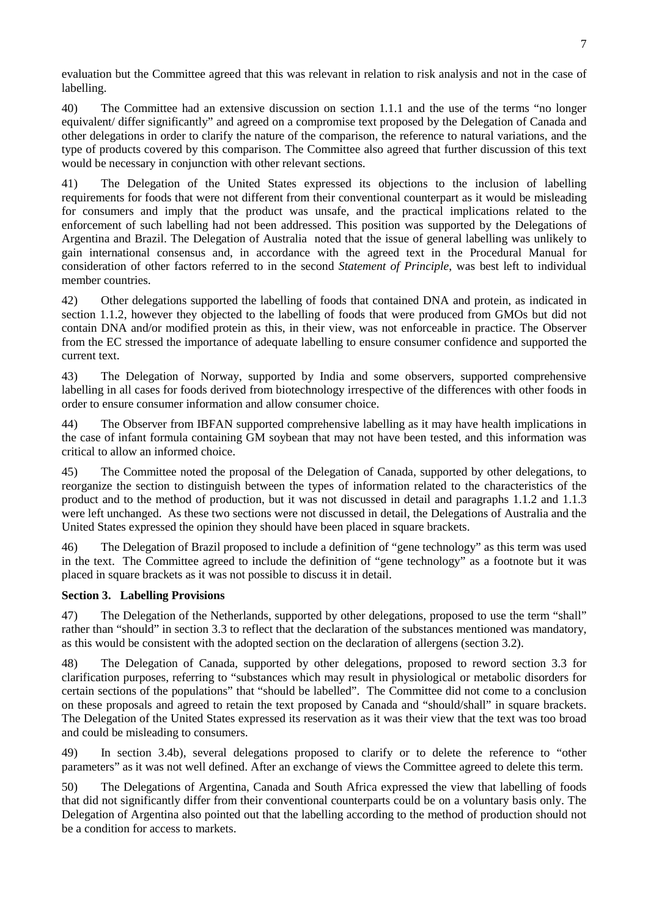evaluation but the Committee agreed that this was relevant in relation to risk analysis and not in the case of labelling.

40) The Committee had an extensive discussion on section 1.1.1 and the use of the terms "no longer equivalent/ differ significantly" and agreed on a compromise text proposed by the Delegation of Canada and other delegations in order to clarify the nature of the comparison, the reference to natural variations, and the type of products covered by this comparison. The Committee also agreed that further discussion of this text would be necessary in conjunction with other relevant sections.

41) The Delegation of the United States expressed its objections to the inclusion of labelling requirements for foods that were not different from their conventional counterpart as it would be misleading for consumers and imply that the product was unsafe, and the practical implications related to the enforcement of such labelling had not been addressed. This position was supported by the Delegations of Argentina and Brazil. The Delegation of Australia noted that the issue of general labelling was unlikely to gain international consensus and, in accordance with the agreed text in the Procedural Manual for consideration of other factors referred to in the second *Statement of Principle*, was best left to individual member countries.

42) Other delegations supported the labelling of foods that contained DNA and protein, as indicated in section 1.1.2, however they objected to the labelling of foods that were produced from GMOs but did not contain DNA and/or modified protein as this, in their view, was not enforceable in practice. The Observer from the EC stressed the importance of adequate labelling to ensure consumer confidence and supported the current text.

43) The Delegation of Norway, supported by India and some observers, supported comprehensive labelling in all cases for foods derived from biotechnology irrespective of the differences with other foods in order to ensure consumer information and allow consumer choice.

44) The Observer from IBFAN supported comprehensive labelling as it may have health implications in the case of infant formula containing GM soybean that may not have been tested, and this information was critical to allow an informed choice.

45) The Committee noted the proposal of the Delegation of Canada, supported by other delegations, to reorganize the section to distinguish between the types of information related to the characteristics of the product and to the method of production, but it was not discussed in detail and paragraphs 1.1.2 and 1.1.3 were left unchanged. As these two sections were not discussed in detail, the Delegations of Australia and the United States expressed the opinion they should have been placed in square brackets.

46) The Delegation of Brazil proposed to include a definition of "gene technology" as this term was used in the text. The Committee agreed to include the definition of "gene technology" as a footnote but it was placed in square brackets as it was not possible to discuss it in detail.

## **Section 3. Labelling Provisions**

47) The Delegation of the Netherlands, supported by other delegations, proposed to use the term "shall" rather than "should" in section 3.3 to reflect that the declaration of the substances mentioned was mandatory, as this would be consistent with the adopted section on the declaration of allergens (section 3.2).

48) The Delegation of Canada, supported by other delegations, proposed to reword section 3.3 for clarification purposes, referring to "substances which may result in physiological or metabolic disorders for certain sections of the populations" that "should be labelled". The Committee did not come to a conclusion on these proposals and agreed to retain the text proposed by Canada and "should/shall" in square brackets. The Delegation of the United States expressed its reservation as it was their view that the text was too broad and could be misleading to consumers.

49) In section 3.4b), several delegations proposed to clarify or to delete the reference to "other parameters" as it was not well defined. After an exchange of views the Committee agreed to delete this term.

50) The Delegations of Argentina, Canada and South Africa expressed the view that labelling of foods that did not significantly differ from their conventional counterparts could be on a voluntary basis only. The Delegation of Argentina also pointed out that the labelling according to the method of production should not be a condition for access to markets.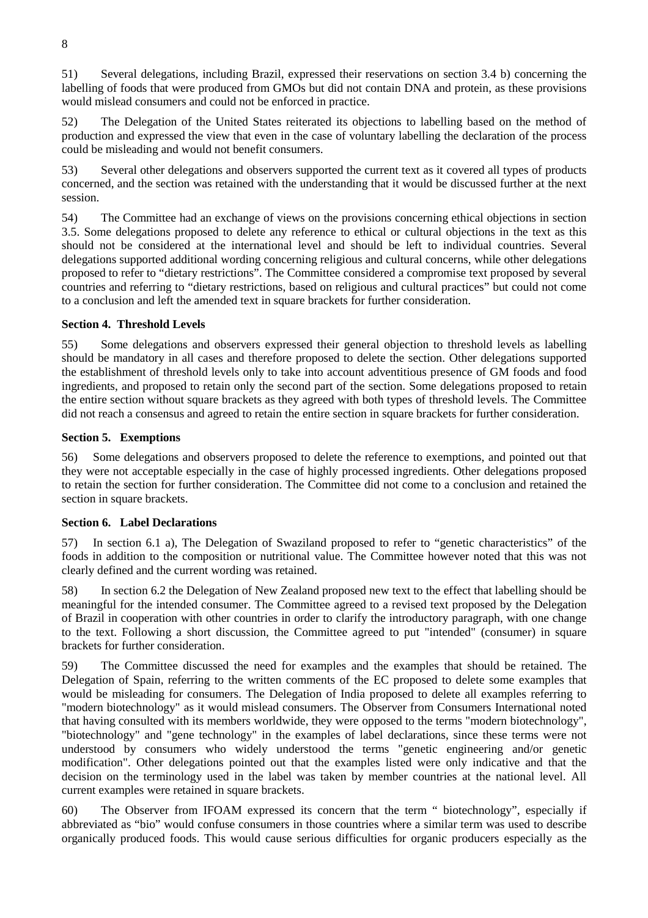51) Several delegations, including Brazil, expressed their reservations on section 3.4 b) concerning the labelling of foods that were produced from GMOs but did not contain DNA and protein, as these provisions would mislead consumers and could not be enforced in practice.

52) The Delegation of the United States reiterated its objections to labelling based on the method of production and expressed the view that even in the case of voluntary labelling the declaration of the process could be misleading and would not benefit consumers.

53) Several other delegations and observers supported the current text as it covered all types of products concerned, and the section was retained with the understanding that it would be discussed further at the next session.

54) The Committee had an exchange of views on the provisions concerning ethical objections in section 3.5. Some delegations proposed to delete any reference to ethical or cultural objections in the text as this should not be considered at the international level and should be left to individual countries. Several delegations supported additional wording concerning religious and cultural concerns, while other delegations proposed to refer to "dietary restrictions". The Committee considered a compromise text proposed by several countries and referring to "dietary restrictions, based on religious and cultural practices" but could not come to a conclusion and left the amended text in square brackets for further consideration.

## **Section 4. Threshold Levels**

55) Some delegations and observers expressed their general objection to threshold levels as labelling should be mandatory in all cases and therefore proposed to delete the section. Other delegations supported the establishment of threshold levels only to take into account adventitious presence of GM foods and food ingredients, and proposed to retain only the second part of the section. Some delegations proposed to retain the entire section without square brackets as they agreed with both types of threshold levels. The Committee did not reach a consensus and agreed to retain the entire section in square brackets for further consideration.

## **Section 5. Exemptions**

56) Some delegations and observers proposed to delete the reference to exemptions, and pointed out that they were not acceptable especially in the case of highly processed ingredients. Other delegations proposed to retain the section for further consideration. The Committee did not come to a conclusion and retained the section in square brackets.

## **Section 6. Label Declarations**

57) In section 6.1 a), The Delegation of Swaziland proposed to refer to "genetic characteristics" of the foods in addition to the composition or nutritional value. The Committee however noted that this was not clearly defined and the current wording was retained.

58) In section 6.2 the Delegation of New Zealand proposed new text to the effect that labelling should be meaningful for the intended consumer. The Committee agreed to a revised text proposed by the Delegation of Brazil in cooperation with other countries in order to clarify the introductory paragraph, with one change to the text. Following a short discussion, the Committee agreed to put "intended" (consumer) in square brackets for further consideration.

59) The Committee discussed the need for examples and the examples that should be retained. The Delegation of Spain, referring to the written comments of the EC proposed to delete some examples that would be misleading for consumers. The Delegation of India proposed to delete all examples referring to "modern biotechnology" as it would mislead consumers. The Observer from Consumers International noted that having consulted with its members worldwide, they were opposed to the terms "modern biotechnology", "biotechnology" and "gene technology" in the examples of label declarations, since these terms were not understood by consumers who widely understood the terms "genetic engineering and/or genetic modification". Other delegations pointed out that the examples listed were only indicative and that the decision on the terminology used in the label was taken by member countries at the national level. All current examples were retained in square brackets.

60) The Observer from IFOAM expressed its concern that the term " biotechnology", especially if abbreviated as "bio" would confuse consumers in those countries where a similar term was used to describe organically produced foods. This would cause serious difficulties for organic producers especially as the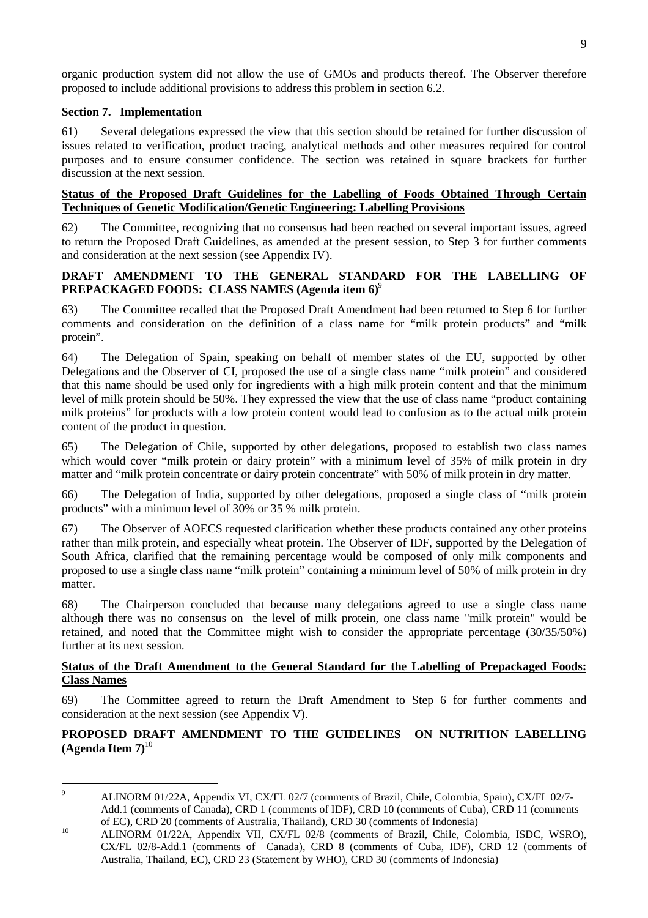organic production system did not allow the use of GMOs and products thereof. The Observer therefore proposed to include additional provisions to address this problem in section 6.2.

### **Section 7. Implementation**

61) Several delegations expressed the view that this section should be retained for further discussion of issues related to verification, product tracing, analytical methods and other measures required for control purposes and to ensure consumer confidence. The section was retained in square brackets for further discussion at the next session.

## **Status of the Proposed Draft Guidelines for the Labelling of Foods Obtained Through Certain Techniques of Genetic Modification/Genetic Engineering: Labelling Provisions**

62) The Committee, recognizing that no consensus had been reached on several important issues, agreed to return the Proposed Draft Guidelines, as amended at the present session, to Step 3 for further comments and consideration at the next session (see Appendix IV).

## **DRAFT AMENDMENT TO THE GENERAL STANDARD FOR THE LABELLING OF PREPACKAGED FOODS: CLASS NAMES (Agenda item 6)**<sup>9</sup>

63) The Committee recalled that the Proposed Draft Amendment had been returned to Step 6 for further comments and consideration on the definition of a class name for "milk protein products" and "milk protein".

64) The Delegation of Spain, speaking on behalf of member states of the EU, supported by other Delegations and the Observer of CI, proposed the use of a single class name "milk protein" and considered that this name should be used only for ingredients with a high milk protein content and that the minimum level of milk protein should be 50%. They expressed the view that the use of class name "product containing milk proteins" for products with a low protein content would lead to confusion as to the actual milk protein content of the product in question.

65) The Delegation of Chile, supported by other delegations, proposed to establish two class names which would cover "milk protein or dairy protein" with a minimum level of 35% of milk protein in dry matter and "milk protein concentrate or dairy protein concentrate" with 50% of milk protein in dry matter.

66) The Delegation of India, supported by other delegations, proposed a single class of "milk protein products" with a minimum level of 30% or 35 % milk protein.

67) The Observer of AOECS requested clarification whether these products contained any other proteins rather than milk protein, and especially wheat protein. The Observer of IDF, supported by the Delegation of South Africa, clarified that the remaining percentage would be composed of only milk components and proposed to use a single class name "milk protein" containing a minimum level of 50% of milk protein in dry matter.

68) The Chairperson concluded that because many delegations agreed to use a single class name although there was no consensus on the level of milk protein, one class name "milk protein" would be retained, and noted that the Committee might wish to consider the appropriate percentage (30/35/50%) further at its next session.

## **Status of the Draft Amendment to the General Standard for the Labelling of Prepackaged Foods: Class Names**

69) The Committee agreed to return the Draft Amendment to Step 6 for further comments and consideration at the next session (see Appendix V).

## **PROPOSED DRAFT AMENDMENT TO THE GUIDELINES ON NUTRITION LABELLING**  $(A$ genda Item  $7)^{10}$

<sup>-&</sup>lt;br>9

ALINORM 01/22A, Appendix VI, CX/FL 02/7 (comments of Brazil, Chile, Colombia, Spain), CX/FL 02/7- Add.1 (comments of Canada), CRD 1 (comments of IDF), CRD 10 (comments of Cuba), CRD 11 (comments of EC), CRD 20 (comments of Australia, Thailand), CRD 30 (comments of Indonesia)

of EC), CRD 20 (comments of Australia, Thailand), CRD 30 (comments of Indonesia) 10 ALINORM 01/22A, Appendix VII, CX/FL 02/8 (comments of Brazil, Chile, Colombia, ISDC, WSRO), CX/FL 02/8-Add.1 (comments of Canada), CRD 8 (comments of Cuba, IDF), CRD 12 (comments of Australia, Thailand, EC), CRD 23 (Statement by WHO), CRD 30 (comments of Indonesia)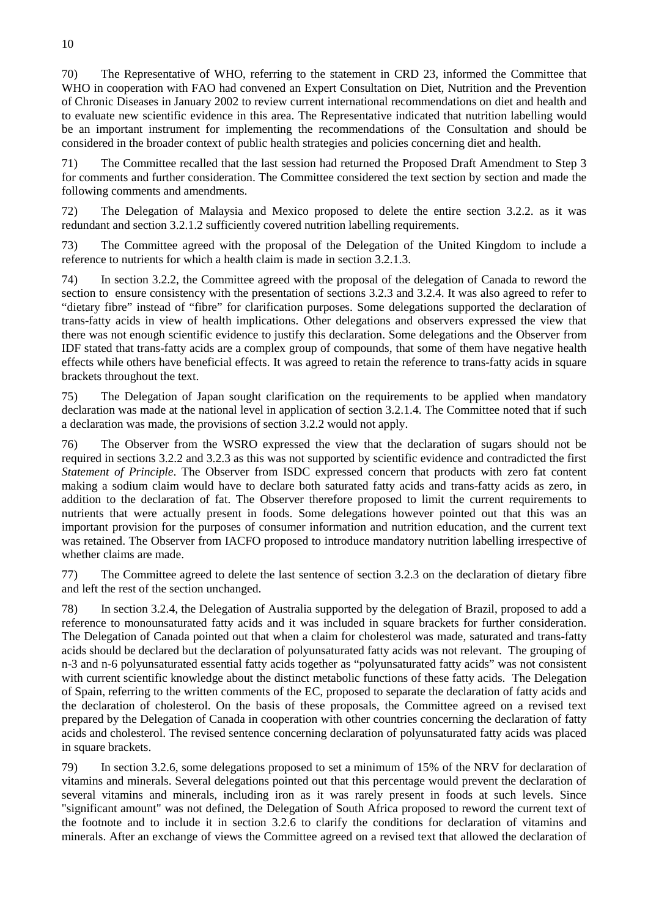70) The Representative of WHO, referring to the statement in CRD 23, informed the Committee that WHO in cooperation with FAO had convened an Expert Consultation on Diet, Nutrition and the Prevention of Chronic Diseases in January 2002 to review current international recommendations on diet and health and to evaluate new scientific evidence in this area. The Representative indicated that nutrition labelling would be an important instrument for implementing the recommendations of the Consultation and should be considered in the broader context of public health strategies and policies concerning diet and health.

71) The Committee recalled that the last session had returned the Proposed Draft Amendment to Step 3 for comments and further consideration. The Committee considered the text section by section and made the following comments and amendments.

72) The Delegation of Malaysia and Mexico proposed to delete the entire section 3.2.2. as it was redundant and section 3.2.1.2 sufficiently covered nutrition labelling requirements.

73) The Committee agreed with the proposal of the Delegation of the United Kingdom to include a reference to nutrients for which a health claim is made in section 3.2.1.3.

74) In section 3.2.2, the Committee agreed with the proposal of the delegation of Canada to reword the section to ensure consistency with the presentation of sections 3.2.3 and 3.2.4. It was also agreed to refer to "dietary fibre" instead of "fibre" for clarification purposes. Some delegations supported the declaration of trans-fatty acids in view of health implications. Other delegations and observers expressed the view that there was not enough scientific evidence to justify this declaration. Some delegations and the Observer from IDF stated that trans-fatty acids are a complex group of compounds, that some of them have negative health effects while others have beneficial effects. It was agreed to retain the reference to trans-fatty acids in square brackets throughout the text.

75) The Delegation of Japan sought clarification on the requirements to be applied when mandatory declaration was made at the national level in application of section 3.2.1.4. The Committee noted that if such a declaration was made, the provisions of section 3.2.2 would not apply.

76) The Observer from the WSRO expressed the view that the declaration of sugars should not be required in sections 3.2.2 and 3.2.3 as this was not supported by scientific evidence and contradicted the first *Statement of Principle*. The Observer from ISDC expressed concern that products with zero fat content making a sodium claim would have to declare both saturated fatty acids and trans-fatty acids as zero, in addition to the declaration of fat. The Observer therefore proposed to limit the current requirements to nutrients that were actually present in foods. Some delegations however pointed out that this was an important provision for the purposes of consumer information and nutrition education, and the current text was retained. The Observer from IACFO proposed to introduce mandatory nutrition labelling irrespective of whether claims are made.

77) The Committee agreed to delete the last sentence of section 3.2.3 on the declaration of dietary fibre and left the rest of the section unchanged.

78) In section 3.2.4, the Delegation of Australia supported by the delegation of Brazil, proposed to add a reference to monounsaturated fatty acids and it was included in square brackets for further consideration. The Delegation of Canada pointed out that when a claim for cholesterol was made, saturated and trans-fatty acids should be declared but the declaration of polyunsaturated fatty acids was not relevant. The grouping of n-3 and n-6 polyunsaturated essential fatty acids together as "polyunsaturated fatty acids" was not consistent with current scientific knowledge about the distinct metabolic functions of these fatty acids. The Delegation of Spain, referring to the written comments of the EC, proposed to separate the declaration of fatty acids and the declaration of cholesterol. On the basis of these proposals, the Committee agreed on a revised text prepared by the Delegation of Canada in cooperation with other countries concerning the declaration of fatty acids and cholesterol. The revised sentence concerning declaration of polyunsaturated fatty acids was placed in square brackets.

79) In section 3.2.6, some delegations proposed to set a minimum of 15% of the NRV for declaration of vitamins and minerals. Several delegations pointed out that this percentage would prevent the declaration of several vitamins and minerals, including iron as it was rarely present in foods at such levels. Since "significant amount" was not defined, the Delegation of South Africa proposed to reword the current text of the footnote and to include it in section 3.2.6 to clarify the conditions for declaration of vitamins and minerals. After an exchange of views the Committee agreed on a revised text that allowed the declaration of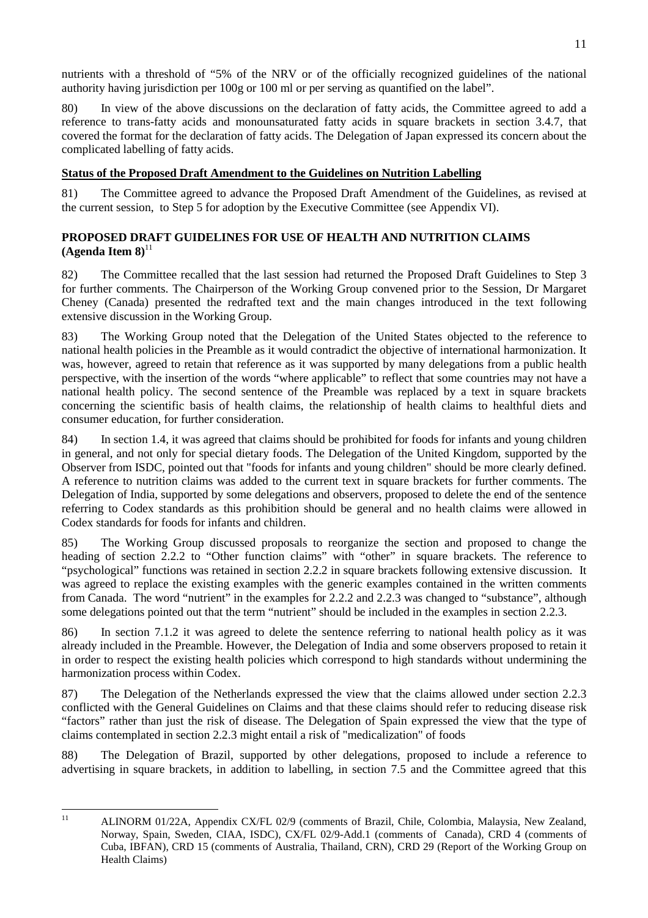nutrients with a threshold of "5% of the NRV or of the officially recognized guidelines of the national authority having jurisdiction per 100g or 100 ml or per serving as quantified on the label".

80) In view of the above discussions on the declaration of fatty acids, the Committee agreed to add a reference to trans-fatty acids and monounsaturated fatty acids in square brackets in section 3.4.7, that covered the format for the declaration of fatty acids. The Delegation of Japan expressed its concern about the complicated labelling of fatty acids.

## **Status of the Proposed Draft Amendment to the Guidelines on Nutrition Labelling**

81) The Committee agreed to advance the Proposed Draft Amendment of the Guidelines, as revised at the current session, to Step 5 for adoption by the Executive Committee (see Appendix VI).

## **PROPOSED DRAFT GUIDELINES FOR USE OF HEALTH AND NUTRITION CLAIMS**  $(A$ genda Item  $8)^{11}$

82) The Committee recalled that the last session had returned the Proposed Draft Guidelines to Step 3 for further comments. The Chairperson of the Working Group convened prior to the Session, Dr Margaret Cheney (Canada) presented the redrafted text and the main changes introduced in the text following extensive discussion in the Working Group.

83) The Working Group noted that the Delegation of the United States objected to the reference to national health policies in the Preamble as it would contradict the objective of international harmonization. It was, however, agreed to retain that reference as it was supported by many delegations from a public health perspective, with the insertion of the words "where applicable" to reflect that some countries may not have a national health policy. The second sentence of the Preamble was replaced by a text in square brackets concerning the scientific basis of health claims, the relationship of health claims to healthful diets and consumer education, for further consideration.

84) In section 1.4, it was agreed that claims should be prohibited for foods for infants and young children in general, and not only for special dietary foods. The Delegation of the United Kingdom, supported by the Observer from ISDC, pointed out that "foods for infants and young children" should be more clearly defined. A reference to nutrition claims was added to the current text in square brackets for further comments. The Delegation of India, supported by some delegations and observers, proposed to delete the end of the sentence referring to Codex standards as this prohibition should be general and no health claims were allowed in Codex standards for foods for infants and children.

85) The Working Group discussed proposals to reorganize the section and proposed to change the heading of section 2.2.2 to "Other function claims" with "other" in square brackets. The reference to "psychological" functions was retained in section 2.2.2 in square brackets following extensive discussion. It was agreed to replace the existing examples with the generic examples contained in the written comments from Canada. The word "nutrient" in the examples for 2.2.2 and 2.2.3 was changed to "substance", although some delegations pointed out that the term "nutrient" should be included in the examples in section 2.2.3.

86) In section 7.1.2 it was agreed to delete the sentence referring to national health policy as it was already included in the Preamble. However, the Delegation of India and some observers proposed to retain it in order to respect the existing health policies which correspond to high standards without undermining the harmonization process within Codex.

87) The Delegation of the Netherlands expressed the view that the claims allowed under section 2.2.3 conflicted with the General Guidelines on Claims and that these claims should refer to reducing disease risk "factors" rather than just the risk of disease. The Delegation of Spain expressed the view that the type of claims contemplated in section 2.2.3 might entail a risk of "medicalization" of foods

88) The Delegation of Brazil, supported by other delegations, proposed to include a reference to advertising in square brackets, in addition to labelling, in section 7.5 and the Committee agreed that this

 $11$ 11 ALINORM 01/22A, Appendix CX/FL 02/9 (comments of Brazil, Chile, Colombia, Malaysia, New Zealand, Norway, Spain, Sweden, CIAA, ISDC), CX/FL 02/9-Add.1 (comments of Canada), CRD 4 (comments of Cuba, IBFAN), CRD 15 (comments of Australia, Thailand, CRN), CRD 29 (Report of the Working Group on Health Claims)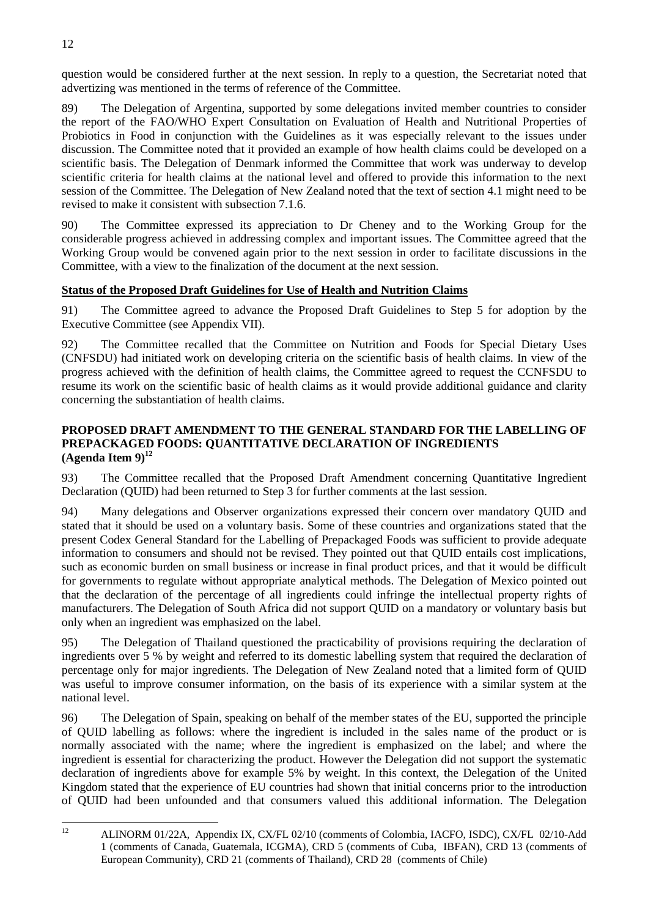question would be considered further at the next session. In reply to a question, the Secretariat noted that advertizing was mentioned in the terms of reference of the Committee.

89) The Delegation of Argentina, supported by some delegations invited member countries to consider the report of the FAO/WHO Expert Consultation on Evaluation of Health and Nutritional Properties of Probiotics in Food in conjunction with the Guidelines as it was especially relevant to the issues under discussion. The Committee noted that it provided an example of how health claims could be developed on a scientific basis. The Delegation of Denmark informed the Committee that work was underway to develop scientific criteria for health claims at the national level and offered to provide this information to the next session of the Committee. The Delegation of New Zealand noted that the text of section 4.1 might need to be revised to make it consistent with subsection 7.1.6.

90) The Committee expressed its appreciation to Dr Cheney and to the Working Group for the considerable progress achieved in addressing complex and important issues. The Committee agreed that the Working Group would be convened again prior to the next session in order to facilitate discussions in the Committee, with a view to the finalization of the document at the next session.

## **Status of the Proposed Draft Guidelines for Use of Health and Nutrition Claims**

91) The Committee agreed to advance the Proposed Draft Guidelines to Step 5 for adoption by the Executive Committee (see Appendix VII).

92) The Committee recalled that the Committee on Nutrition and Foods for Special Dietary Uses (CNFSDU) had initiated work on developing criteria on the scientific basis of health claims. In view of the progress achieved with the definition of health claims, the Committee agreed to request the CCNFSDU to resume its work on the scientific basic of health claims as it would provide additional guidance and clarity concerning the substantiation of health claims.

## **PROPOSED DRAFT AMENDMENT TO THE GENERAL STANDARD FOR THE LABELLING OF PREPACKAGED FOODS: QUANTITATIVE DECLARATION OF INGREDIENTS**  $(A$ genda Item  $9)^{12}$

93) The Committee recalled that the Proposed Draft Amendment concerning Quantitative Ingredient Declaration (QUID) had been returned to Step 3 for further comments at the last session.

94) Many delegations and Observer organizations expressed their concern over mandatory QUID and stated that it should be used on a voluntary basis. Some of these countries and organizations stated that the present Codex General Standard for the Labelling of Prepackaged Foods was sufficient to provide adequate information to consumers and should not be revised. They pointed out that QUID entails cost implications, such as economic burden on small business or increase in final product prices, and that it would be difficult for governments to regulate without appropriate analytical methods. The Delegation of Mexico pointed out that the declaration of the percentage of all ingredients could infringe the intellectual property rights of manufacturers. The Delegation of South Africa did not support QUID on a mandatory or voluntary basis but only when an ingredient was emphasized on the label.

95) The Delegation of Thailand questioned the practicability of provisions requiring the declaration of ingredients over 5 % by weight and referred to its domestic labelling system that required the declaration of percentage only for major ingredients. The Delegation of New Zealand noted that a limited form of QUID was useful to improve consumer information, on the basis of its experience with a similar system at the national level.

96) The Delegation of Spain, speaking on behalf of the member states of the EU, supported the principle of QUID labelling as follows: where the ingredient is included in the sales name of the product or is normally associated with the name; where the ingredient is emphasized on the label; and where the ingredient is essential for characterizing the product. However the Delegation did not support the systematic declaration of ingredients above for example 5% by weight. In this context, the Delegation of the United Kingdom stated that the experience of EU countries had shown that initial concerns prior to the introduction of QUID had been unfounded and that consumers valued this additional information. The Delegation

 $12$ 12 ALINORM 01/22A, Appendix IX, CX/FL 02/10 (comments of Colombia, IACFO, ISDC), CX/FL 02/10-Add 1 (comments of Canada, Guatemala, ICGMA), CRD 5 (comments of Cuba, IBFAN), CRD 13 (comments of European Community), CRD 21 (comments of Thailand), CRD 28 (comments of Chile)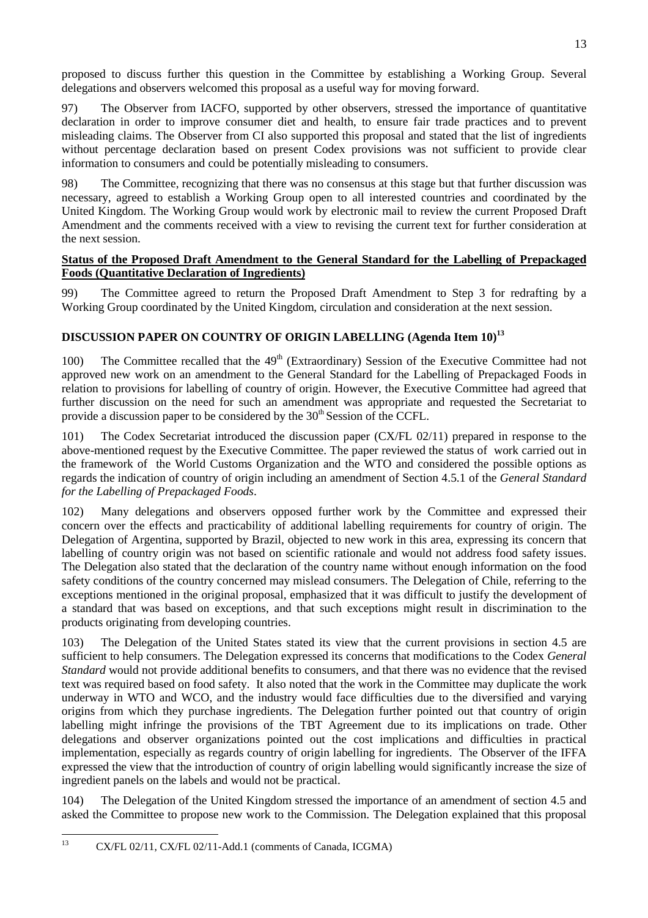97) The Observer from IACFO, supported by other observers, stressed the importance of quantitative declaration in order to improve consumer diet and health, to ensure fair trade practices and to prevent misleading claims. The Observer from CI also supported this proposal and stated that the list of ingredients without percentage declaration based on present Codex provisions was not sufficient to provide clear information to consumers and could be potentially misleading to consumers.

98) The Committee, recognizing that there was no consensus at this stage but that further discussion was necessary, agreed to establish a Working Group open to all interested countries and coordinated by the United Kingdom. The Working Group would work by electronic mail to review the current Proposed Draft Amendment and the comments received with a view to revising the current text for further consideration at the next session.

## **Status of the Proposed Draft Amendment to the General Standard for the Labelling of Prepackaged Foods (Quantitative Declaration of Ingredients)**

99) The Committee agreed to return the Proposed Draft Amendment to Step 3 for redrafting by a Working Group coordinated by the United Kingdom, circulation and consideration at the next session.

## DISCUSSION PAPER ON COUNTRY OF ORIGIN LABELLING (Agenda Item 10)<sup>13</sup>

100) The Committee recalled that the 49<sup>th</sup> (Extraordinary) Session of the Executive Committee had not approved new work on an amendment to the General Standard for the Labelling of Prepackaged Foods in relation to provisions for labelling of country of origin. However, the Executive Committee had agreed that further discussion on the need for such an amendment was appropriate and requested the Secretariat to provide a discussion paper to be considered by the  $30<sup>th</sup>$  Session of the CCFL.

101) The Codex Secretariat introduced the discussion paper (CX/FL 02/11) prepared in response to the above-mentioned request by the Executive Committee. The paper reviewed the status of work carried out in the framework of the World Customs Organization and the WTO and considered the possible options as regards the indication of country of origin including an amendment of Section 4.5.1 of the *General Standard for the Labelling of Prepackaged Foods*.

102) Many delegations and observers opposed further work by the Committee and expressed their concern over the effects and practicability of additional labelling requirements for country of origin. The Delegation of Argentina, supported by Brazil, objected to new work in this area, expressing its concern that labelling of country origin was not based on scientific rationale and would not address food safety issues. The Delegation also stated that the declaration of the country name without enough information on the food safety conditions of the country concerned may mislead consumers. The Delegation of Chile, referring to the exceptions mentioned in the original proposal, emphasized that it was difficult to justify the development of a standard that was based on exceptions, and that such exceptions might result in discrimination to the products originating from developing countries.

103) The Delegation of the United States stated its view that the current provisions in section 4.5 are sufficient to help consumers. The Delegation expressed its concerns that modifications to the Codex *General Standard* would not provide additional benefits to consumers, and that there was no evidence that the revised text was required based on food safety. It also noted that the work in the Committee may duplicate the work underway in WTO and WCO, and the industry would face difficulties due to the diversified and varying origins from which they purchase ingredients. The Delegation further pointed out that country of origin labelling might infringe the provisions of the TBT Agreement due to its implications on trade. Other delegations and observer organizations pointed out the cost implications and difficulties in practical implementation, especially as regards country of origin labelling for ingredients. The Observer of the IFFA expressed the view that the introduction of country of origin labelling would significantly increase the size of ingredient panels on the labels and would not be practical.

104) The Delegation of the United Kingdom stressed the importance of an amendment of section 4.5 and asked the Committee to propose new work to the Commission. The Delegation explained that this proposal

<sup>13</sup> 13 CX/FL 02/11, CX/FL 02/11-Add.1 (comments of Canada, ICGMA)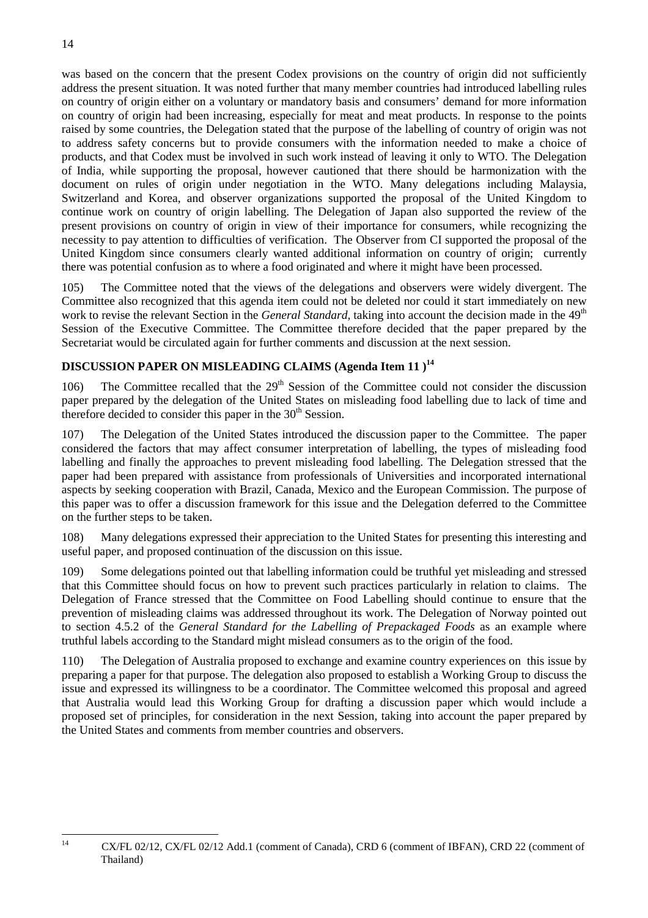was based on the concern that the present Codex provisions on the country of origin did not sufficiently address the present situation. It was noted further that many member countries had introduced labelling rules on country of origin either on a voluntary or mandatory basis and consumers' demand for more information on country of origin had been increasing, especially for meat and meat products. In response to the points raised by some countries, the Delegation stated that the purpose of the labelling of country of origin was not to address safety concerns but to provide consumers with the information needed to make a choice of products, and that Codex must be involved in such work instead of leaving it only to WTO. The Delegation of India, while supporting the proposal, however cautioned that there should be harmonization with the document on rules of origin under negotiation in the WTO. Many delegations including Malaysia, Switzerland and Korea, and observer organizations supported the proposal of the United Kingdom to continue work on country of origin labelling. The Delegation of Japan also supported the review of the present provisions on country of origin in view of their importance for consumers, while recognizing the necessity to pay attention to difficulties of verification. The Observer from CI supported the proposal of the United Kingdom since consumers clearly wanted additional information on country of origin; currently there was potential confusion as to where a food originated and where it might have been processed.

105) The Committee noted that the views of the delegations and observers were widely divergent. The Committee also recognized that this agenda item could not be deleted nor could it start immediately on new work to revise the relevant Section in the *General Standard*, taking into account the decision made in the 49<sup>th</sup> Session of the Executive Committee. The Committee therefore decided that the paper prepared by the Secretariat would be circulated again for further comments and discussion at the next session.

## **DISCUSSION PAPER ON MISLEADING CLAIMS (Agenda Item 11)<sup>14</sup>**

106) The Committee recalled that the  $29<sup>th</sup>$  Session of the Committee could not consider the discussion paper prepared by the delegation of the United States on misleading food labelling due to lack of time and therefore decided to consider this paper in the  $30<sup>th</sup>$  Session.

107) The Delegation of the United States introduced the discussion paper to the Committee. The paper considered the factors that may affect consumer interpretation of labelling, the types of misleading food labelling and finally the approaches to prevent misleading food labelling. The Delegation stressed that the paper had been prepared with assistance from professionals of Universities and incorporated international aspects by seeking cooperation with Brazil, Canada, Mexico and the European Commission. The purpose of this paper was to offer a discussion framework for this issue and the Delegation deferred to the Committee on the further steps to be taken.

108) Many delegations expressed their appreciation to the United States for presenting this interesting and useful paper, and proposed continuation of the discussion on this issue.

109) Some delegations pointed out that labelling information could be truthful yet misleading and stressed that this Committee should focus on how to prevent such practices particularly in relation to claims. The Delegation of France stressed that the Committee on Food Labelling should continue to ensure that the prevention of misleading claims was addressed throughout its work. The Delegation of Norway pointed out to section 4.5.2 of the *General Standard for the Labelling of Prepackaged Foods* as an example where truthful labels according to the Standard might mislead consumers as to the origin of the food.

110) The Delegation of Australia proposed to exchange and examine country experiences on this issue by preparing a paper for that purpose. The delegation also proposed to establish a Working Group to discuss the issue and expressed its willingness to be a coordinator. The Committee welcomed this proposal and agreed that Australia would lead this Working Group for drafting a discussion paper which would include a proposed set of principles, for consideration in the next Session, taking into account the paper prepared by the United States and comments from member countries and observers.

 $14$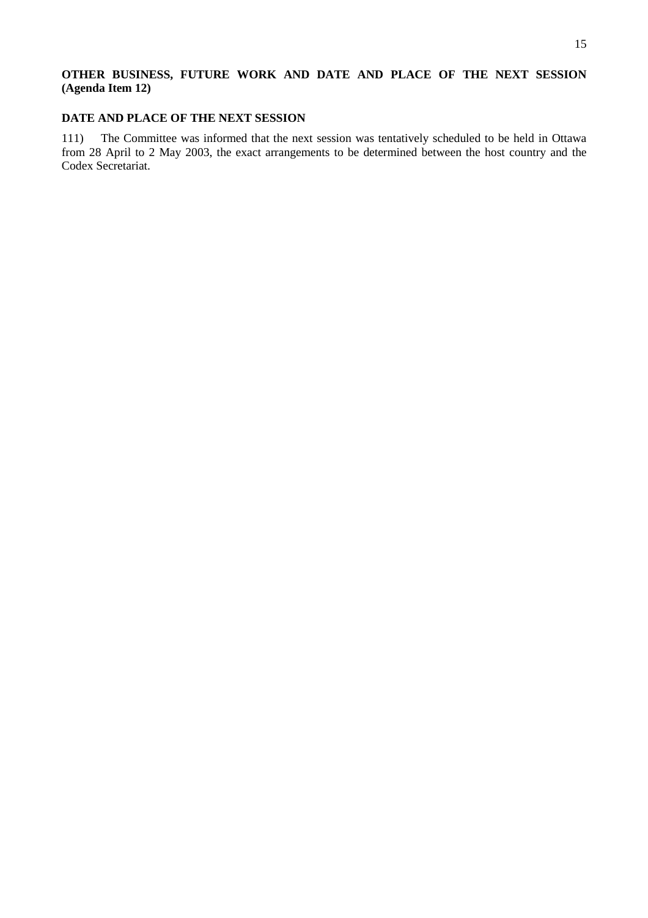## **OTHER BUSINESS, FUTURE WORK AND DATE AND PLACE OF THE NEXT SESSION (Agenda Item 12)**

## **DATE AND PLACE OF THE NEXT SESSION**

111) The Committee was informed that the next session was tentatively scheduled to be held in Ottawa from 28 April to 2 May 2003, the exact arrangements to be determined between the host country and the Codex Secretariat.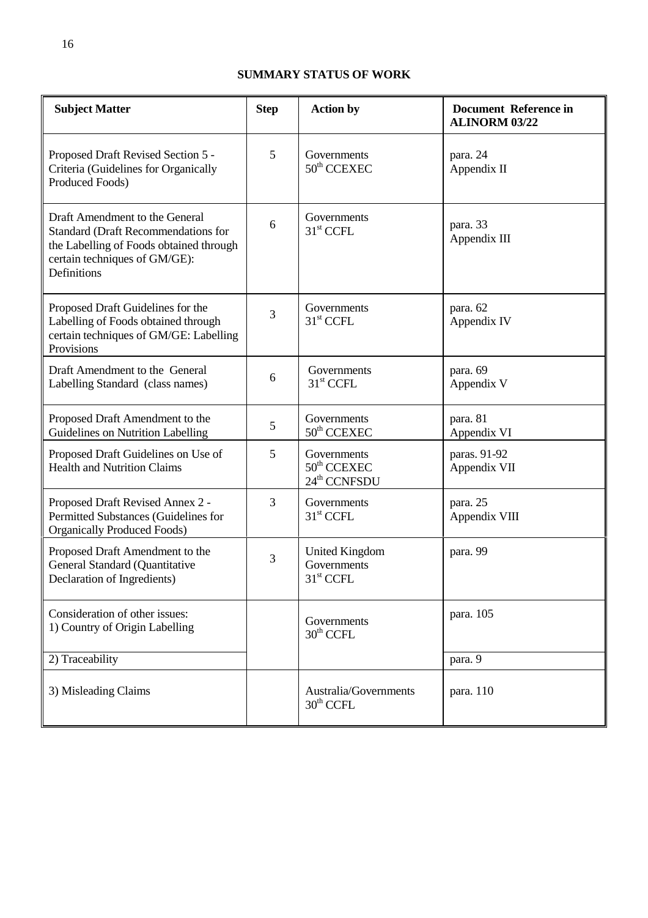## **SUMMARY STATUS OF WORK**

| <b>Subject Matter</b>                                                                                                                                                   | <b>Step</b> | <b>Action by</b>                                              | <b>Document Reference in</b><br><b>ALINORM 03/22</b> |
|-------------------------------------------------------------------------------------------------------------------------------------------------------------------------|-------------|---------------------------------------------------------------|------------------------------------------------------|
| Proposed Draft Revised Section 5 -<br>Criteria (Guidelines for Organically<br>Produced Foods)                                                                           | 5           | Governments<br>$50th$ CCEXEC                                  | para. 24<br>Appendix II                              |
| Draft Amendment to the General<br><b>Standard (Draft Recommendations for</b><br>the Labelling of Foods obtained through<br>certain techniques of GM/GE):<br>Definitions | 6           | Governments<br>$31st$ CCFL                                    | para. 33<br>Appendix III                             |
| Proposed Draft Guidelines for the<br>Labelling of Foods obtained through<br>certain techniques of GM/GE: Labelling<br>Provisions                                        | 3           | Governments<br>31 <sup>st</sup> CCFL                          | para. 62<br>Appendix IV                              |
| Draft Amendment to the General<br>Labelling Standard (class names)                                                                                                      | 6           | Governments<br>31 <sup>st</sup> CCFL                          | para. 69<br>Appendix V                               |
| Proposed Draft Amendment to the<br>Guidelines on Nutrition Labelling                                                                                                    | 5           | Governments<br>50 <sup>th</sup> CCEXEC                        | para. 81<br>Appendix VI                              |
| Proposed Draft Guidelines on Use of<br><b>Health and Nutrition Claims</b>                                                                                               | 5           | Governments<br>$50th$ CCEXEC<br>24 <sup>th</sup> CCNFSDU      | paras. 91-92<br>Appendix VII                         |
| Proposed Draft Revised Annex 2 -<br>Permitted Substances (Guidelines for<br><b>Organically Produced Foods)</b>                                                          | 3           | Governments<br>31 <sup>st</sup> CCFL                          | para. 25<br>Appendix VIII                            |
| Proposed Draft Amendment to the<br>General Standard (Quantitative<br>Declaration of Ingredients)                                                                        | 3           | <b>United Kingdom</b><br>Governments<br>31 <sup>st</sup> CCFL | para. 99                                             |
| Consideration of other issues:<br>1) Country of Origin Labelling                                                                                                        |             | Governments<br>$30th$ CCFL                                    | para. 105                                            |
| 2) Traceability                                                                                                                                                         |             |                                                               | para. 9                                              |
| 3) Misleading Claims                                                                                                                                                    |             | Australia/Governments<br>$30th$ CCFL                          | para. 110                                            |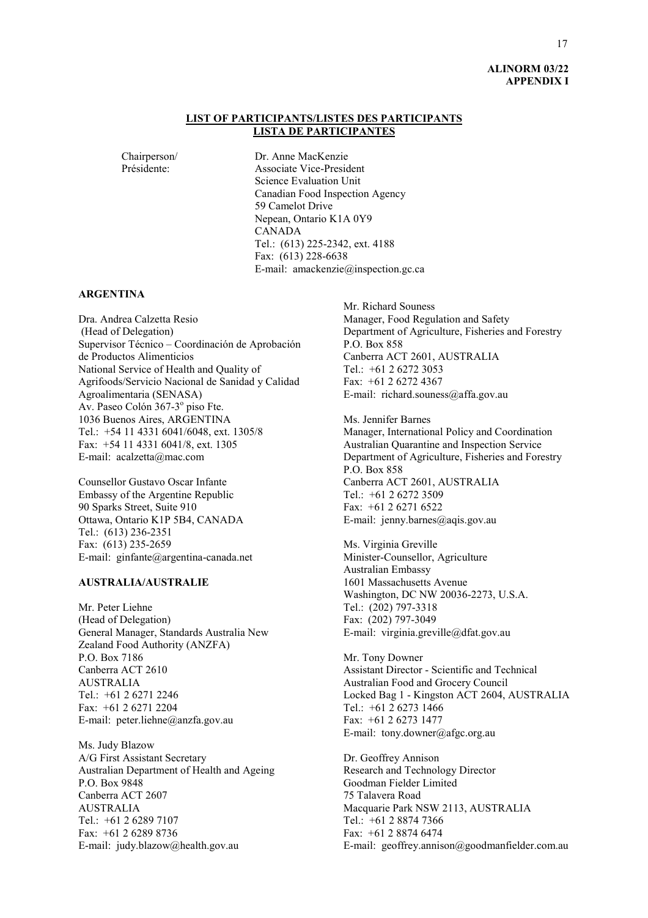## **ALINORM 03/22 APPENDIX I**

#### **LIST OF PARTICIPANTS/LISTES DES PARTICIPANTS LISTA DE PARTICIPANTES**

Chairperson/ Dr. Anne MacKenzie Présidente: Associate Vice-President Science Evaluation Unit Canadian Food Inspection Agency 59 Camelot Drive Nepean, Ontario K1A 0Y9 CANADA Tel.: (613) 225-2342, ext. 4188 Fax: (613) 228-6638 E-mail: amackenzie@inspection.gc.ca

#### **ARGENTINA**

Dra. Andrea Calzetta Resio (Head of Delegation) Supervisor Técnico – Coordinación de Aprobación de Productos Alimenticios National Service of Health and Quality of Agrifoods/Servicio Nacional de Sanidad y Calidad Agroalimentaria (SENASA) Av. Paseo Colón 367-3º piso Fte. 1036 Buenos Aires, ARGENTINA Tel.: +54 11 4331 6041/6048, ext. 1305/8 Fax: +54 11 4331 6041/8, ext. 1305 E-mail: acalzetta@mac.com

Counsellor Gustavo Oscar Infante Embassy of the Argentine Republic 90 Sparks Street, Suite 910 Ottawa, Ontario K1P 5B4, CANADA Tel.: (613) 236-2351 Fax: (613) 235-2659 E-mail: ginfante@argentina-canada.net

#### **AUSTRALIA/AUSTRALIE**

Mr. Peter Liehne (Head of Delegation) General Manager, Standards Australia New Zealand Food Authority (ANZFA) P.O. Box 7186 Canberra ACT 2610 AUSTRALIA Tel.: +61 2 6271 2246 Fax: +61 2 6271 2204 E-mail: peter.liehne@anzfa.gov.au

Ms. Judy Blazow A/G First Assistant Secretary Australian Department of Health and Ageing P.O. Box 9848 Canberra ACT 2607 AUSTRALIA Tel.: +61 2 6289 7107 Fax: +61 2 6289 8736 E-mail: judy.blazow@health.gov.au

Mr. Richard Souness Manager, Food Regulation and Safety Department of Agriculture, Fisheries and Forestry P.O. Box 858 Canberra ACT 2601, AUSTRALIA Tel.: +61 2 6272 3053 Fax: +61 2 6272 4367 E-mail: richard.souness@affa.gov.au

Ms. Jennifer Barnes Manager, International Policy and Coordination Australian Quarantine and Inspection Service Department of Agriculture, Fisheries and Forestry P.O. Box 858 Canberra ACT 2601, AUSTRALIA Tel.: +61 2 6272 3509 Fax: +61 2 6271 6522 E-mail: jenny.barnes@aqis.gov.au

Ms. Virginia Greville Minister-Counsellor, Agriculture Australian Embassy 1601 Massachusetts Avenue Washington, DC NW 20036-2273, U.S.A. Tel.: (202) 797-3318 Fax: (202) 797-3049 E-mail: virginia.greville@dfat.gov.au

Mr. Tony Downer Assistant Director - Scientific and Technical Australian Food and Grocery Council Locked Bag 1 - Kingston ACT 2604, AUSTRALIA Tel.: +61 2 6273 1466 Fax: +61 2 6273 1477 E-mail: tony.downer@afgc.org.au

Dr. Geoffrey Annison Research and Technology Director Goodman Fielder Limited 75 Talavera Road Macquarie Park NSW 2113, AUSTRALIA Tel.: +61 2 8874 7366 Fax: +61 2 8874 6474 E-mail: geoffrey.annison@goodmanfielder.com.au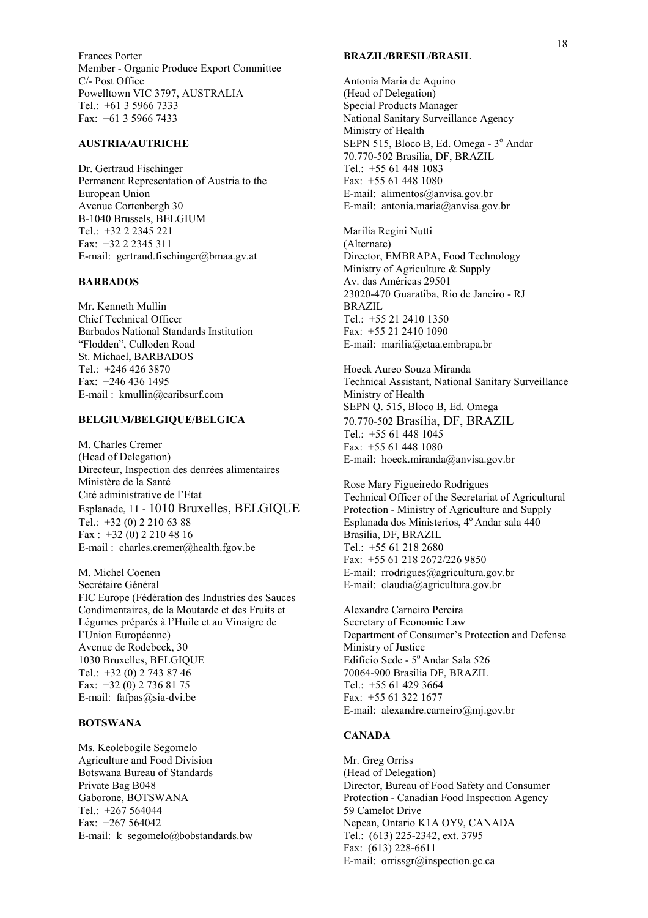Frances Porter Member - Organic Produce Export Committee C/- Post Office Powelltown VIC 3797, AUSTRALIA Tel.: +61 3 5966 7333 Fax: +61 3 5966 7433

#### **AUSTRIA/AUTRICHE**

Dr. Gertraud Fischinger Permanent Representation of Austria to the European Union Avenue Cortenbergh 30 B-1040 Brussels, BELGIUM Tel.: +32 2 2345 221 Fax: +32 2 2345 311 E-mail: gertraud.fischinger@bmaa.gv.at

#### **BARBADOS**

Mr. Kenneth Mullin Chief Technical Officer Barbados National Standards Institution ìFloddenî, Culloden Road St. Michael, BARBADOS Tel.: +246 426 3870 Fax: +246 436 1495 E-mail : kmullin@caribsurf.com

#### **BELGIUM/BELGIQUE/BELGICA**

M. Charles Cremer (Head of Delegation) Directeur, Inspection des denrées alimentaires Ministère de la Santé Cité administrative de l'Etat Esplanade, 11 - 1010 Bruxelles, BELGIQUE Tel.: +32 (0) 2 210 63 88 Fax : +32 (0) 2 210 48 16 E-mail : charles.cremer@health.fgov.be

M. Michel Coenen Secrétaire Général FIC Europe (FÈdÈration des Industries des Sauces Condimentaires, de la Moutarde et des Fruits et Légumes préparés à l'Huile et au Vinaigre de l'Union Européenne) Avenue de Rodebeek, 30 1030 Bruxelles, BELGIQUE Tel.: +32 (0) 2 743 87 46 Fax: +32 (0) 2 736 81 75 E-mail: fafpas@sia-dvi.be

#### **BOTSWANA**

Ms. Keolebogile Segomelo Agriculture and Food Division Botswana Bureau of Standards Private Bag B048 Gaborone, BOTSWANA Tel.: +267 564044 Fax: +267 564042 E-mail: k segomelo@bobstandards.bw

#### **BRAZIL/BRESIL/BRASIL**

Antonia Maria de Aquino (Head of Delegation) Special Products Manager National Sanitary Surveillance Agency Ministry of Health SEPN 515, Bloco B, Ed. Omega - 3° Andar 70.770-502 BrasÌlia, DF, BRAZIL Tel.: +55 61 448 1083 Fax: +55 61 448 1080 E-mail: alimentos@anvisa.gov.br E-mail: antonia.maria@anvisa.gov.br

Marilia Regini Nutti (Alternate) Director, EMBRAPA, Food Technology Ministry of Agriculture & Supply Av. das AmÈricas 29501 23020-470 Guaratiba, Rio de Janeiro - RJ BRAZIL Tel.: +55 21 2410 1350 Fax: +55 21 2410 1090 E-mail: marilia@ctaa.embrapa.br

Hoeck Aureo Souza Miranda Technical Assistant, National Sanitary Surveillance Ministry of Health SEPN Q. 515, Bloco B, Ed. Omega 70.770-502 BrasÌlia, DF, BRAZIL Tel.: +55 61 448 1045 Fax: +55 61 448 1080 E-mail: hoeck.miranda@anvisa.gov.br

Rose Mary Figueiredo Rodrigues Technical Officer of the Secretariat of Agricultural Protection - Ministry of Agriculture and Supply Esplanada dos Ministerios, 4º Andar sala 440 Brasília, DF, BRAZIL Tel.: +55 61 218 2680 Fax: +55 61 218 2672/226 9850 E-mail: rrodrigues@agricultura.gov.br E-mail: claudia@agricultura.gov.br

Alexandre Carneiro Pereira Secretary of Economic Law Department of Consumer's Protection and Defense Ministry of Justice Edifício Sede - 5º Andar Sala 526 70064-900 Brasilia DF, BRAZIL Tel.: +55 61 429 3664 Fax: +55 61 322 1677 E-mail: alexandre.carneiro@mj.gov.br

#### **CANADA**

Mr. Greg Orriss (Head of Delegation) Director, Bureau of Food Safety and Consumer Protection - Canadian Food Inspection Agency 59 Camelot Drive Nepean, Ontario K1A OY9, CANADA Tel.: (613) 225-2342, ext. 3795 Fax: (613) 228-6611 E-mail: orrissgr@inspection.gc.ca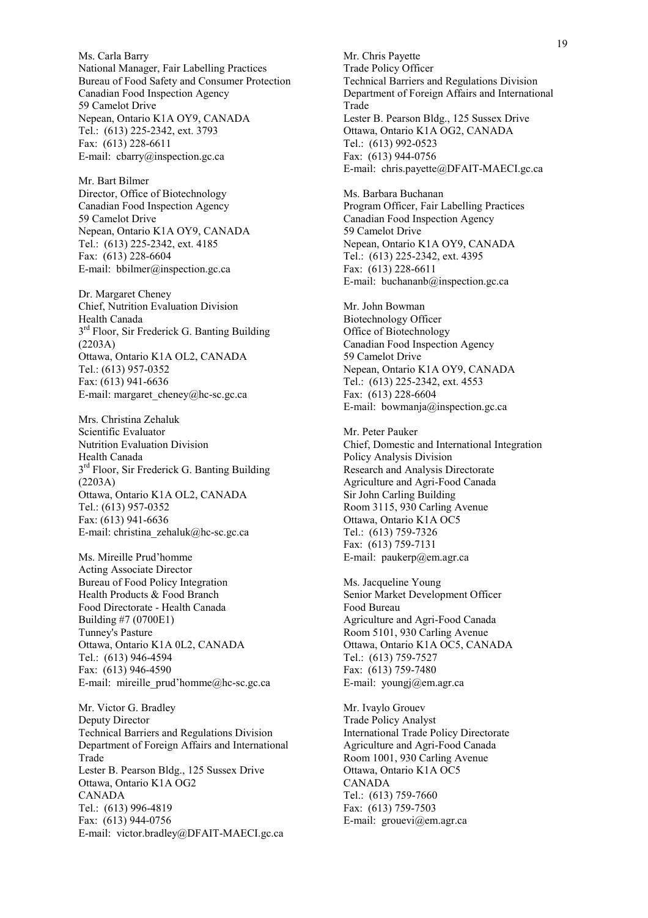Ms. Carla Barry National Manager, Fair Labelling Practices Bureau of Food Safety and Consumer Protection Canadian Food Inspection Agency 59 Camelot Drive Nepean, Ontario K1A OY9, CANADA Tel.: (613) 225-2342, ext. 3793 Fax: (613) 228-6611 E-mail: cbarry@inspection.gc.ca

Mr. Bart Bilmer Director, Office of Biotechnology Canadian Food Inspection Agency 59 Camelot Drive Nepean, Ontario K1A OY9, CANADA Tel.: (613) 225-2342, ext. 4185 Fax: (613) 228-6604 E-mail: bbilmer@inspection.gc.ca

Dr. Margaret Cheney Chief, Nutrition Evaluation Division Health Canada  $3<sup>rd</sup>$  Floor, Sir Frederick G. Banting Building (2203A) Ottawa, Ontario K1A OL2, CANADA Tel.: (613) 957-0352 Fax: (613) 941-6636 E-mail: margaret\_cheney@hc-sc.gc.ca

Mrs. Christina Zehaluk Scientific Evaluator Nutrition Evaluation Division Health Canada 3<sup>rd</sup> Floor, Sir Frederick G. Banting Building (2203A) Ottawa, Ontario K1A OL2, CANADA Tel.: (613) 957-0352 Fax: (613) 941-6636 E-mail: christina\_zehaluk@hc-sc.gc.ca

Ms. Mireille Prud'homme Acting Associate Director Bureau of Food Policy Integration Health Products & Food Branch Food Directorate - Health Canada Building #7 (0700E1) Tunney's Pasture Ottawa, Ontario K1A 0L2, CANADA Tel.: (613) 946-4594 Fax: (613) 946-4590 E-mail: mireille prud'homme@hc-sc.gc.ca

Mr. Victor G. Bradley Deputy Director Technical Barriers and Regulations Division Department of Foreign Affairs and International Trade Lester B. Pearson Bldg., 125 Sussex Drive Ottawa, Ontario K1A OG2 CANADA Tel.: (613) 996-4819 Fax: (613) 944-0756 E-mail: victor.bradley@DFAIT-MAECI.gc.ca

Mr. Chris Payette Trade Policy Officer Technical Barriers and Regulations Division Department of Foreign Affairs and International Trade Lester B. Pearson Bldg., 125 Sussex Drive Ottawa, Ontario K1A OG2, CANADA Tel.: (613) 992-0523 Fax: (613) 944-0756 E-mail: chris.payette@DFAIT-MAECI.gc.ca

Ms. Barbara Buchanan Program Officer, Fair Labelling Practices Canadian Food Inspection Agency 59 Camelot Drive Nepean, Ontario K1A OY9, CANADA Tel.: (613) 225-2342, ext. 4395 Fax: (613) 228-6611 E-mail: buchananb@inspection.gc.ca

Mr. John Bowman Biotechnology Officer Office of Biotechnology Canadian Food Inspection Agency 59 Camelot Drive Nepean, Ontario K1A OY9, CANADA Tel.: (613) 225-2342, ext. 4553 Fax: (613) 228-6604 E-mail: bowmanja@inspection.gc.ca

Mr. Peter Pauker Chief, Domestic and International Integration Policy Analysis Division Research and Analysis Directorate Agriculture and Agri-Food Canada Sir John Carling Building Room 3115, 930 Carling Avenue Ottawa, Ontario K1A OC5 Tel.: (613) 759-7326 Fax: (613) 759-7131 E-mail: paukerp@em.agr.ca

Ms. Jacqueline Young Senior Market Development Officer Food Bureau Agriculture and Agri-Food Canada Room 5101, 930 Carling Avenue Ottawa, Ontario K1A OC5, CANADA Tel.: (613) 759-7527 Fax: (613) 759-7480 E-mail: youngj@em.agr.ca

Mr. Ivaylo Grouev Trade Policy Analyst International Trade Policy Directorate Agriculture and Agri-Food Canada Room 1001, 930 Carling Avenue Ottawa, Ontario K1A OC5 CANADA Tel.: (613) 759-7660 Fax: (613) 759-7503 E-mail: grouevi@em.agr.ca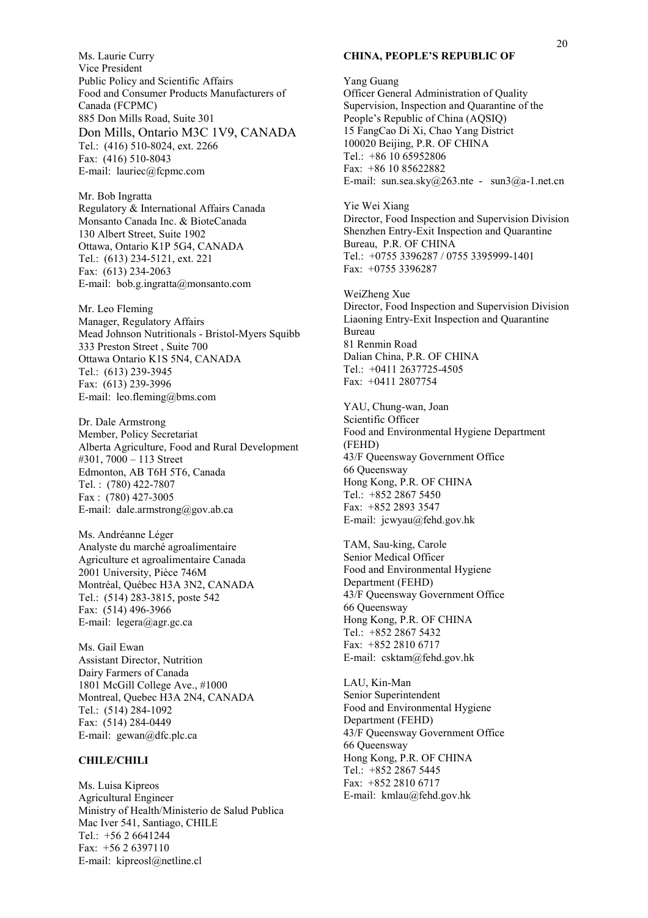Ms. Laurie Curry Vice President Public Policy and Scientific Affairs Food and Consumer Products Manufacturers of Canada (FCPMC) 885 Don Mills Road, Suite 301 Don Mills, Ontario M3C 1V9, CANADA Tel.: (416) 510-8024, ext. 2266 Fax: (416) 510-8043 E-mail: lauriec@fcpmc.com

Mr. Bob Ingratta Regulatory & International Affairs Canada Monsanto Canada Inc. & BioteCanada 130 Albert Street, Suite 1902 Ottawa, Ontario K1P 5G4, CANADA Tel.: (613) 234-5121, ext. 221 Fax: (613) 234-2063 E-mail: bob.g.ingratta@monsanto.com

Mr. Leo Fleming Manager, Regulatory Affairs Mead Johnson Nutritionals - Bristol-Myers Squibb 333 Preston Street , Suite 700 Ottawa Ontario K1S 5N4, CANADA Tel.: (613) 239-3945 Fax: (613) 239-3996 E-mail: leo.fleming@bms.com

Dr. Dale Armstrong Member, Policy Secretariat Alberta Agriculture, Food and Rural Development #301,  $7000 - 113$  Street Edmonton, AB T6H 5T6, Canada Tel. : (780) 422-7807 Fax : (780) 427-3005 E-mail: dale.armstrong@gov.ab.ca

Ms. Andréanne Léger Analyste du marché agroalimentaire Agriculture et agroalimentaire Canada 2001 University, Pièce 746M Montréal, Québec H3A 3N2, CANADA Tel.: (514) 283-3815, poste 542 Fax: (514) 496-3966 E-mail: legera@agr.gc.ca

Ms. Gail Ewan Assistant Director, Nutrition Dairy Farmers of Canada 1801 McGill College Ave., #1000 Montreal, Quebec H3A 2N4, CANADA Tel.: (514) 284-1092 Fax: (514) 284-0449 E-mail: gewan@dfc.plc.ca

#### **CHILE/CHILI**

Ms. Luisa Kipreos Agricultural Engineer Ministry of Health/Ministerio de Salud Publica Mac Iver 541, Santiago, CHILE Tel.: +56 2 6641244 Fax: +56 2 6397110 E-mail: kipreosl@netline.cl

#### **CHINA, PEOPLE'S REPUBLIC OF**

Yang Guang Officer General Administration of Quality Supervision, Inspection and Quarantine of the People's Republic of China (AQSIQ) 15 FangCao Di Xi, Chao Yang District 100020 Beijing, P.R. OF CHINA Tel.: +86 10 65952806 Fax: +86 10 85622882 E-mail: sun.sea.sky@263.nte - sun3@a-1.net.cn

Yie Wei Xiang Director, Food Inspection and Supervision Division Shenzhen Entry-Exit Inspection and Quarantine Bureau, P.R. OF CHINA Tel.: +0755 3396287 / 0755 3395999-1401 Fax: +0755 3396287

WeiZheng Xue Director, Food Inspection and Supervision Division Liaoning Entry-Exit Inspection and Quarantine Bureau 81 Renmin Road Dalian China, P.R. OF CHINA Tel.: +0411 2637725-4505 Fax: +0411 2807754

YAU, Chung-wan, Joan Scientific Officer Food and Environmental Hygiene Department (FEHD) 43/F Queensway Government Office 66 Queensway Hong Kong, P.R. OF CHINA Tel.: +852 2867 5450 Fax: +852 2893 3547 E-mail: jcwyau@fehd.gov.hk

TAM, Sau-king, Carole Senior Medical Officer Food and Environmental Hygiene Department (FEHD) 43/F Queensway Government Office 66 Queensway Hong Kong, P.R. OF CHINA Tel.: +852 2867 5432 Fax: +852 2810 6717 E-mail: csktam@fehd.gov.hk

LAU, Kin-Man Senior Superintendent Food and Environmental Hygiene Department (FEHD) 43/F Queensway Government Office 66 Queensway Hong Kong, P.R. OF CHINA Tel.: +852 2867 5445 Fax: +852 2810 6717 E-mail: kmlau@fehd.gov.hk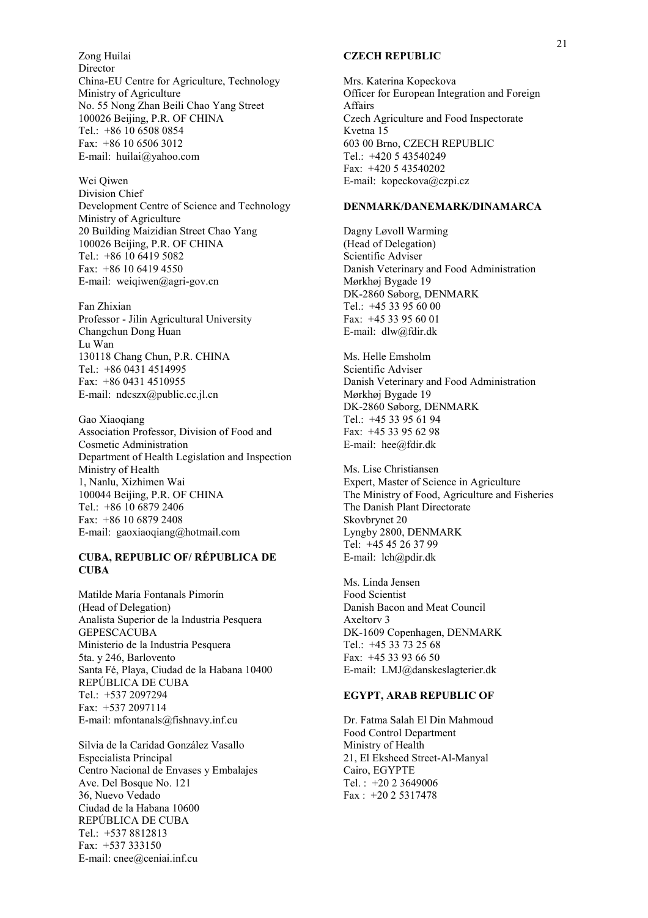Zong Huilai Director China-EU Centre for Agriculture, Technology Ministry of Agriculture No. 55 Nong Zhan Beili Chao Yang Street 100026 Beijing, P.R. OF CHINA Tel.: +86 10 6508 0854 Fax: +86 10 6506 3012 E-mail: huilai@yahoo.com

Wei Qiwen Division Chief Development Centre of Science and Technology Ministry of Agriculture 20 Building Maizidian Street Chao Yang 100026 Beijing, P.R. OF CHINA Tel.: +86 10 6419 5082 Fax: +86 10 6419 4550 E-mail: weiqiwen@agri-gov.cn

Fan Zhixian Professor - Jilin Agricultural University Changchun Dong Huan Lu Wan 130118 Chang Chun, P.R. CHINA Tel.: +86 0431 4514995 Fax: +86 0431 4510955 E-mail: ndcszx@public.cc.jl.cn

Gao Xiaoqiang Association Professor, Division of Food and Cosmetic Administration Department of Health Legislation and Inspection Ministry of Health 1, Nanlu, Xizhimen Wai 100044 Beijing, P.R. OF CHINA Tel.: +86 10 6879 2406 Fax: +86 10 6879 2408 E-mail: gaoxiaoqiang@hotmail.com

#### **CUBA, REPUBLIC OF/ RÉPUBLICA DE CUBA**

Matilde María Fontanals Pimorín (Head of Delegation) Analista Superior de la Industria Pesquera GEPESCACUBA Ministerio de la Industria Pesquera 5ta. y 246, Barlovento Santa FÈ, Playa, Ciudad de la Habana 10400 REP⁄BLICA DE CUBA Tel.: +537 2097294 Fax: +537 2097114 E-mail: mfontanals@fishnavy.inf.cu

Silvia de la Caridad González Vasallo Especialista Principal Centro Nacional de Envases y Embalajes Ave. Del Bosque No. 121 36, Nuevo Vedado Ciudad de la Habana 10600 REPÚBLICA DE CUBA Tel.: +537 8812813 Fax: +537 333150 E-mail: cnee@ceniai.inf.cu

#### **CZECH REPUBLIC**

Mrs. Katerina Kopeckova Officer for European Integration and Foreign **Affairs** Czech Agriculture and Food Inspectorate Kvetna 15 603 00 Brno, CZECH REPUBLIC Tel.: +420 5 43540249 Fax: +420 5 43540202 E-mail: kopeckova@czpi.cz

#### **DENMARK/DANEMARK/DINAMARCA**

Dagny Løvoll Warming (Head of Delegation) Scientific Adviser Danish Veterinary and Food Administration Mørkhøj Bygade 19 DK-2860 Søborg, DENMARK Tel.: +45 33 95 60 00 Fax: +45 33 95 60 01 E-mail: dlw@fdir.dk

Ms. Helle Emsholm Scientific Adviser Danish Veterinary and Food Administration Mørkhøj Bygade 19 DK-2860 Søborg, DENMARK Tel.: +45 33 95 61 94 Fax: +45 33 95 62 98 E-mail: hee@fdir.dk

Ms. Lise Christiansen Expert, Master of Science in Agriculture The Ministry of Food, Agriculture and Fisheries The Danish Plant Directorate Skovbrynet 20 Lyngby 2800, DENMARK Tel: +45 45 26 37 99 E-mail: lch@pdir.dk

Ms. Linda Jensen Food Scientist Danish Bacon and Meat Council Axeltorv 3 DK-1609 Copenhagen, DENMARK Tel.: +45 33 73 25 68 Fax: +45 33 93 66 50 E-mail: LMJ@danskeslagterier.dk

#### **EGYPT, ARAB REPUBLIC OF**

Dr. Fatma Salah El Din Mahmoud Food Control Department Ministry of Health 21, El Eksheed Street-Al-Manyal Cairo, EGYPTE Tel. : +20 2 3649006 Fax : +20 2 5317478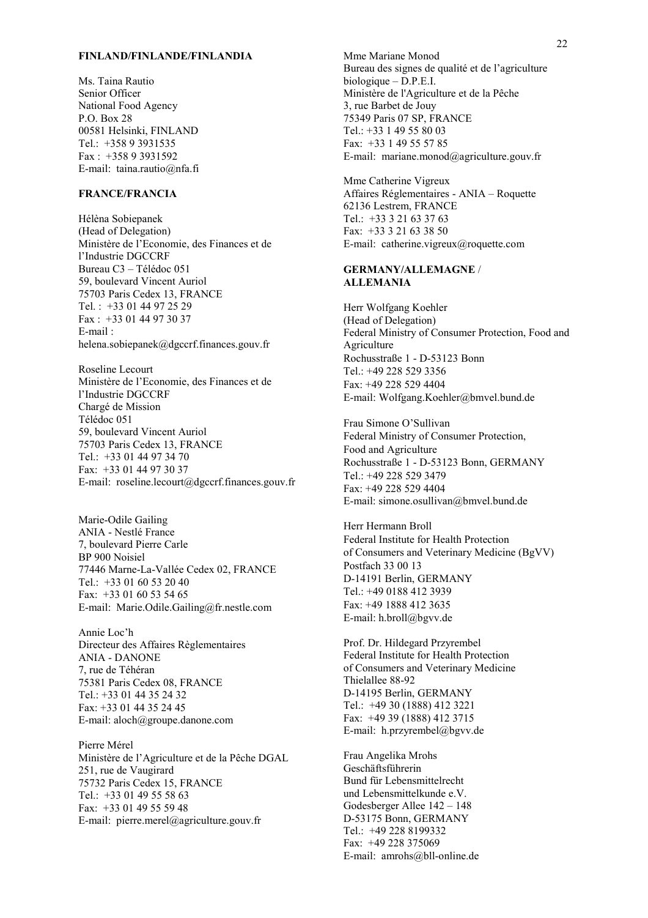#### **FINLAND/FINLANDE/FINLANDIA**

Ms. Taina Rautio Senior Officer National Food Agency P.O. Box 28 00581 Helsinki, FINLAND Tel.: +358 9 3931535 Fax : +358 9 3931592 E-mail: taina.rautio@nfa.fi

#### **FRANCE/FRANCIA**

Hélèna Sobiepanek (Head of Delegation) Ministère de l'Economie, des Finances et de l'Industrie DGCCRF Bureau C3 - Télédoc 051 59, boulevard Vincent Auriol 75703 Paris Cedex 13, FRANCE Tel. : +33 01 44 97 25 29 Fax : +33 01 44 97 30 37 E-mail : helena.sobiepanek@dgccrf.finances.gouv.fr

Roseline Lecourt Ministère de l'Economie, des Finances et de l'Industrie DGCCRF ChargÈ de Mission TÈlÈdoc 051 59, boulevard Vincent Auriol 75703 Paris Cedex 13, FRANCE Tel.: +33 01 44 97 34 70 Fax: +33 01 44 97 30 37 E-mail: roseline.lecourt@dgccrf.finances.gouv.fr

Marie-Odile Gailing ANIA - NestlÈ France 7, boulevard Pierre Carle BP 900 Noisiel 77446 Marne-La-Vallée Cedex 02, FRANCE Tel.: +33 01 60 53 20 40 Fax: +33 01 60 53 54 65 E-mail: Marie.Odile.Gailing@fr.nestle.com

Annie Loc'h Directeur des Affaires Règlementaires ANIA - DANONE 7, rue de Téhéran 75381 Paris Cedex 08, FRANCE Tel.: +33 01 44 35 24 32 Fax: +33 01 44 35 24 45 E-mail: aloch@groupe.danone.com

Pierre Mérel Ministère de l'Agriculture et de la Pêche DGAL 251, rue de Vaugirard 75732 Paris Cedex 15, FRANCE Tel.: +33 01 49 55 58 63 Fax: +33 01 49 55 59 48 E-mail: pierre.merel@agriculture.gouv.fr

Mme Mariane Monod Bureau des signes de qualité et de l'agriculture  $biologicue - D.P.E.I.$ Ministère de l'Agriculture et de la Pêche 3, rue Barbet de Jouy 75349 Paris 07 SP, FRANCE Tel.: +33 1 49 55 80 03 Fax: +33 1 49 55 57 85 E-mail: mariane.monod@agriculture.gouv.fr

Mme Catherine Vigreux Affaires Réglementaires - ANIA - Roquette 62136 Lestrem, FRANCE Tel.: +33 3 21 63 37 63 Fax: +33 3 21 63 38 50 E-mail: catherine.vigreux@roquette.com

#### **GERMANY/ALLEMAGNE** / **ALLEMANIA**

Herr Wolfgang Koehler (Head of Delegation) Federal Ministry of Consumer Protection, Food and **Agriculture** Rochusstraße 1 - D-53123 Bonn Tel.: +49 228 529 3356 Fax: +49 228 529 4404 E-mail: Wolfgang.Koehler@bmvel.bund.de

Frau Simone O'Sullivan Federal Ministry of Consumer Protection, Food and Agriculture Rochusstraße 1 - D-53123 Bonn, GERMANY Tel.: +49 228 529 3479 Fax: +49 228 529 4404 E-mail: simone.osullivan@bmvel.bund.de

Herr Hermann Broll Federal Institute for Health Protection of Consumers and Veterinary Medicine (BgVV) Postfach 33 00 13 D-14191 Berlin, GERMANY Tel.: +49 0188 412 3939 Fax: +49 1888 412 3635 E-mail: h.broll@bgvv.de

Prof. Dr. Hildegard Przyrembel Federal Institute for Health Protection of Consumers and Veterinary Medicine Thielallee 88-92 D-14195 Berlin, GERMANY Tel.: +49 30 (1888) 412 3221 Fax: +49 39 (1888) 412 3715 E-mail: h.przyrembel@bgvv.de

Frau Angelika Mrohs Geschäftsführerin Bund für Lebensmittelrecht und Lebensmittelkunde e.V. Godesberger Allee  $142 - 148$ D-53175 Bonn, GERMANY Tel.: +49 228 8199332 Fax: +49 228 375069 E-mail: amrohs@bll-online.de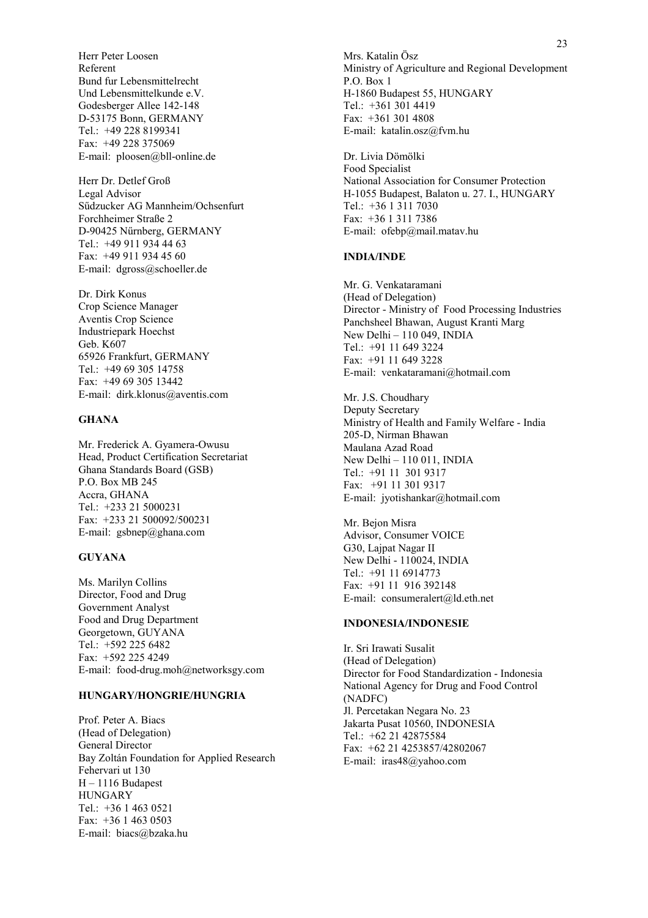Herr Peter Loosen Referent Bund fur Lebensmittelrecht Und Lebensmittelkunde e.V. Godesberger Allee 142-148 D-53175 Bonn, GERMANY Tel.: +49 228 8199341 Fax: +49 228 375069 E-mail: ploosen@bll-online.de

Herr Dr. Detlef Grofl Legal Advisor Sűdzucker AG Mannheim/Ochsenfurt Forchheimer Straße 2 D-90425 Nűrnberg, GERMANY Tel.: +49 911 934 44 63 Fax: +49 911 934 45 60 E-mail: dgross@schoeller.de

Dr. Dirk Konus Crop Science Manager Aventis Crop Science Industriepark Hoechst Geb. K607 65926 Frankfurt, GERMANY Tel.: +49 69 305 14758 Fax: +49 69 305 13442 E-mail: dirk.klonus@aventis.com

#### **GHANA**

Mr. Frederick A. Gyamera-Owusu Head, Product Certification Secretariat Ghana Standards Board (GSB) P.O. Box MB 245 Accra, GHANA Tel.: +233 21 5000231 Fax: +233 21 500092/500231 E-mail: gsbnep@ghana.com

#### **GUYANA**

Ms. Marilyn Collins Director, Food and Drug Government Analyst Food and Drug Department Georgetown, GUYANA Tel.: +592 225 6482 Fax: +592 225 4249 E-mail: food-drug.moh@networksgy.com

#### **HUNGARY/HONGRIE/HUNGRIA**

Prof. Peter A. Biacs (Head of Delegation) General Director Bay Zoltán Foundation for Applied Research Fehervari ut 130  $H - 1116$  Budapest HUNGARY Tel.: +36 1 463 0521 Fax: +36 1 463 0503 E-mail: biacs@bzaka.hu

Mrs. Katalin Ösz Ministry of Agriculture and Regional Development P.O. Box 1 H-1860 Budapest 55, HUNGARY Tel.: +361 301 4419 Fax: +361 301 4808 E-mail: katalin.osz@fvm.hu

Dr. Livia Dömölki Food Specialist National Association for Consumer Protection H-1055 Budapest, Balaton u. 27. I., HUNGARY Tel.: +36 1 311 7030 Fax: +36 1 311 7386 E-mail: ofebp@mail.matav.hu

#### **INDIA/INDE**

Mr. G. Venkataramani (Head of Delegation) Director - Ministry of Food Processing Industries Panchsheel Bhawan, August Kranti Marg New Delhi  $-110049$ , INDIA Tel.: +91 11 649 3224 Fax: +91 11 649 3228 E-mail: venkataramani@hotmail.com

Mr. J.S. Choudhary Deputy Secretary Ministry of Health and Family Welfare - India 205-D, Nirman Bhawan Maulana Azad Road New Delhi - 110 011, INDIA Tel.: +91 11 301 9317 Fax: +91 11 301 9317 E-mail: jyotishankar@hotmail.com

Mr. Bejon Misra Advisor, Consumer VOICE G30, Lajpat Nagar II New Delhi - 110024, INDIA Tel.: +91 11 6914773 Fax: +91 11 916 392148 E-mail: consumeralert@ld.eth.net

#### **INDONESIA/INDONESIE**

Ir. Sri Irawati Susalit (Head of Delegation) Director for Food Standardization - Indonesia National Agency for Drug and Food Control (NADFC) Jl. Percetakan Negara No. 23 Jakarta Pusat 10560, INDONESIA Tel.: +62 21 42875584 Fax: +62 21 4253857/42802067 E-mail: iras48@yahoo.com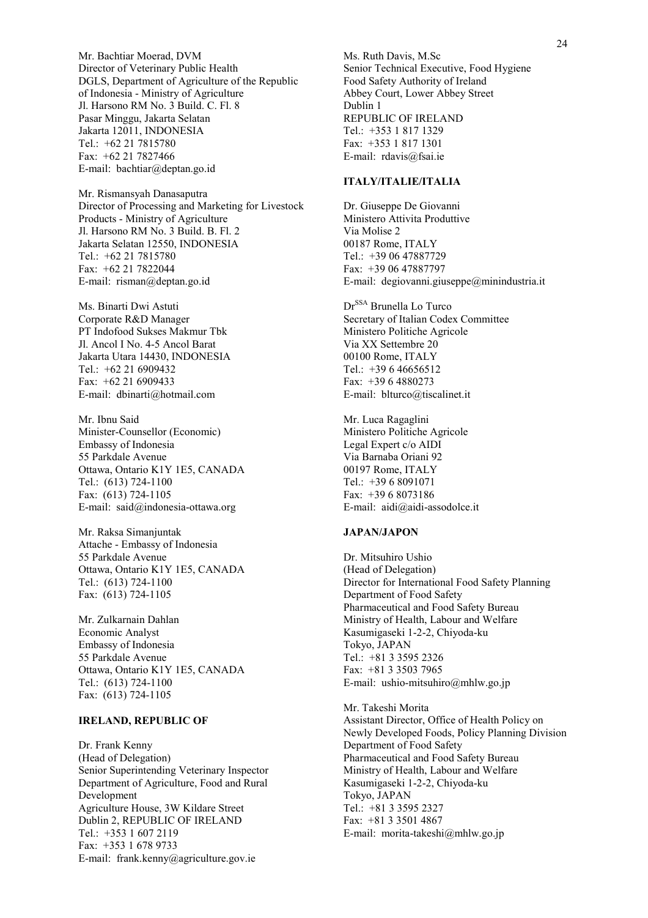Mr. Bachtiar Moerad, DVM Director of Veterinary Public Health DGLS, Department of Agriculture of the Republic of Indonesia - Ministry of Agriculture Jl. Harsono RM No. 3 Build. C. Fl. 8 Pasar Minggu, Jakarta Selatan Jakarta 12011, INDONESIA Tel.: +62 21 7815780 Fax: +62 21 7827466 E-mail: bachtiar@deptan.go.id

Mr. Rismansyah Danasaputra Director of Processing and Marketing for Livestock Products - Ministry of Agriculture Jl. Harsono RM No. 3 Build. B. Fl. 2 Jakarta Selatan 12550, INDONESIA Tel.: +62 21 7815780 Fax: +62 21 7822044 E-mail: risman@deptan.go.id

Ms. Binarti Dwi Astuti Corporate R&D Manager PT Indofood Sukses Makmur Tbk Jl. Ancol I No. 4-5 Ancol Barat Jakarta Utara 14430, INDONESIA Tel.: +62 21 6909432 Fax: +62 21 6909433 E-mail: dbinarti@hotmail.com

Mr. Ibnu Said Minister-Counsellor (Economic) Embassy of Indonesia 55 Parkdale Avenue Ottawa, Ontario K1Y 1E5, CANADA Tel.: (613) 724-1100 Fax: (613) 724-1105 E-mail: said@indonesia-ottawa.org

Mr. Raksa Simanjuntak Attache - Embassy of Indonesia 55 Parkdale Avenue Ottawa, Ontario K1Y 1E5, CANADA Tel.: (613) 724-1100 Fax: (613) 724-1105

Mr. Zulkarnain Dahlan Economic Analyst Embassy of Indonesia 55 Parkdale Avenue Ottawa, Ontario K1Y 1E5, CANADA Tel.: (613) 724-1100 Fax: (613) 724-1105

#### **IRELAND, REPUBLIC OF**

Dr. Frank Kenny (Head of Delegation) Senior Superintending Veterinary Inspector Department of Agriculture, Food and Rural Development Agriculture House, 3W Kildare Street Dublin 2, REPUBLIC OF IRELAND Tel:  $+35316072119$ Fax: +353 1 678 9733 E-mail: frank.kenny@agriculture.gov.ie

Ms. Ruth Davis, M.Sc Senior Technical Executive, Food Hygiene Food Safety Authority of Ireland Abbey Court, Lower Abbey Street Dublin 1 REPUBLIC OF IRELAND Tel.: +353 1 817 1329 Fax: +353 1 817 1301 E-mail: rdavis@fsai.ie

#### **ITALY/ITALIE/ITALIA**

Dr. Giuseppe De Giovanni Ministero Attivita Produttive Via Molise 2 00187 Rome, ITALY Tel.: +39 06 47887729 Fax: +39 06 47887797 E-mail: degiovanni.giuseppe@minindustria.it

Dr<sup>SSA</sup> Brunella Lo Turco Secretary of Italian Codex Committee Ministero Politiche Agricole Via XX Settembre 20 00100 Rome, ITALY Tel.: +39 6 46656512 Fax: +39 6 4880273 E-mail: blturco@tiscalinet.it

Mr. Luca Ragaglini Ministero Politiche Agricole Legal Expert c/o AIDI Via Barnaba Oriani 92 00197 Rome, ITALY Tel.: +39 6 8091071 Fax: +39 6 8073186 E-mail: aidi@aidi-assodolce.it

#### **JAPAN/JAPON**

Dr. Mitsuhiro Ushio (Head of Delegation) Director for International Food Safety Planning Department of Food Safety Pharmaceutical and Food Safety Bureau Ministry of Health, Labour and Welfare Kasumigaseki 1-2-2, Chiyoda-ku Tokyo, JAPAN Tel.: +81 3 3595 2326 Fax: +81 3 3503 7965 E-mail: ushio-mitsuhiro@mhlw.go.jp

Mr. Takeshi Morita Assistant Director, Office of Health Policy on Newly Developed Foods, Policy Planning Division Department of Food Safety Pharmaceutical and Food Safety Bureau Ministry of Health, Labour and Welfare Kasumigaseki 1-2-2, Chiyoda-ku Tokyo, JAPAN Tel.: +81 3 3595 2327 Fax: +81 3 3501 4867 E-mail: morita-takeshi@mhlw.go.jp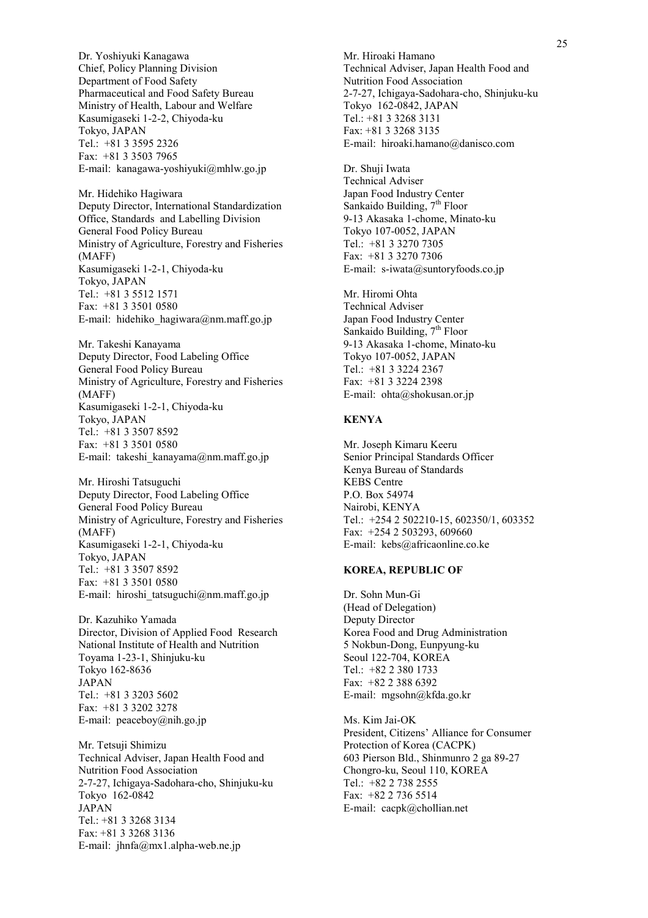Dr. Yoshiyuki Kanagawa Chief, Policy Planning Division Department of Food Safety Pharmaceutical and Food Safety Bureau Ministry of Health, Labour and Welfare Kasumigaseki 1-2-2, Chiyoda-ku Tokyo, JAPAN Tel.: +81 3 3595 2326 Fax: +81 3 3503 7965 E-mail: kanagawa-yoshiyuki@mhlw.go.jp

Mr. Hidehiko Hagiwara Deputy Director, International Standardization Office, Standards and Labelling Division General Food Policy Bureau Ministry of Agriculture, Forestry and Fisheries (MAFF) Kasumigaseki 1-2-1, Chiyoda-ku Tokyo, JAPAN Tel.: +81 3 5512 1571 Fax: +81 3 3501 0580 E-mail: hidehiko\_hagiwara@nm.maff.go.jp

Mr. Takeshi Kanayama Deputy Director, Food Labeling Office General Food Policy Bureau Ministry of Agriculture, Forestry and Fisheries (MAFF) Kasumigaseki 1-2-1, Chiyoda-ku Tokyo, JAPAN Tel.: +81 3 3507 8592 Fax: +81 3 3501 0580 E-mail: takeshi\_kanayama@nm.maff.go.jp

Mr. Hiroshi Tatsuguchi Deputy Director, Food Labeling Office General Food Policy Bureau Ministry of Agriculture, Forestry and Fisheries (MAFF) Kasumigaseki 1-2-1, Chiyoda-ku Tokyo, JAPAN Tel.: +81 3 3507 8592 Fax: +81 3 3501 0580 E-mail: hiroshi\_tatsuguchi@nm.maff.go.jp

Dr. Kazuhiko Yamada Director, Division of Applied Food Research National Institute of Health and Nutrition Toyama 1-23-1, Shinjuku-ku Tokyo 162-8636 JAPAN Tel.: +81 3 3203 5602 Fax: +81 3 3202 3278 E-mail: peaceboy@nih.go.jp

Mr. Tetsuji Shimizu Technical Adviser, Japan Health Food and Nutrition Food Association 2-7-27, Ichigaya-Sadohara-cho, Shinjuku-ku Tokyo 162-0842 JAPAN Tel.: +81 3 3268 3134 Fax: +81 3 3268 3136 E-mail: jhnfa@mx1.alpha-web.ne.jp

Mr. Hiroaki Hamano Technical Adviser, Japan Health Food and Nutrition Food Association 2-7-27, Ichigaya-Sadohara-cho, Shinjuku-ku Tokyo 162-0842, JAPAN Tel.: +81 3 3268 3131 Fax: +81 3 3268 3135 E-mail: hiroaki.hamano@danisco.com

Dr. Shuji Iwata Technical Adviser Japan Food Industry Center Sankaido Building,  $7<sup>th</sup>$  Floor 9-13 Akasaka 1-chome, Minato-ku Tokyo 107-0052, JAPAN Tel.: +81 3 3270 7305 Fax: +81 3 3270 7306 E-mail: s-iwata@suntoryfoods.co.jp

Mr. Hiromi Ohta Technical Adviser Japan Food Industry Center Sankaido Building,  $7<sup>th</sup>$  Floor 9-13 Akasaka 1-chome, Minato-ku Tokyo 107-0052, JAPAN Tel.: +81 3 3224 2367 Fax: +81 3 3224 2398 E-mail: ohta@shokusan.or.jp

#### **KENYA**

Mr. Joseph Kimaru Keeru Senior Principal Standards Officer Kenya Bureau of Standards KEBS Centre P.O. Box 54974 Nairobi, KENYA Tel.: +254 2 502210-15, 602350/1, 603352 Fax: +254 2 503293, 609660 E-mail: kebs@africaonline.co.ke

#### **KOREA, REPUBLIC OF**

Dr. Sohn Mun-Gi (Head of Delegation) Deputy Director Korea Food and Drug Administration 5 Nokbun-Dong, Eunpyung-ku Seoul 122-704, KOREA Tel.: +82 2 380 1733 Fax: +82 2 388 6392 E-mail: mgsohn@kfda.go.kr

Ms. Kim Jai-OK President, Citizens' Alliance for Consumer Protection of Korea (CACPK) 603 Pierson Bld., Shinmunro 2 ga 89-27 Chongro-ku, Seoul 110, KOREA Tel.: +82 2 738 2555 Fax: +82 2 736 5514 E-mail: cacpk@chollian.net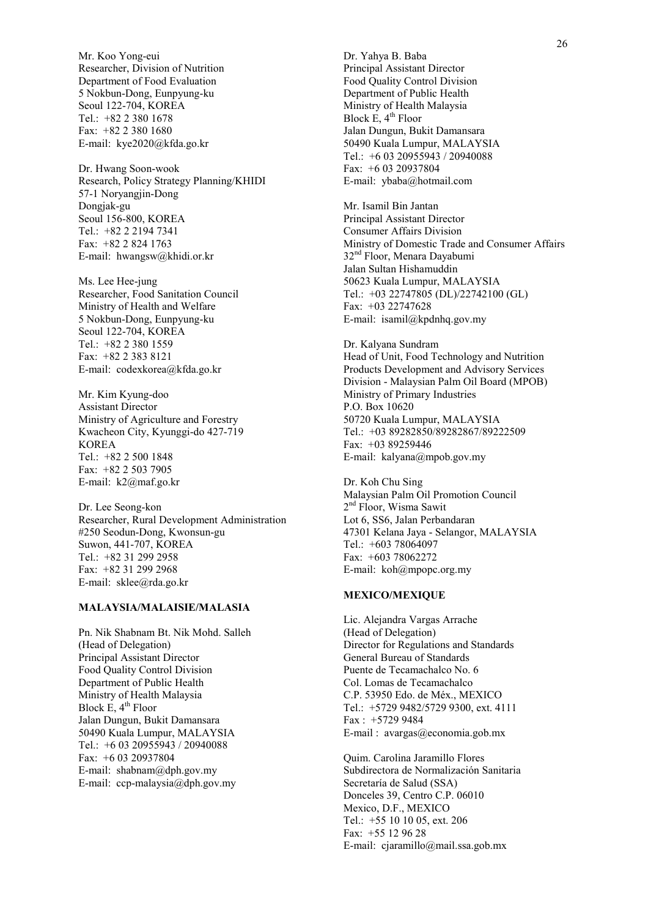Mr. Koo Yong-eui Researcher, Division of Nutrition Department of Food Evaluation 5 Nokbun-Dong, Eunpyung-ku Seoul 122-704, KOREA Tel.: +82 2 380 1678 Fax: +82 2 380 1680 E-mail: kye2020@kfda.go.kr

Dr. Hwang Soon-wook Research, Policy Strategy Planning/KHIDI 57-1 Noryangjin-Dong Dongjak-gu Seoul 156-800, KOREA Tel.: +82 2 2194 7341 Fax: +82 2 824 1763 E-mail: hwangsw@khidi.or.kr

Ms. Lee Hee-jung Researcher, Food Sanitation Council Ministry of Health and Welfare 5 Nokbun-Dong, Eunpyung-ku Seoul 122-704, KOREA Tel.: +82 2 380 1559 Fax: +82 2 383 8121 E-mail: codexkorea@kfda.go.kr

Mr. Kim Kyung-doo Assistant Director Ministry of Agriculture and Forestry Kwacheon City, Kyunggi-do 427-719 KOREA Tel.: +82 2 500 1848 Fax: +82 2 503 7905 E-mail: k2@maf.go.kr

Dr. Lee Seong-kon Researcher, Rural Development Administration #250 Seodun-Dong, Kwonsun-gu Suwon, 441-707, KOREA Tel.: +82 31 299 2958 Fax: +82 31 299 2968 E-mail: sklee@rda.go.kr

#### **MALAYSIA/MALAISIE/MALASIA**

Pn. Nik Shabnam Bt. Nik Mohd. Salleh (Head of Delegation) Principal Assistant Director Food Quality Control Division Department of Public Health Ministry of Health Malaysia Block E,  $4<sup>th</sup>$  Floor Jalan Dungun, Bukit Damansara 50490 Kuala Lumpur, MALAYSIA Tel.: +6 03 20955943 / 20940088 Fax: +6 03 20937804 E-mail: shabnam@dph.gov.my E-mail: ccp-malaysia@dph.gov.my

Dr. Yahya B. Baba Principal Assistant Director Food Quality Control Division Department of Public Health Ministry of Health Malaysia Block  $E$ ,  $4<sup>th</sup>$  Floor Jalan Dungun, Bukit Damansara 50490 Kuala Lumpur, MALAYSIA Tel.: +6 03 20955943 / 20940088 Fax: +6 03 20937804 E-mail: ybaba@hotmail.com

Mr. Isamil Bin Jantan Principal Assistant Director Consumer Affairs Division Ministry of Domestic Trade and Consumer Affairs 32<sup>nd</sup> Floor, Menara Dayabumi Jalan Sultan Hishamuddin 50623 Kuala Lumpur, MALAYSIA Tel.: +03 22747805 (DL)/22742100 (GL) Fax: +03 22747628 E-mail: isamil@kpdnhq.gov.my

Dr. Kalyana Sundram Head of Unit, Food Technology and Nutrition Products Development and Advisory Services Division - Malaysian Palm Oil Board (MPOB) Ministry of Primary Industries P.O. Box 10620 50720 Kuala Lumpur, MALAYSIA Tel.: +03 89282850/89282867/89222509 Fax: +03 89259446 E-mail: kalyana@mpob.gov.my

Dr. Koh Chu Sing Malaysian Palm Oil Promotion Council 2<sup>nd</sup> Floor, Wisma Sawit Lot 6, SS6, Jalan Perbandaran 47301 Kelana Jaya - Selangor, MALAYSIA Tel.: +603 78064097 Fax: +603 78062272 E-mail: koh@mpopc.org.my

#### **MEXICO/MEXIQUE**

Lic. Alejandra Vargas Arrache (Head of Delegation) Director for Regulations and Standards General Bureau of Standards Puente de Tecamachalco No. 6 Col. Lomas de Tecamachalco C.P. 53950 Edo. de MÈx., MEXICO Tel.: +5729 9482/5729 9300, ext. 4111 Fax : +5729 9484 E-mail : avargas@economia.gob.mx

Quim. Carolina Jaramillo Flores Subdirectora de Normalización Sanitaria Secretaría de Salud (SSA) Donceles 39, Centro C.P. 06010 Mexico, D.F., MEXICO Tel.: +55 10 10 05, ext. 206 Fax: +55 12 96 28 E-mail: cjaramillo@mail.ssa.gob.mx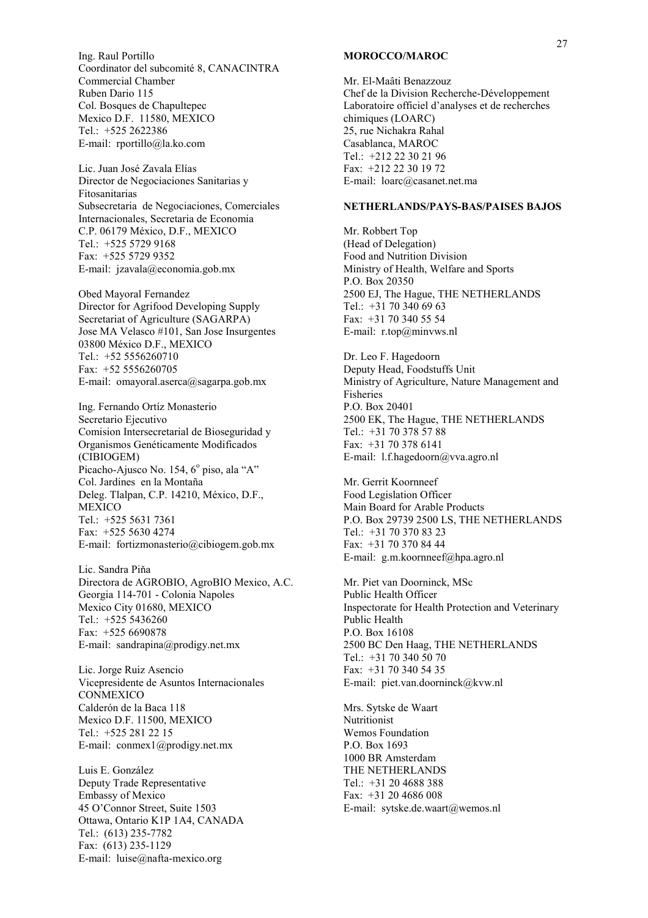Ing. Raul Portillo Coordinator del subcomité 8, CANACINTRA Commercial Chamber Ruben Dario 115 Col. Bosques de Chapultepec Mexico D.F. 11580, MEXICO Tel.: +525 2622386 E-mail: rportillo@la.ko.com

Lic. Juan José Zavala Elías Director de Negociaciones Sanitarias y Fitosanitarias Subsecretaria de Negociaciones, Comerciales Internacionales, Secretaria de Economia C.P. 06179 MÈxico, D.F., MEXICO Tel.: +525 5729 9168 Fax: +525 5729 9352 E-mail: jzavala@economia.gob.mx

Obed Mayoral Fernandez Director for Agrifood Developing Supply Secretariat of Agriculture (SAGARPA) Jose MA Velasco #101, San Jose Insurgentes 03800 MÈxico D.F., MEXICO Tel.: +52 5556260710 Fax: +52 5556260705 E-mail: omayoral.aserca@sagarpa.gob.mx

Ing. Fernando Ortíz Monasterio Secretario Ejecutivo Comision Intersecretarial de Bioseguridad y Organismos Genéticamente Modificados (CIBIOGEM) Picacho-Ajusco No. 154, 6º piso, ala "A" Col. Jardines en la Montaña Deleg. Tlalpan, C.P. 14210, México, D.F., MEXICO Tel.: +525 5631 7361 Fax: +525 5630 4274 E-mail: fortizmonasterio@cibiogem.gob.mx

Lic. Sandra Piňa Directora de AGROBIO, AgroBIO Mexico, A.C. Georgia 114-701 - Colonia Napoles Mexico City 01680, MEXICO Tel.: +525 5436260 Fax: +525 6690878 E-mail: sandrapina@prodigy.net.mx

Lic. Jorge Ruiz Asencio Vicepresidente de Asuntos Internacionales CONMEXICO Calderón de la Baca 118 Mexico D.F. 11500, MEXICO Tel.: +525 281 22 15 E-mail: conmex1@prodigy.net.mx

Luis E. González Deputy Trade Representative Embassy of Mexico 45 OíConnor Street, Suite 1503 Ottawa, Ontario K1P 1A4, CANADA Tel.: (613) 235-7782 Fax: (613) 235-1129 E-mail: luise@nafta-mexico.org

#### **MOROCCO/MAROC**

Mr. El-Maâti Benazzouz Chef de la Division Recherche-DÈveloppement Laboratoire officiel d'analyses et de recherches chimiques (LOARC) 25, rue Nichakra Rahal Casablanca, MAROC Tel.: +212 22 30 21 96 Fax: +212 22 30 19 72 E-mail: loarc@casanet.net.ma

#### **NETHERLANDS/PAYS-BAS/PAISES BAJOS**

Mr. Robbert Top (Head of Delegation) Food and Nutrition Division Ministry of Health, Welfare and Sports P.O. Box 20350 2500 EJ, The Hague, THE NETHERLANDS Tel.: +31 70 340 69 63 Fax: +31 70 340 55 54 E-mail: r.top@minvws.nl

Dr. Leo F. Hagedoorn Deputy Head, Foodstuffs Unit Ministry of Agriculture, Nature Management and Fisheries P.O. Box 20401 2500 EK, The Hague, THE NETHERLANDS Tel.: +31 70 378 57 88 Fax: +31 70 378 6141 E-mail: l.f.hagedoorn@vva.agro.nl

Mr. Gerrit Koornneef Food Legislation Officer Main Board for Arable Products P.O. Box 29739 2500 LS, THE NETHERLANDS Tel.: +31 70 370 83 23 Fax: +31 70 370 84 44 E-mail: g.m.koornneef@hpa.agro.nl

Mr. Piet van Doorninck, MSc Public Health Officer Inspectorate for Health Protection and Veterinary Public Health P.O. Box 16108 2500 BC Den Haag, THE NETHERLANDS Tel.: +31 70 340 50 70 Fax: +31 70 340 54 35 E-mail: piet.van.doorninck@kvw.nl

Mrs. Sytske de Waart Nutritionist Wemos Foundation P.O. Box 1693 1000 BR Amsterdam THE NETHERLANDS Tel.: +31 20 4688 388 Fax: +31 20 4686 008 E-mail: sytske.de.waart@wemos.nl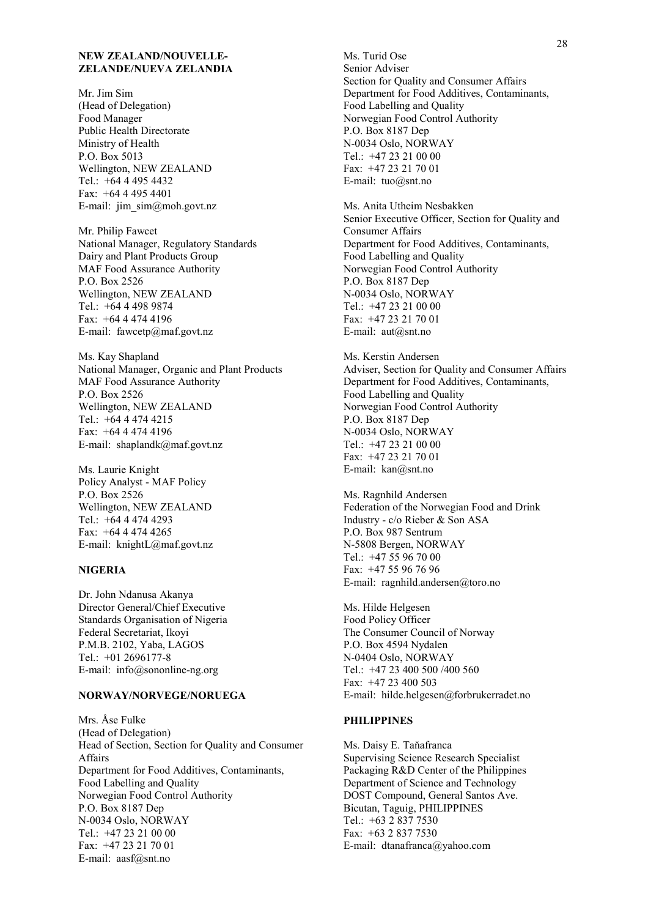#### **NEW ZEALAND/NOUVELLE-ZELANDE/NUEVA ZELANDIA**

Mr. Jim Sim (Head of Delegation) Food Manager Public Health Directorate Ministry of Health P.O. Box 5013 Wellington, NEW ZEALAND Tel.: +64 4 495 4432 Fax: +64 4 495 4401 E-mail: jim\_sim@moh.govt.nz

Mr. Philip Fawcet National Manager, Regulatory Standards Dairy and Plant Products Group MAF Food Assurance Authority P.O. Box 2526 Wellington, NEW ZEALAND Tel.: +64 4 498 9874 Fax: +64 4 474 4196 E-mail: fawcetp@maf.govt.nz

Ms. Kay Shapland National Manager, Organic and Plant Products MAF Food Assurance Authority P.O. Box 2526 Wellington, NEW ZEALAND Tel.: +64 4 474 4215 Fax: +64 4 474 4196 E-mail: shaplandk@maf.govt.nz

Ms. Laurie Knight Policy Analyst - MAF Policy P.O. Box 2526 Wellington, NEW ZEALAND Tel.: +64 4 474 4293 Fax: +64 4 474 4265 E-mail: knightL@maf.govt.nz

#### **NIGERIA**

Dr. John Ndanusa Akanya Director General/Chief Executive Standards Organisation of Nigeria Federal Secretariat, Ikoyi P.M.B. 2102, Yaba, LAGOS Tel.: +01 2696177-8 E-mail: info@sononline-ng.org

#### **NORWAY/NORVEGE/NORUEGA**

Mrs. Åse Fulke (Head of Delegation) Head of Section, Section for Quality and Consumer Affairs Department for Food Additives, Contaminants, Food Labelling and Quality Norwegian Food Control Authority P.O. Box 8187 Dep N-0034 Oslo, NORWAY Tel.: +47 23 21 00 00 Fax: +47 23 21 70 01 E-mail: aasf@snt.no

Ms. Turid Ose Senior Adviser Section for Quality and Consumer Affairs Department for Food Additives, Contaminants, Food Labelling and Quality Norwegian Food Control Authority P.O. Box 8187 Dep N-0034 Oslo, NORWAY Tel.: +47 23 21 00 00 Fax: +47 23 21 70 01 E-mail: tuo@snt.no

Ms. Anita Utheim Nesbakken Senior Executive Officer, Section for Quality and Consumer Affairs Department for Food Additives, Contaminants, Food Labelling and Quality Norwegian Food Control Authority P.O. Box 8187 Dep N-0034 Oslo, NORWAY Tel.: +47 23 21 00 00 Fax: +47 23 21 70 01 E-mail: aut@snt.no

Ms. Kerstin Andersen Adviser, Section for Quality and Consumer Affairs Department for Food Additives, Contaminants, Food Labelling and Quality Norwegian Food Control Authority P.O. Box 8187 Dep N-0034 Oslo, NORWAY Tel.: +47 23 21 00 00 Fax: +47 23 21 70 01 E-mail: kan@snt.no

Ms. Ragnhild Andersen Federation of the Norwegian Food and Drink Industry - c/o Rieber & Son ASA P.O. Box 987 Sentrum N-5808 Bergen, NORWAY Tel.: +47 55 96 70 00 Fax: +47 55 96 76 96 E-mail: ragnhild.andersen@toro.no

Ms. Hilde Helgesen Food Policy Officer The Consumer Council of Norway P.O. Box 4594 Nydalen N-0404 Oslo, NORWAY Tel.: +47 23 400 500 /400 560 Fax: +47 23 400 503 E-mail: hilde.helgesen@forbrukerradet.no

#### **PHILIPPINES**

Ms. Daisy E. Taňafranca Supervising Science Research Specialist Packaging R&D Center of the Philippines Department of Science and Technology DOST Compound, General Santos Ave. Bicutan, Taguig, PHILIPPINES Tel.: +63 2 837 7530  $Fax + 63 2 837 7530$ E-mail: dtanafranca@yahoo.com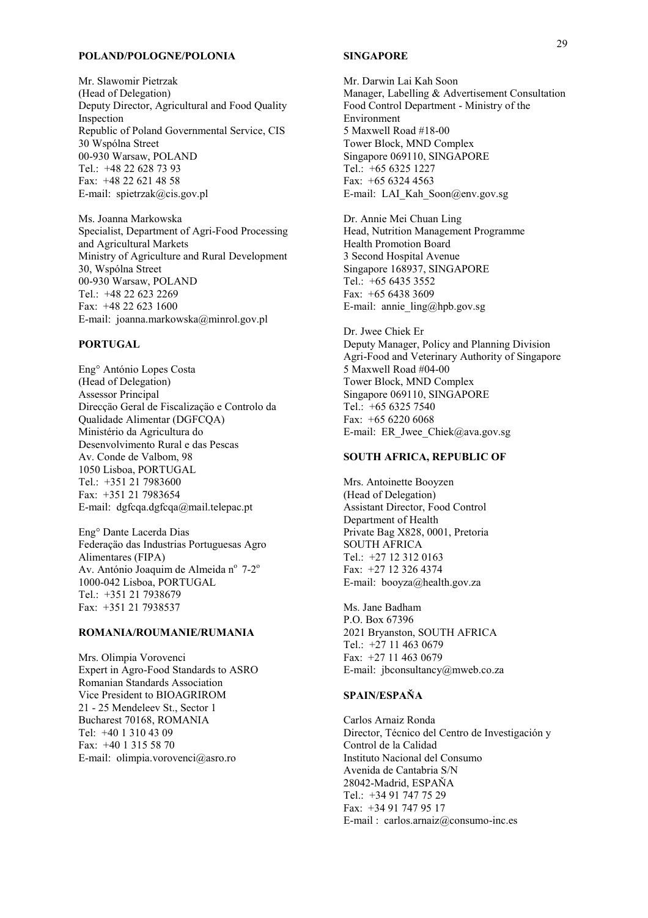#### **POLAND/POLOGNE/POLONIA**

Mr. Slawomir Pietrzak (Head of Delegation) Deputy Director, Agricultural and Food Quality Inspection Republic of Poland Governmental Service, CIS 30 Wspólna Street 00-930 Warsaw, POLAND Tel.: +48 22 628 73 93 Fax: +48 22 621 48 58 E-mail: spietrzak@cis.gov.pl

Ms. Joanna Markowska Specialist, Department of Agri-Food Processing and Agricultural Markets Ministry of Agriculture and Rural Development 30, Wspólna Street 00-930 Warsaw, POLAND Tel.: +48 22 623 2269  $Fax + 48226231600$ E-mail: joanna.markowska@minrol.gov.pl

#### **PORTUGAL**

Eng<sup>o</sup> António Lopes Costa (Head of Delegation) Assessor Principal Direcção Geral de Fiscalização e Controlo da Qualidade Alimentar (DGFCQA) MinistÈrio da Agricultura do Desenvolvimento Rural e das Pescas Av. Conde de Valbom, 98 1050 Lisboa, PORTUGAL Tel.: +351 21 7983600 Fax: +351 21 7983654 E-mail: dgfcqa.dgfcqa@mail.telepac.pt

Eng° Dante Lacerda Dias Federação das Industrias Portuguesas Agro Alimentares (FIPA) Av. António Joaquim de Almeida nº 7-2<sup>o</sup> 1000-042 Lisboa, PORTUGAL Tel.: +351 21 7938679 Fax: +351 21 7938537

#### **ROMANIA/ROUMANIE/RUMANIA**

Mrs. Olimpia Vorovenci Expert in Agro-Food Standards to ASRO Romanian Standards Association Vice President to BIOAGRIROM 21 - 25 Mendeleev St., Sector 1 Bucharest 70168, ROMANIA Tel: +40 1 310 43 09 Fax: +40 1 315 58 70 E-mail: olimpia.vorovenci@asro.ro

#### **SINGAPORE**

Mr. Darwin Lai Kah Soon Manager, Labelling & Advertisement Consultation Food Control Department - Ministry of the Environment 5 Maxwell Road #18-00 Tower Block, MND Complex Singapore 069110, SINGAPORE Tel.: +65 6325 1227 Fax:  $+6563244563$ E-mail: LAI\_Kah\_Soon@env.gov.sg

Dr. Annie Mei Chuan Ling Head, Nutrition Management Programme Health Promotion Board 3 Second Hospital Avenue Singapore 168937, SINGAPORE Tel.: +65 6435 3552 Fax: +65 6438 3609 E-mail: annie\_ling@hpb.gov.sg

Dr. Jwee Chiek Er Deputy Manager, Policy and Planning Division Agri-Food and Veterinary Authority of Singapore 5 Maxwell Road #04-00 Tower Block, MND Complex Singapore 069110, SINGAPORE Tel.: +65 6325 7540 Fax: +65 6220 6068 E-mail: ER\_Jwee\_Chiek@ava.gov.sg

#### **SOUTH AFRICA, REPUBLIC OF**

Mrs. Antoinette Booyzen (Head of Delegation) Assistant Director, Food Control Department of Health Private Bag X828, 0001, Pretoria SOUTH AFRICA Tel.: +27 12 312 0163 Fax: +27 12 326 4374 E-mail: booyza@health.gov.za

Ms. Jane Badham P.O. Box 67396 2021 Bryanston, SOUTH AFRICA Tel.: +27 11 463 0679 Fax: +27 11 463 0679 E-mail: jbconsultancy@mweb.co.za

### **SPAIN/ESPAŇA**

Carlos Arnaiz Ronda Director, Técnico del Centro de Investigación y Control de la Calidad Instituto Nacional del Consumo Avenida de Cantabria S/N 28042-Madrid, ESPAŇA Tel.: +34 91 747 75 29 Fax: +34 91 747 95 17 E-mail : carlos.arnaiz@consumo-inc.es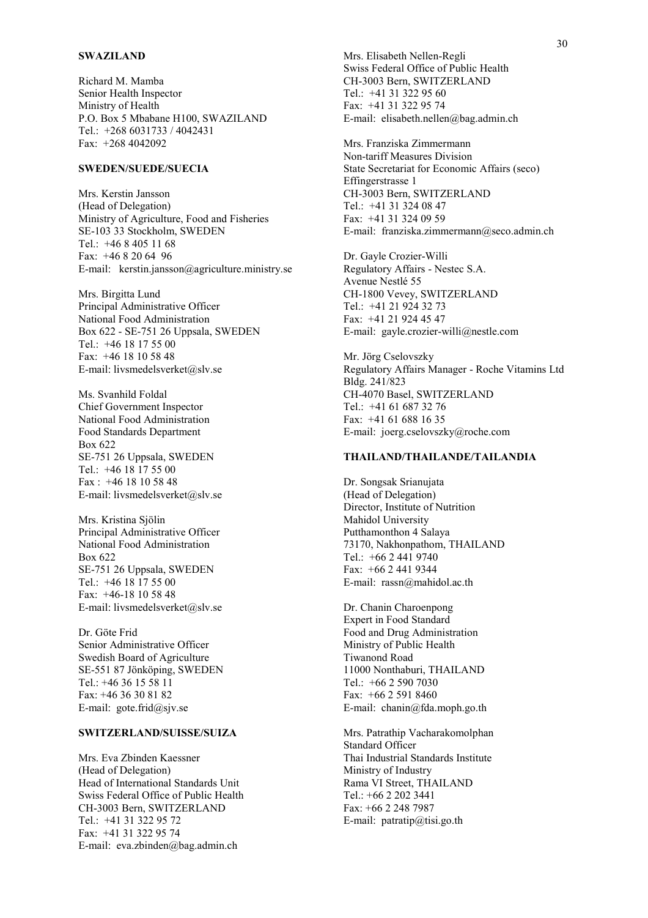#### **SWAZILAND**

Richard M. Mamba Senior Health Inspector Ministry of Health P.O. Box 5 Mbabane H100, SWAZILAND Tel.: +268 6031733 / 4042431 Fax: +268 4042092

#### **SWEDEN/SUEDE/SUECIA**

Mrs. Kerstin Jansson (Head of Delegation) Ministry of Agriculture, Food and Fisheries SE-103 33 Stockholm, SWEDEN Tel.: +46 8 405 11 68 Fax: +46 8 20 64 96 E-mail: kerstin.jansson@agriculture.ministry.se

Mrs. Birgitta Lund Principal Administrative Officer National Food Administration Box 622 - SE-751 26 Uppsala, SWEDEN Tel.: +46 18 17 55 00 Fax: +46 18 10 58 48 E-mail: livsmedelsverket@slv.se

Ms. Svanhild Foldal Chief Government Inspector National Food Administration Food Standards Department Box 622 SE-751 26 Uppsala, SWEDEN Tel.: +46 18 17 55 00 Fax : +46 18 10 58 48 E-mail: livsmedelsverket@slv.se

Mrs. Kristina Sjölin Principal Administrative Officer National Food Administration Box 622 SE-751 26 Uppsala, SWEDEN Tel.: +46 18 17 55 00 Fax: +46-18 10 58 48 E-mail: livsmedelsverket@slv.se

Dr. Göte Frid Senior Administrative Officer Swedish Board of Agriculture SE-551 87 Jönköping, SWEDEN Tel.: +46 36 15 58 11 Fax: +46 36 30 81 82 E-mail: gote.frid@sjv.se

### **SWITZERLAND/SUISSE/SUIZA**

Mrs. Eva Zbinden Kaessner (Head of Delegation) Head of International Standards Unit Swiss Federal Office of Public Health CH-3003 Bern, SWITZERLAND Tel.: +41 31 322 95 72 Fax: +41 31 322 95 74 E-mail: eva.zbinden@bag.admin.ch

Mrs. Elisabeth Nellen-Regli Swiss Federal Office of Public Health CH-3003 Bern, SWITZERLAND Tel.: +41 31 322 95 60 Fax: +41 31 322 95 74 E-mail: elisabeth.nellen@bag.admin.ch

Mrs. Franziska Zimmermann Non-tariff Measures Division State Secretariat for Economic Affairs (seco) Effingerstrasse 1 CH-3003 Bern, SWITZERLAND Tel.: +41 31 324 08 47 Fax: +41 31 324 09 59 E-mail: franziska.zimmermann@seco.admin.ch

Dr. Gayle Crozier-Willi Regulatory Affairs - Nestec S.A. Avenue Nestlé 55 CH-1800 Vevey, SWITZERLAND Tel.: +41 21 924 32 73 Fax: +41 21 924 45 47 E-mail: gayle.crozier-willi@nestle.com

Mr. Jörg Cselovszky Regulatory Affairs Manager - Roche Vitamins Ltd Bldg. 241/823 CH-4070 Basel, SWITZERLAND Tel.: +41 61 687 32 76 Fax: +41 61 688 16 35 E-mail: joerg.cselovszky@roche.com

#### **THAILAND/THAILANDE/TAILANDIA**

Dr. Songsak Srianujata (Head of Delegation) Director, Institute of Nutrition Mahidol University Putthamonthon 4 Salaya 73170, Nakhonpathom, THAILAND Tel.: +66 2 441 9740 Fax: +66 2 441 9344 E-mail: rassn@mahidol.ac.th

Dr. Chanin Charoenpong Expert in Food Standard Food and Drug Administration Ministry of Public Health Tiwanond Road 11000 Nonthaburi, THAILAND Tel.: +66 2 590 7030 Fax: +66 2 591 8460 E-mail: chanin@fda.moph.go.th

Mrs. Patrathip Vacharakomolphan Standard Officer Thai Industrial Standards Institute Ministry of Industry Rama VI Street, THAILAND Tel.: +66 2 202 3441 Fax: +66 2 248 7987 E-mail:  $partatip@tisi.gov.th$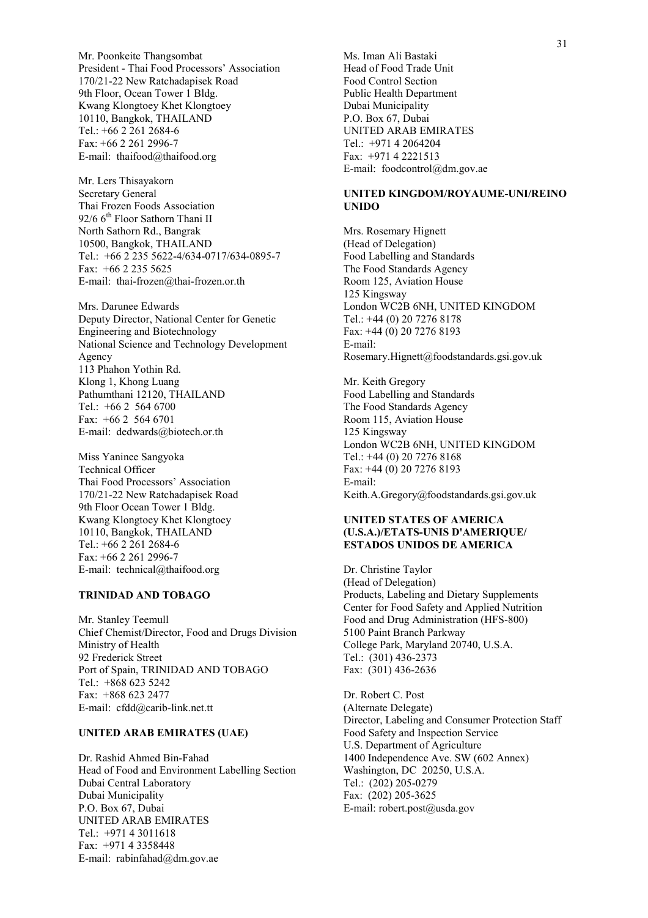Mr. Poonkeite Thangsombat President - Thai Food Processors' Association 170/21-22 New Ratchadapisek Road 9th Floor, Ocean Tower 1 Bldg. Kwang Klongtoey Khet Klongtoey 10110, Bangkok, THAILAND Tel.: +66 2 261 2684-6 Fax: +66 2 261 2996-7 E-mail: thaifood@thaifood.org

Mr. Lers Thisayakorn Secretary General Thai Frozen Foods Association 92/6 6<sup>th</sup> Floor Sathorn Thani II North Sathorn Rd., Bangrak 10500, Bangkok, THAILAND Tel.: +66 2 235 5622-4/634-0717/634-0895-7 Fax: +66 2 235 5625 E-mail: thai-frozen@thai-frozen.or.th

Mrs. Darunee Edwards Deputy Director, National Center for Genetic Engineering and Biotechnology National Science and Technology Development Agency 113 Phahon Yothin Rd. Klong 1, Khong Luang Pathumthani 12120, THAILAND Tel.: +66 2 564 6700 Fax: +66 2 564 6701 E-mail: dedwards@biotech.or.th

Miss Yaninee Sangyoka Technical Officer Thai Food Processors' Association 170/21-22 New Ratchadapisek Road 9th Floor Ocean Tower 1 Bldg. Kwang Klongtoey Khet Klongtoey 10110, Bangkok, THAILAND Tel.: +66 2 261 2684-6 Fax: +66 2 261 2996-7 E-mail: technical@thaifood.org

#### **TRINIDAD AND TOBAGO**

Mr. Stanley Teemull Chief Chemist/Director, Food and Drugs Division Ministry of Health 92 Frederick Street Port of Spain, TRINIDAD AND TOBAGO Tel.: +868 623 5242 Fax: +868 623 2477 E-mail: cfdd@carib-link.net.tt

#### **UNITED ARAB EMIRATES (UAE)**

Dr. Rashid Ahmed Bin-Fahad Head of Food and Environment Labelling Section Dubai Central Laboratory Dubai Municipality P.O. Box 67, Dubai UNITED ARAB EMIRATES Tel.: +971 4 3011618 Fax: +971 4 3358448 E-mail: rabinfahad@dm.gov.ae

Ms. Iman Ali Bastaki Head of Food Trade Unit Food Control Section Public Health Department Dubai Municipality P.O. Box 67, Dubai UNITED ARAB EMIRATES Tel.: +971 4 2064204 Fax: +971 4 2221513 E-mail: foodcontrol@dm.gov.ae

#### **UNITED KINGDOM/ROYAUME-UNI/REINO UNIDO**

Mrs. Rosemary Hignett (Head of Delegation) Food Labelling and Standards The Food Standards Agency Room 125, Aviation House 125 Kingsway London WC2B 6NH, UNITED KINGDOM Tel.: +44 (0) 20 7276 8178 Fax: +44 (0) 20 7276 8193 E-mail: Rosemary.Hignett@foodstandards.gsi.gov.uk

Mr. Keith Gregory Food Labelling and Standards The Food Standards Agency Room 115, Aviation House 125 Kingsway London WC2B 6NH, UNITED KINGDOM Tel.: +44 (0) 20 7276 8168 Fax: +44 (0) 20 7276 8193 E-mail: Keith.A.Gregory@foodstandards.gsi.gov.uk

#### **UNITED STATES OF AMERICA (U.S.A.)/ETATS-UNIS D'AMERIQUE/ ESTADOS UNIDOS DE AMERICA**

Dr. Christine Taylor (Head of Delegation) Products, Labeling and Dietary Supplements Center for Food Safety and Applied Nutrition Food and Drug Administration (HFS-800) 5100 Paint Branch Parkway College Park, Maryland 20740, U.S.A. Tel.: (301) 436-2373 Fax: (301) 436-2636

Dr. Robert C. Post (Alternate Delegate) Director, Labeling and Consumer Protection Staff Food Safety and Inspection Service U.S. Department of Agriculture 1400 Independence Ave. SW (602 Annex) Washington, DC 20250, U.S.A. Tel.: (202) 205-0279 Fax: (202) 205-3625 E-mail: robert.post@usda.gov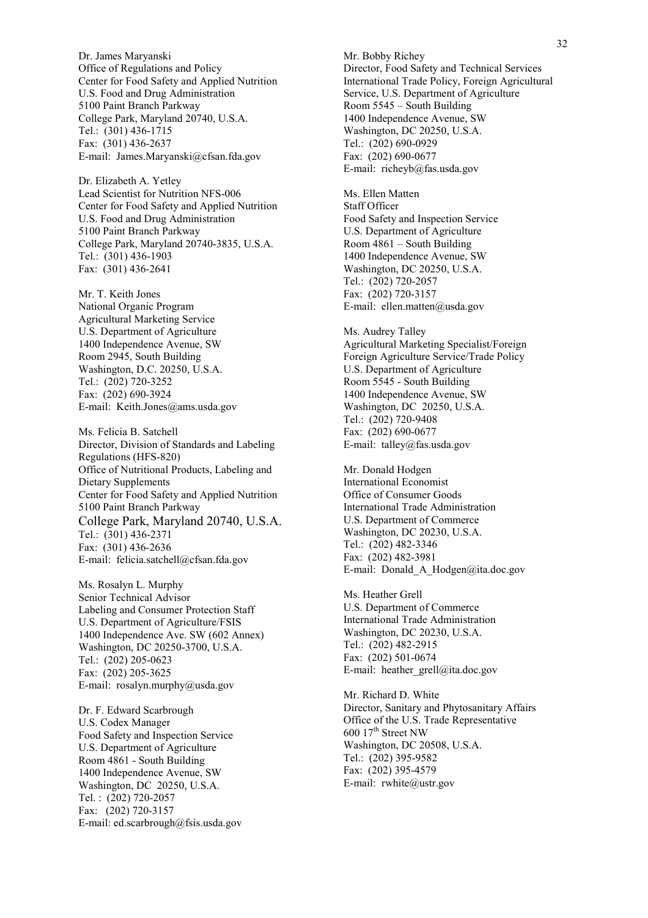Dr. James Maryanski Office of Regulations and Policy Center for Food Safety and Applied Nutrition U.S. Food and Drug Administration 5100 Paint Branch Parkway College Park, Maryland 20740, U.S.A. Tel.: (301) 436-1715 Fax: (301) 436-2637 E-mail: James.Maryanski@cfsan.fda.gov

Dr. Elizabeth A. Yetley Lead Scientist for Nutrition NFS-006 Center for Food Safety and Applied Nutrition U.S. Food and Drug Administration 5100 Paint Branch Parkway College Park, Maryland 20740-3835, U.S.A. Tel.: (301) 436-1903 Fax: (301) 436-2641

Mr. T. Keith Jones National Organic Program Agricultural Marketing Service U.S. Department of Agriculture 1400 Independence Avenue, SW Room 2945, South Building Washington, D.C. 20250, U.S.A. Tel.: (202) 720-3252 Fax: (202) 690-3924 E-mail: Keith.Jones@ams.usda.gov

Ms. Felicia B. Satchell Director, Division of Standards and Labeling Regulations (HFS-820) Office of Nutritional Products, Labeling and Dietary Supplements Center for Food Safety and Applied Nutrition 5100 Paint Branch Parkway College Park, Maryland 20740, U.S.A. Tel.: (301) 436-2371 Fax: (301) 436-2636 E-mail: felicia.satchell@cfsan.fda.gov

Ms. Rosalyn L. Murphy Senior Technical Advisor Labeling and Consumer Protection Staff U.S. Department of Agriculture/FSIS 1400 Independence Ave. SW (602 Annex) Washington, DC 20250-3700, U.S.A. Tel.: (202) 205-0623 Fax: (202) 205-3625 E-mail: rosalyn.murphy@usda.gov

Dr. F. Edward Scarbrough U.S. Codex Manager Food Safety and Inspection Service U.S. Department of Agriculture Room 4861 - South Building 1400 Independence Avenue, SW Washington, DC 20250, U.S.A. Tel. : (202) 720-2057 Fax: (202) 720-3157 E-mail: ed.scarbrough@fsis.usda.gov Mr. Bobby Richey Director, Food Safety and Technical Services International Trade Policy, Foreign Agricultural Service, U.S. Department of Agriculture Room  $5545$  – South Building 1400 Independence Avenue, SW Washington, DC 20250, U.S.A. Tel.: (202) 690-0929 Fax: (202) 690-0677 E-mail: richeyb@fas.usda.gov

Ms. Ellen Matten Staff Officer Food Safety and Inspection Service U.S. Department of Agriculture Room  $4861$  – South Building 1400 Independence Avenue, SW Washington, DC 20250, U.S.A. Tel.: (202) 720-2057 Fax: (202) 720-3157 E-mail: ellen.matten@usda.gov

Ms. Audrey Talley Agricultural Marketing Specialist/Foreign Foreign Agriculture Service/Trade Policy U.S. Department of Agriculture Room 5545 - South Building 1400 Independence Avenue, SW Washington, DC 20250, U.S.A. Tel.: (202) 720-9408 Fax: (202) 690-0677 E-mail: talley@fas.usda.gov

Mr. Donald Hodgen International Economist Office of Consumer Goods International Trade Administration U.S. Department of Commerce Washington, DC 20230, U.S.A. Tel.: (202) 482-3346 Fax: (202) 482-3981 E-mail: Donald\_A\_Hodgen@ita.doc.gov

Ms. Heather Grell U.S. Department of Commerce International Trade Administration Washington, DC 20230, U.S.A. Tel.: (202) 482-2915 Fax: (202) 501-0674 E-mail: heather\_grell@ita.doc.gov

Mr. Richard D. White Director, Sanitary and Phytosanitary Affairs Office of the U.S. Trade Representative 600 17<sup>th</sup> Street NW Washington, DC 20508, U.S.A. Tel.: (202) 395-9582 Fax: (202) 395-4579 E-mail: rwhite@ustr.gov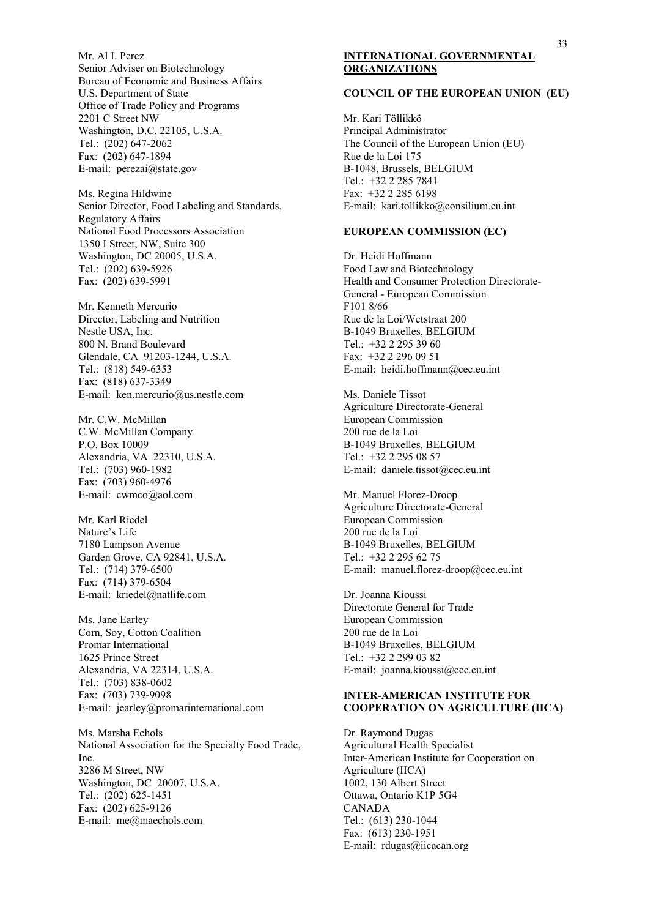Mr. Al I. Perez Senior Adviser on Biotechnology Bureau of Economic and Business Affairs U.S. Department of State Office of Trade Policy and Programs 2201 C Street NW Washington, D.C. 22105, U.S.A. Tel.: (202) 647-2062 Fax: (202) 647-1894 E-mail: perezai@state.gov

Ms. Regina Hildwine Senior Director, Food Labeling and Standards, Regulatory Affairs National Food Processors Association 1350 I Street, NW, Suite 300 Washington, DC 20005, U.S.A. Tel.: (202) 639-5926 Fax: (202) 639-5991

Mr. Kenneth Mercurio Director, Labeling and Nutrition Nestle USA, Inc. 800 N. Brand Boulevard Glendale, CA 91203-1244, U.S.A. Tel.: (818) 549-6353 Fax: (818) 637-3349 E-mail: ken.mercurio@us.nestle.com

Mr. C.W. McMillan C.W. McMillan Company P.O. Box 10009 Alexandria, VA 22310, U.S.A. Tel.: (703) 960-1982 Fax: (703) 960-4976 E-mail: cwmco@aol.com

Mr. Karl Riedel Nature's Life 7180 Lampson Avenue Garden Grove, CA 92841, U.S.A. Tel.: (714) 379-6500 Fax: (714) 379-6504 E-mail: kriedel@natlife.com

Ms. Jane Earley Corn, Soy, Cotton Coalition Promar International 1625 Prince Street Alexandria, VA 22314, U.S.A. Tel.: (703) 838-0602 Fax: (703) 739-9098 E-mail: jearley@promarinternational.com

Ms. Marsha Echols National Association for the Specialty Food Trade, Inc. 3286 M Street, NW Washington, DC 20007, U.S.A. Tel.: (202) 625-1451 Fax: (202) 625-9126 E-mail: me@maechols.com

## **INTERNATIONAL GOVERNMENTAL ORGANIZATIONS**

#### **COUNCIL OF THE EUROPEAN UNION (EU)**

Mr. Kari Töllikkö Principal Administrator The Council of the European Union (EU) Rue de la Loi 175 B-1048, Brussels, BELGIUM Tel.: +32 2 285 7841 Fax: +32 2 285 6198 E-mail: kari.tollikko@consilium.eu.int

#### **EUROPEAN COMMISSION (EC)**

Dr. Heidi Hoffmann Food Law and Biotechnology Health and Consumer Protection Directorate-General - European Commission F101 8/66 Rue de la Loi/Wetstraat 200 B-1049 Bruxelles, BELGIUM Tel.: +32 2 295 39 60 Fax: +32 2 296 09 51 E-mail: heidi.hoffmann@cec.eu.int

Ms. Daniele Tissot Agriculture Directorate-General European Commission 200 rue de la Loi B-1049 Bruxelles, BELGIUM Tel.: +32 2 295 08 57 E-mail: daniele.tissot@cec.eu.int

Mr. Manuel Florez-Droop Agriculture Directorate-General European Commission 200 rue de la Loi B-1049 Bruxelles, BELGIUM Tel.: +32 2 295 62 75 E-mail: manuel.florez-droop@cec.eu.int

Dr. Joanna Kioussi Directorate General for Trade European Commission 200 rue de la Loi B-1049 Bruxelles, BELGIUM Tel.: +32 2 299 03 82 E-mail: joanna.kioussi@cec.eu.int

#### **INTER-AMERICAN INSTITUTE FOR COOPERATION ON AGRICULTURE (IICA)**

Dr. Raymond Dugas Agricultural Health Specialist Inter-American Institute for Cooperation on Agriculture (IICA) 1002, 130 Albert Street Ottawa, Ontario K1P 5G4 CANADA Tel.: (613) 230-1044 Fax: (613) 230-1951 E-mail: rdugas@iicacan.org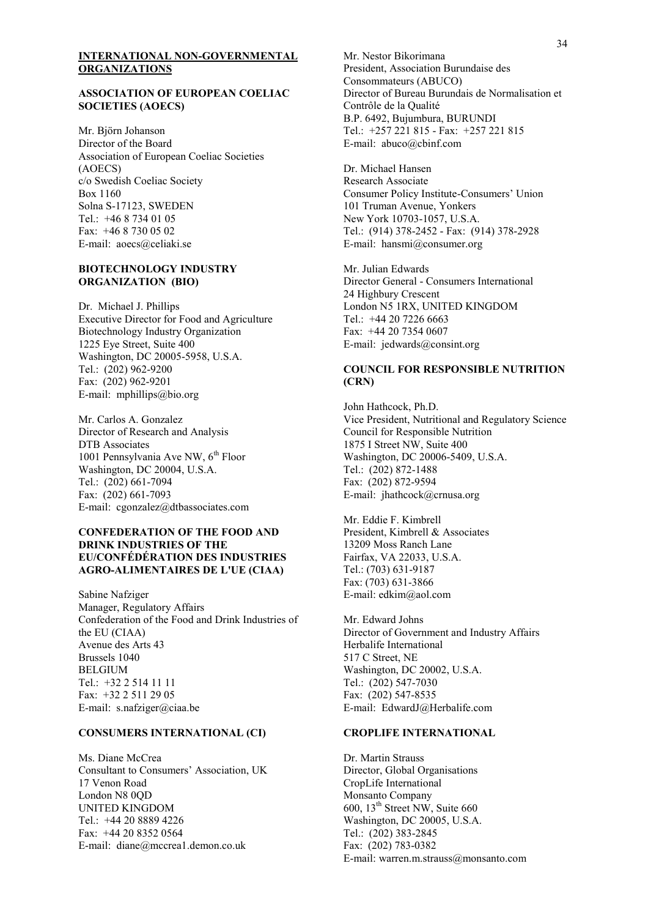#### **INTERNATIONAL NON-GOVERNMENTAL ORGANIZATIONS**

#### **ASSOCIATION OF EUROPEAN COELIAC SOCIETIES (AOECS)**

Mr. Björn Johanson Director of the Board Association of European Coeliac Societies (AOECS) c/o Swedish Coeliac Society Box 1160 Solna S-17123, SWEDEN Tel.: +46 8 734 01 05 Fax: +46 8 730 05 02 E-mail: aoecs@celiaki.se

#### **BIOTECHNOLOGY INDUSTRY ORGANIZATION (BIO)**

Dr. Michael J. Phillips Executive Director for Food and Agriculture Biotechnology Industry Organization 1225 Eye Street, Suite 400 Washington, DC 20005-5958, U.S.A. Tel.: (202) 962-9200 Fax: (202) 962-9201 E-mail: mphillips@bio.org

Mr. Carlos A. Gonzalez Director of Research and Analysis DTB Associates 1001 Pennsylvania Ave NW, 6<sup>th</sup> Floor Washington, DC 20004, U.S.A. Tel.: (202) 661-7094 Fax: (202) 661-7093 E-mail: cgonzalez@dtbassociates.com

#### **CONFEDERATION OF THE FOOD AND DRINK INDUSTRIES OF THE EU/CONFÉDÉRATION DES INDUSTRIES AGRO-ALIMENTAIRES DE L'UE (CIAA)**

Sabine Nafziger Manager, Regulatory Affairs Confederation of the Food and Drink Industries of the EU (CIAA) Avenue des Arts 43 Brussels 1040 BELGIUM Tel.: +32 2 514 11 11 Fax: +32 2 511 29 05 E-mail: s.nafziger@ciaa.be

#### **CONSUMERS INTERNATIONAL (CI)**

Ms. Diane McCrea Consultant to Consumers' Association, UK 17 Venon Road London N8 0OD UNITED KINGDOM Tel.: +44 20 8889 4226 Fax: +44 20 8352 0564 E-mail: diane@mccrea1.demon.co.uk

Mr. Nestor Bikorimana President, Association Burundaise des Consommateurs (ABUCO) Director of Bureau Burundais de Normalisation et Contrôle de la Qualité B.P. 6492, Bujumbura, BURUNDI Tel.: +257 221 815 - Fax: +257 221 815 E-mail: abuco@cbinf.com

Dr. Michael Hansen Research Associate Consumer Policy Institute-Consumers' Union 101 Truman Avenue, Yonkers New York 10703-1057, U.S.A. Tel.: (914) 378-2452 - Fax: (914) 378-2928 E-mail: hansmi@consumer.org

Mr. Julian Edwards Director General - Consumers International 24 Highbury Crescent London N5 1RX, UNITED KINGDOM Tel.: +44 20 7226 6663 Fax: +44 20 7354 0607 E-mail: jedwards@consint.org

#### **COUNCIL FOR RESPONSIBLE NUTRITION (CRN)**

John Hathcock, Ph.D. Vice President, Nutritional and Regulatory Science Council for Responsible Nutrition 1875 I Street NW, Suite 400 Washington, DC 20006-5409, U.S.A. Tel.: (202) 872-1488 Fax: (202) 872-9594 E-mail: jhathcock@crnusa.org

Mr. Eddie F. Kimbrell President, Kimbrell & Associates 13209 Moss Ranch Lane Fairfax, VA 22033, U.S.A. Tel.: (703) 631-9187 Fax: (703) 631-3866 E-mail: edkim@aol.com

Mr. Edward Johns Director of Government and Industry Affairs Herbalife International 517 C Street, NE Washington, DC 20002, U.S.A. Tel.: (202) 547-7030 Fax: (202) 547-8535 E-mail: EdwardJ@Herbalife.com

#### **CROPLIFE INTERNATIONAL**

Dr. Martin Strauss Director, Global Organisations CropLife International Monsanto Company 600,  $13<sup>th</sup>$  Street NW, Suite 660 Washington, DC 20005, U.S.A. Tel.: (202) 383-2845 Fax: (202) 783-0382 E-mail: warren.m.strauss@monsanto.com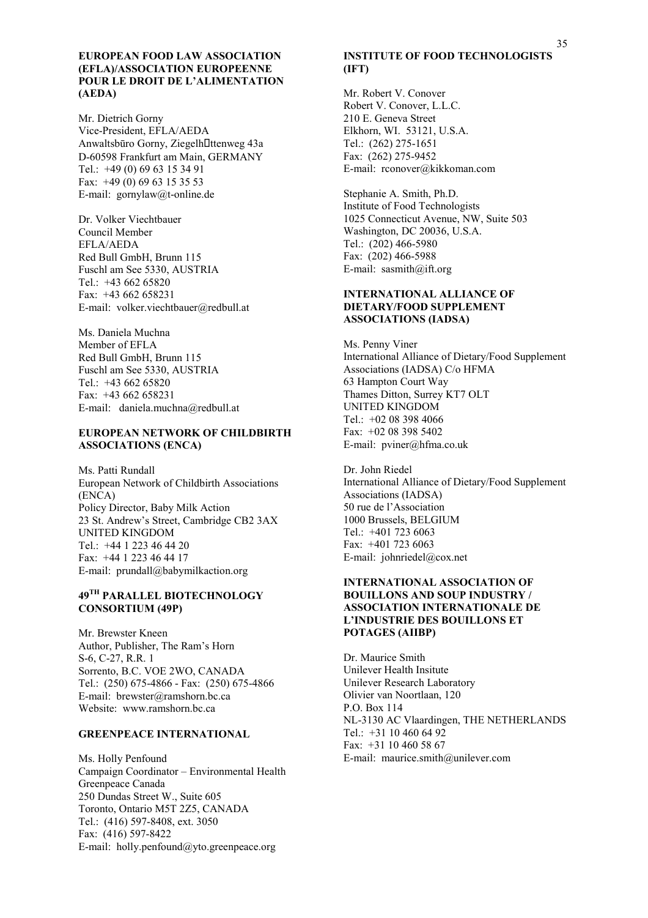#### **EUROPEAN FOOD LAW ASSOCIATION (EFLA)/ASSOCIATION EUROPEENNE POUR LE DROIT DE L'ALIMENTATION (AEDA)**

Mr. Dietrich Gorny Vice-President, EFLA/AEDA Anwaltsbūro Gorny, Ziegelh! ttenweg 43a D-60598 Frankfurt am Main, GERMANY Tel.: +49 (0) 69 63 15 34 91 Fax: +49 (0) 69 63 15 35 53 E-mail: gornylaw@t-online.de

Dr. Volker Viechtbauer Council Member EFLA/AEDA Red Bull GmbH, Brunn 115 Fuschl am See 5330, AUSTRIA Tel.: +43 662 65820 Fax: +43 662 658231 E-mail: volker.viechtbauer@redbull.at

Ms. Daniela Muchna Member of EFLA Red Bull GmbH, Brunn 115 Fuschl am See 5330, AUSTRIA Tel.: +43 662 65820 Fax: +43 662 658231 E-mail: daniela.muchna@redbull.at

#### **EUROPEAN NETWORK OF CHILDBIRTH ASSOCIATIONS (ENCA)**

Ms. Patti Rundall European Network of Childbirth Associations (ENCA) Policy Director, Baby Milk Action 23 St. Andrew's Street, Cambridge CB2 3AX UNITED KINGDOM Tel.: +44 1 223 46 44 20 Fax: +44 1 223 46 44 17 E-mail: prundall@babymilkaction.org

#### **49TH PARALLEL BIOTECHNOLOGY CONSORTIUM (49P)**

Mr. Brewster Kneen Author, Publisher, The Ram's Horn S-6, C-27, R.R. 1 Sorrento, B.C. VOE 2WO, CANADA Tel.: (250) 675-4866 - Fax: (250) 675-4866 E-mail: brewster@ramshorn.bc.ca Website: www.ramshorn.bc.ca

#### **GREENPEACE INTERNATIONAL**

Ms. Holly Penfound Campaign Coordinator – Environmental Health Greenpeace Canada 250 Dundas Street W., Suite 605 Toronto, Ontario M5T 2Z5, CANADA Tel.: (416) 597-8408, ext. 3050 Fax: (416) 597-8422 E-mail: holly.penfound@yto.greenpeace.org

## **INSTITUTE OF FOOD TECHNOLOGISTS (IFT)**

Mr. Robert V. Conover Robert V. Conover, L.L.C. 210 E. Geneva Street Elkhorn, WI. 53121, U.S.A. Tel.: (262) 275-1651 Fax: (262) 275-9452 E-mail: rconover@kikkoman.com

Stephanie A. Smith, Ph.D. Institute of Food Technologists 1025 Connecticut Avenue, NW, Suite 503 Washington, DC 20036, U.S.A. Tel.: (202) 466-5980 Fax: (202) 466-5988 E-mail: sasmith@ift.org

#### **INTERNATIONAL ALLIANCE OF DIETARY/FOOD SUPPLEMENT ASSOCIATIONS (IADSA)**

Ms. Penny Viner International Alliance of Dietary/Food Supplement Associations (IADSA) C/o HFMA 63 Hampton Court Way Thames Ditton, Surrey KT7 OLT UNITED KINGDOM Tel.: +02 08 398 4066 Fax: +02 08 398 5402 E-mail: pviner@hfma.co.uk

Dr. John Riedel International Alliance of Dietary/Food Supplement Associations (IADSA) 50 rue de l'Association 1000 Brussels, BELGIUM Tel.: +401 723 6063 Fax: +401 723 6063 E-mail: johnriedel@cox.net

#### **INTERNATIONAL ASSOCIATION OF BOUILLONS AND SOUP INDUSTRY / ASSOCIATION INTERNATIONALE DE LíINDUSTRIE DES BOUILLONS ET POTAGES (AIIBP)**

Dr. Maurice Smith Unilever Health Insitute Unilever Research Laboratory Olivier van Noortlaan, 120 P.O. Box 114 NL-3130 AC Vlaardingen, THE NETHERLANDS Tel.: +31 10 460 64 92 Fax: +31 10 460 58 67 E-mail: maurice.smith@unilever.com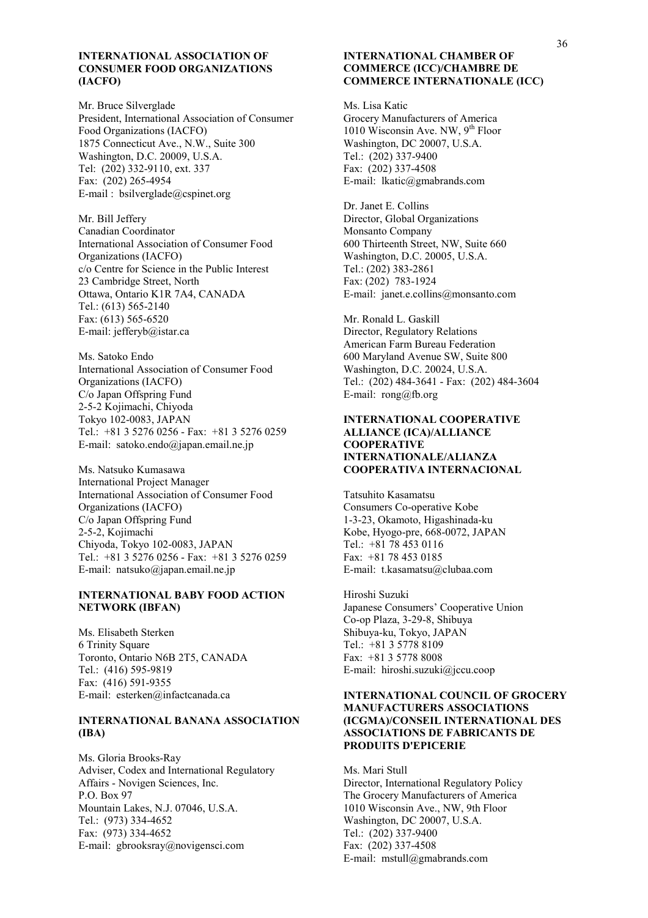#### **INTERNATIONAL ASSOCIATION OF CONSUMER FOOD ORGANIZATIONS (IACFO)**

Mr. Bruce Silverglade President, International Association of Consumer Food Organizations (IACFO) 1875 Connecticut Ave., N.W., Suite 300 Washington, D.C. 20009, U.S.A. Tel: (202) 332-9110, ext. 337 Fax: (202) 265-4954 E-mail : bsilverglade@cspinet.org

Mr. Bill Jeffery Canadian Coordinator International Association of Consumer Food Organizations (IACFO) c/o Centre for Science in the Public Interest 23 Cambridge Street, North Ottawa, Ontario K1R 7A4, CANADA Tel.: (613) 565-2140 Fax: (613) 565-6520 E-mail: jefferyb@istar.ca

Ms. Satoko Endo International Association of Consumer Food Organizations (IACFO) C/o Japan Offspring Fund 2-5-2 Kojimachi, Chiyoda Tokyo 102-0083, JAPAN Tel.: +81 3 5276 0256 - Fax: +81 3 5276 0259 E-mail: satoko.endo@japan.email.ne.jp

Ms. Natsuko Kumasawa International Project Manager International Association of Consumer Food Organizations (IACFO) C/o Japan Offspring Fund 2-5-2, Kojimachi Chiyoda, Tokyo 102-0083, JAPAN Tel.: +81 3 5276 0256 - Fax: +81 3 5276 0259 E-mail: natsuko@japan.email.ne.jp

#### **INTERNATIONAL BABY FOOD ACTION NETWORK (IBFAN)**

Ms. Elisabeth Sterken 6 Trinity Square Toronto, Ontario N6B 2T5, CANADA Tel.: (416) 595-9819 Fax: (416) 591-9355 E-mail: esterken@infactcanada.ca

#### **INTERNATIONAL BANANA ASSOCIATION (IBA)**

Ms. Gloria Brooks-Ray Adviser, Codex and International Regulatory Affairs - Novigen Sciences, Inc. P.O. Box 97 Mountain Lakes, N.J. 07046, U.S.A. Tel.: (973) 334-4652 Fax: (973) 334-4652 E-mail: gbrooksray@novigensci.com

#### **INTERNATIONAL CHAMBER OF COMMERCE (ICC)/CHAMBRE DE COMMERCE INTERNATIONALE (ICC)**

Ms. Lisa Katic Grocery Manufacturers of America 1010 Wisconsin Ave. NW, 9<sup>th</sup> Floor Washington, DC 20007, U.S.A. Tel.: (202) 337-9400 Fax: (202) 337-4508 E-mail: lkatic@gmabrands.com

Dr. Janet E. Collins Director, Global Organizations Monsanto Company 600 Thirteenth Street, NW, Suite 660 Washington, D.C. 20005, U.S.A. Tel.: (202) 383-2861 Fax: (202) 783-1924 E-mail: janet.e.collins@monsanto.com

Mr. Ronald L. Gaskill Director, Regulatory Relations American Farm Bureau Federation 600 Maryland Avenue SW, Suite 800 Washington, D.C. 20024, U.S.A. Tel.: (202) 484-3641 - Fax: (202) 484-3604 E-mail: rong@fb.org

#### **INTERNATIONAL COOPERATIVE ALLIANCE (ICA)/ALLIANCE COOPERATIVE INTERNATIONALE/ALIANZA COOPERATIVA INTERNACIONAL**

Tatsuhito Kasamatsu Consumers Co-operative Kobe 1-3-23, Okamoto, Higashinada-ku Kobe, Hyogo-pre, 668-0072, JAPAN Tel.: +81 78 453 0116 Fax: +81 78 453 0185 E-mail: t.kasamatsu@clubaa.com

Hiroshi Suzuki Japanese Consumers' Cooperative Union Co-op Plaza, 3-29-8, Shibuya Shibuya-ku, Tokyo, JAPAN Tel.: +81 3 5778 8109 Fax: +81 3 5778 8008 E-mail: hiroshi.suzuki@jccu.coop

#### **INTERNATIONAL COUNCIL OF GROCERY MANUFACTURERS ASSOCIATIONS (ICGMA)/CONSEIL INTERNATIONAL DES ASSOCIATIONS DE FABRICANTS DE PRODUITS D'EPICERIE**

Ms. Mari Stull Director, International Regulatory Policy The Grocery Manufacturers of America 1010 Wisconsin Ave., NW, 9th Floor Washington, DC 20007, U.S.A. Tel.: (202) 337-9400 Fax: (202) 337-4508 E-mail: mstull@gmabrands.com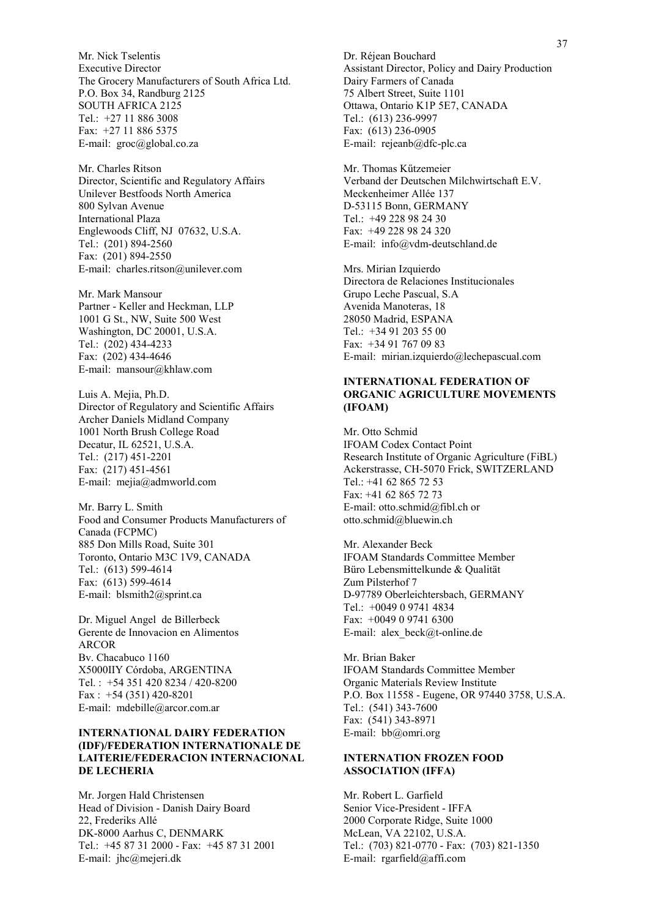Mr. Nick Tselentis Executive Director The Grocery Manufacturers of South Africa Ltd. P.O. Box 34, Randburg 2125 SOUTH AFRICA 2125 Tel.: +27 11 886 3008 Fax: +27 11 886 5375 E-mail: groc@global.co.za

Mr. Charles Ritson Director, Scientific and Regulatory Affairs Unilever Bestfoods North America 800 Sylvan Avenue International Plaza Englewoods Cliff, NJ 07632, U.S.A. Tel.: (201) 894-2560 Fax: (201) 894-2550 E-mail: charles.ritson@unilever.com

Mr. Mark Mansour Partner - Keller and Heckman, LLP 1001 G St., NW, Suite 500 West Washington, DC 20001, U.S.A. Tel.: (202) 434-4233 Fax: (202) 434-4646 E-mail: mansour@khlaw.com

Luis A. Mejia, Ph.D. Director of Regulatory and Scientific Affairs Archer Daniels Midland Company 1001 North Brush College Road Decatur, IL 62521, U.S.A. Tel.: (217) 451-2201 Fax: (217) 451-4561 E-mail: mejia@admworld.com

Mr. Barry L. Smith Food and Consumer Products Manufacturers of Canada (FCPMC) 885 Don Mills Road, Suite 301 Toronto, Ontario M3C 1V9, CANADA Tel.: (613) 599-4614 Fax: (613) 599-4614 E-mail: blsmith2@sprint.ca

Dr. Miguel Angel de Billerbeck Gerente de Innovacion en Alimentos ARCOR Bv. Chacabuco 1160 X5000IIY Córdoba, ARGENTINA Tel. : +54 351 420 8234 / 420-8200 Fax : +54 (351) 420-8201 E-mail: mdebille@arcor.com.ar

#### **INTERNATIONAL DAIRY FEDERATION (IDF)/FEDERATION INTERNATIONALE DE LAITERIE/FEDERACION INTERNACIONAL DE LECHERIA**

Mr. Jorgen Hald Christensen Head of Division - Danish Dairy Board 22, Frederiks AllÈ DK-8000 Aarhus C, DENMARK Tel.: +45 87 31 2000 - Fax: +45 87 31 2001 E-mail: jhc@mejeri.dk

Dr. Réjean Bouchard Assistant Director, Policy and Dairy Production Dairy Farmers of Canada 75 Albert Street, Suite 1101 Ottawa, Ontario K1P 5E7, CANADA Tel.: (613) 236-9997 Fax: (613) 236-0905 E-mail: rejeanb@dfc-plc.ca

Mr. Thomas Kűtzemeier Verband der Deutschen Milchwirtschaft E.V. Meckenheimer Allée 137 D-53115 Bonn, GERMANY Tel.: +49 228 98 24 30 Fax: +49 228 98 24 320 E-mail: info@vdm-deutschland.de

Mrs. Mirian Izquierdo Directora de Relaciones Institucionales Grupo Leche Pascual, S.A Avenida Manoteras, 18 28050 Madrid, ESPANA Tel.: +34 91 203 55 00 Fax: +34 91 767 09 83 E-mail: mirian.izquierdo@lechepascual.com

#### **INTERNATIONAL FEDERATION OF ORGANIC AGRICULTURE MOVEMENTS (IFOAM)**

Mr. Otto Schmid IFOAM Codex Contact Point Research Institute of Organic Agriculture (FiBL) Ackerstrasse, CH-5070 Frick, SWITZERLAND Tel.: +41 62 865 72 53 Fax: +41 62 865 72 73 E-mail: otto.schmid@fibl.ch or otto.schmid@bluewin.ch

Mr. Alexander Beck IFOAM Standards Committee Member Büro Lebensmittelkunde & Qualität Zum Pilsterhof 7 D-97789 Oberleichtersbach, GERMANY Tel.: +0049 0 9741 4834 Fax: +0049 0 9741 6300 E-mail: alex\_beck@t-online.de

Mr. Brian Baker IFOAM Standards Committee Member Organic Materials Review Institute P.O. Box 11558 - Eugene, OR 97440 3758, U.S.A. Tel.: (541) 343-7600 Fax: (541) 343-8971 E-mail: bb@omri.org

#### **INTERNATION FROZEN FOOD ASSOCIATION (IFFA)**

Mr. Robert L. Garfield Senior Vice-President - IFFA 2000 Corporate Ridge, Suite 1000 McLean, VA 22102, U.S.A. Tel.: (703) 821-0770 - Fax: (703) 821-1350 E-mail: rgarfield@affi.com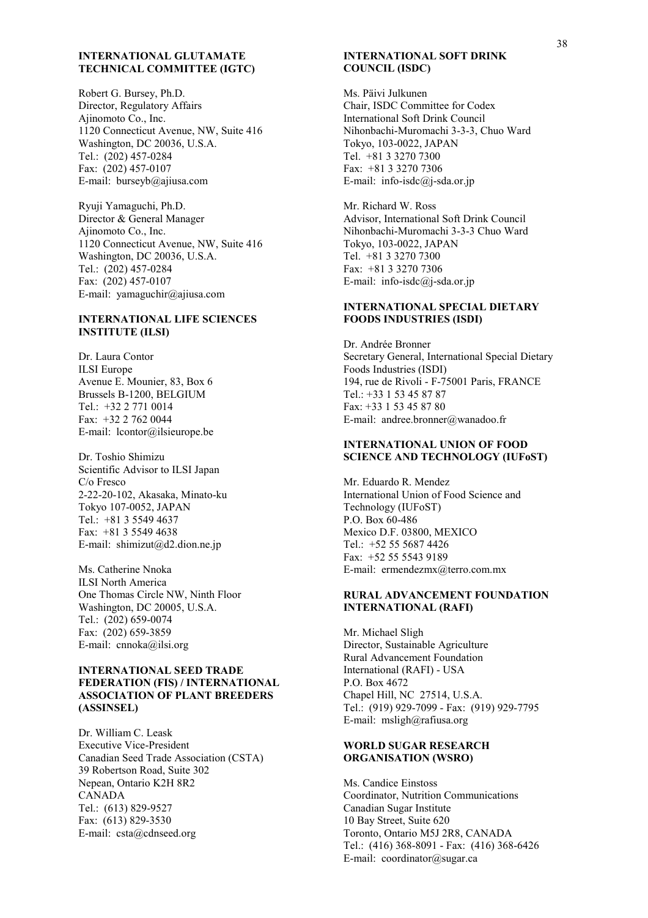#### **INTERNATIONAL GLUTAMATE TECHNICAL COMMITTEE (IGTC)**

Robert G. Bursey, Ph.D. Director, Regulatory Affairs Ajinomoto Co., Inc. 1120 Connecticut Avenue, NW, Suite 416 Washington, DC 20036, U.S.A. Tel.: (202) 457-0284 Fax: (202) 457-0107 E-mail: burseyb@ajiusa.com

Ryuji Yamaguchi, Ph.D. Director & General Manager Ajinomoto Co., Inc. 1120 Connecticut Avenue, NW, Suite 416 Washington, DC 20036, U.S.A. Tel.: (202) 457-0284 Fax: (202) 457-0107 E-mail: yamaguchir@ajiusa.com

#### **INTERNATIONAL LIFE SCIENCES INSTITUTE (ILSI)**

Dr. Laura Contor ILSI Europe Avenue E. Mounier, 83, Box 6 Brussels B-1200, BELGIUM Tel.: +32 2 771 0014 Fax: +32 2 762 0044 E-mail: lcontor@ilsieurope.be

Dr. Toshio Shimizu Scientific Advisor to ILSI Japan C/o Fresco 2-22-20-102, Akasaka, Minato-ku Tokyo 107-0052, JAPAN Tel.: +81 3 5549 4637 Fax: +81 3 5549 4638 E-mail: shimizut@d2.dion.ne.jp

Ms. Catherine Nnoka ILSI North America One Thomas Circle NW, Ninth Floor Washington, DC 20005, U.S.A. Tel.: (202) 659-0074 Fax: (202) 659-3859 E-mail: cnnoka@ilsi.org

#### **INTERNATIONAL SEED TRADE FEDERATION (FIS) / INTERNATIONAL ASSOCIATION OF PLANT BREEDERS (ASSINSEL)**

Dr. William C. Leask Executive Vice-President Canadian Seed Trade Association (CSTA) 39 Robertson Road, Suite 302 Nepean, Ontario K2H 8R2 CANADA Tel.: (613) 829-9527 Fax: (613) 829-3530 E-mail: csta@cdnseed.org

#### **INTERNATIONAL SOFT DRINK COUNCIL (ISDC)**

Ms. Päivi Julkunen Chair, ISDC Committee for Codex International Soft Drink Council Nihonbachi-Muromachi 3-3-3, Chuo Ward Tokyo, 103-0022, JAPAN Tel. +81 3 3270 7300 Fax: +81 3 3270 7306 E-mail: info-isdc@j-sda.or.jp

Mr. Richard W. Ross Advisor, International Soft Drink Council Nihonbachi-Muromachi 3-3-3 Chuo Ward Tokyo, 103-0022, JAPAN Tel. +81 3 3270 7300 Fax: +81 3 3270 7306 E-mail: info-isdc@j-sda.or.jp

#### **INTERNATIONAL SPECIAL DIETARY FOODS INDUSTRIES (ISDI)**

Dr. Andrée Bronner Secretary General, International Special Dietary Foods Industries (ISDI) 194, rue de Rivoli - F-75001 Paris, FRANCE Tel.: +33 1 53 45 87 87 Fax: +33 1 53 45 87 80 E-mail: andree.bronner@wanadoo.fr

#### **INTERNATIONAL UNION OF FOOD SCIENCE AND TECHNOLOGY (IUFoST)**

Mr. Eduardo R. Mendez International Union of Food Science and Technology (IUFoST) P.O. Box 60-486 Mexico D.F. 03800, MEXICO Tel.: +52 55 5687 4426 Fax: +52 55 5543 9189 E-mail: ermendezmx@terro.com.mx

### **RURAL ADVANCEMENT FOUNDATION INTERNATIONAL (RAFI)**

Mr. Michael Sligh Director, Sustainable Agriculture Rural Advancement Foundation International (RAFI) - USA P.O. Box 4672 Chapel Hill, NC 27514, U.S.A. Tel.: (919) 929-7099 - Fax: (919) 929-7795 E-mail: msligh@rafiusa.org

#### **WORLD SUGAR RESEARCH ORGANISATION (WSRO)**

Ms. Candice Einstoss Coordinator, Nutrition Communications Canadian Sugar Institute 10 Bay Street, Suite 620 Toronto, Ontario M5J 2R8, CANADA Tel.: (416) 368-8091 - Fax: (416) 368-6426 E-mail: coordinator@sugar.ca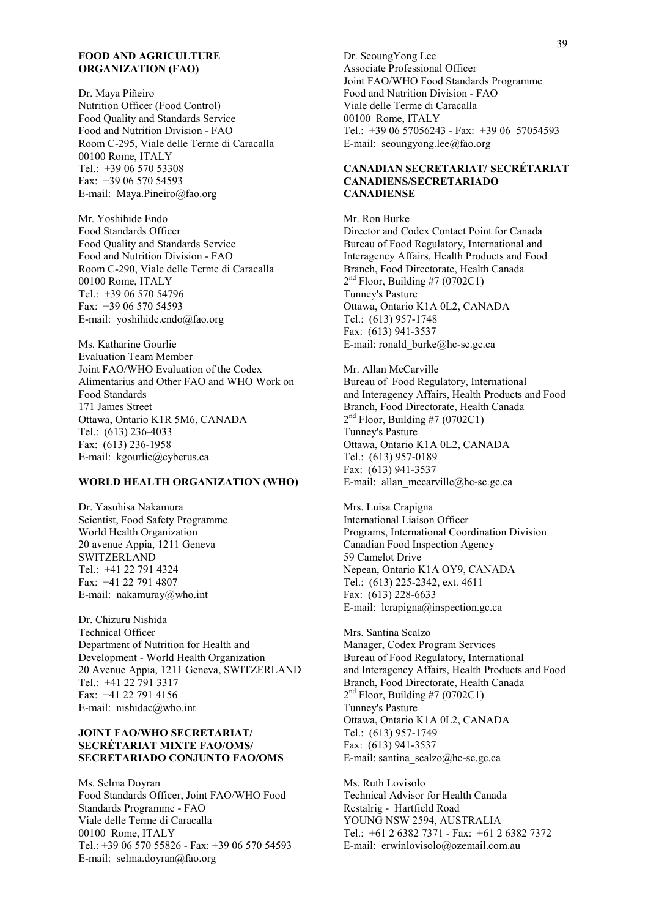#### **FOOD AND AGRICULTURE ORGANIZATION (FAO)**

Dr. Maya Piñeiro Nutrition Officer (Food Control) Food Quality and Standards Service Food and Nutrition Division - FAO Room C-295, Viale delle Terme di Caracalla 00100 Rome, ITALY Tel.: +39 06 570 53308 Fax: +39 06 570 54593 E-mail: Maya.Pineiro@fao.org

Mr. Yoshihide Endo Food Standards Officer Food Quality and Standards Service Food and Nutrition Division - FAO Room C-290, Viale delle Terme di Caracalla 00100 Rome, ITALY Tel.: +39 06 570 54796  $Fax + 390657054593$ E-mail: yoshihide.endo@fao.org

Ms. Katharine Gourlie Evaluation Team Member Joint FAO/WHO Evaluation of the Codex Alimentarius and Other FAO and WHO Work on Food Standards 171 James Street Ottawa, Ontario K1R 5M6, CANADA Tel.: (613) 236-4033 Fax: (613) 236-1958 E-mail: kgourlie@cyberus.ca

#### **WORLD HEALTH ORGANIZATION (WHO)**

Dr. Yasuhisa Nakamura Scientist, Food Safety Programme World Health Organization 20 avenue Appia, 1211 Geneva **SWITZERLAND** Tel.: +41 22 791 4324 Fax: +41 22 791 4807 E-mail: nakamuray@who.int

Dr. Chizuru Nishida Technical Officer Department of Nutrition for Health and Development - World Health Organization 20 Avenue Appia, 1211 Geneva, SWITZERLAND Tel.: +41 22 791 3317 Fax: +41 22 791 4156 E-mail: nishidac@who.int

#### **JOINT FAO/WHO SECRETARIAT/ SECRÉTARIAT MIXTE FAO/OMS/ SECRETARIADO CONJUNTO FAO/OMS**

Ms. Selma Doyran Food Standards Officer, Joint FAO/WHO Food Standards Programme - FAO Viale delle Terme di Caracalla 00100 Rome, ITALY Tel.: +39 06 570 55826 - Fax: +39 06 570 54593 E-mail: selma.doyran@fao.org

Dr. SeoungYong Lee Associate Professional Officer Joint FAO/WHO Food Standards Programme Food and Nutrition Division - FAO Viale delle Terme di Caracalla 00100 Rome, ITALY Tel.: +39 06 57056243 - Fax: +39 06 57054593 E-mail: seoungyong.lee@fao.org

#### **CANADIAN SECRETARIAT/ SECRÉTARIAT CANADIENS/SECRETARIADO CANADIENSE**

Mr. Ron Burke Director and Codex Contact Point for Canada Bureau of Food Regulatory, International and Interagency Affairs, Health Products and Food Branch, Food Directorate, Health Canada  $2<sup>nd</sup>$  Floor, Building #7 (0702C1) Tunney's Pasture Ottawa, Ontario K1A 0L2, CANADA Tel.: (613) 957-1748 Fax: (613) 941-3537 E-mail: ronald\_burke@hc-sc.gc.ca

Mr. Allan McCarville Bureau of Food Regulatory, International and Interagency Affairs, Health Products and Food Branch, Food Directorate, Health Canada  $2<sup>nd</sup>$  Floor, Building #7 (0702C1) Tunney's Pasture Ottawa, Ontario K1A 0L2, CANADA Tel.: (613) 957-0189 Fax: (613) 941-3537 E-mail: allan\_mccarville@hc-sc.gc.ca

Mrs. Luisa Crapigna International Liaison Officer Programs, International Coordination Division Canadian Food Inspection Agency 59 Camelot Drive Nepean, Ontario K1A OY9, CANADA Tel.: (613) 225-2342, ext. 4611 Fax: (613) 228-6633 E-mail: lcrapigna@inspection.gc.ca

Mrs. Santina Scalzo Manager, Codex Program Services Bureau of Food Regulatory, International and Interagency Affairs, Health Products and Food Branch, Food Directorate, Health Canada  $2<sup>nd</sup>$  Floor, Building #7 (0702C1) Tunney's Pasture Ottawa, Ontario K1A 0L2, CANADA Tel.: (613) 957-1749 Fax: (613) 941-3537 E-mail: santina\_scalzo@hc-sc.gc.ca

Ms. Ruth Lovisolo Technical Advisor for Health Canada Restalrig - Hartfield Road YOUNG NSW 2594, AUSTRALIA Tel.: +61 2 6382 7371 - Fax: +61 2 6382 7372 E-mail: erwinlovisolo@ozemail.com.au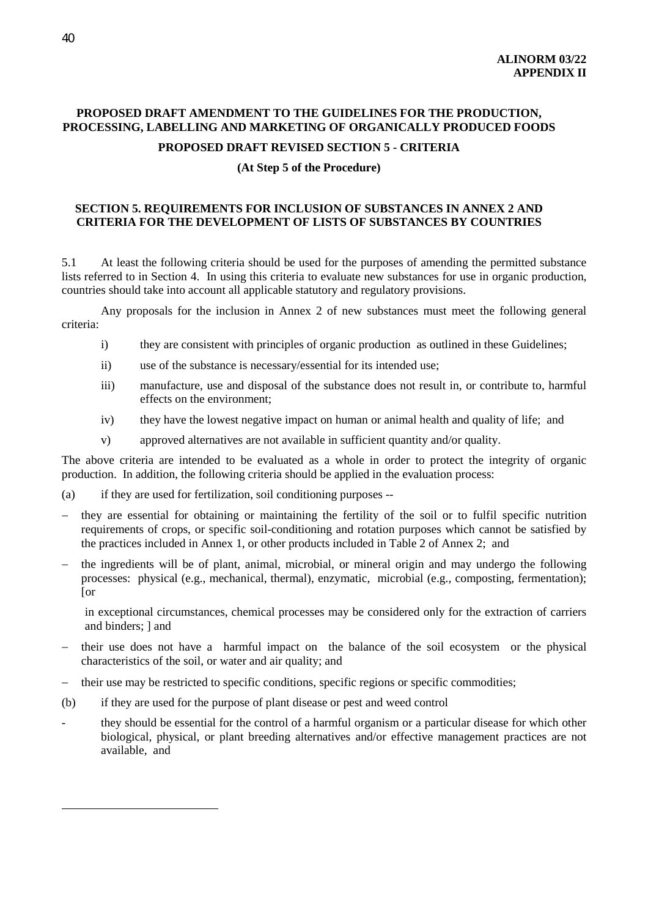## **PROPOSED DRAFT AMENDMENT TO THE GUIDELINES FOR THE PRODUCTION, PROCESSING, LABELLING AND MARKETING OF ORGANICALLY PRODUCED FOODS**

## **PROPOSED DRAFT REVISED SECTION 5 - CRITERIA**

#### **(At Step 5 of the Procedure)**

## **SECTION 5. REQUIREMENTS FOR INCLUSION OF SUBSTANCES IN ANNEX 2 AND CRITERIA FOR THE DEVELOPMENT OF LISTS OF SUBSTANCES BY COUNTRIES**

5.1 At least the following criteria should be used for the purposes of amending the permitted substance lists referred to in Section 4. In using this criteria to evaluate new substances for use in organic production, countries should take into account all applicable statutory and regulatory provisions.

Any proposals for the inclusion in Annex 2 of new substances must meet the following general criteria:

- i) they are consistent with principles of organic production as outlined in these Guidelines;
- ii) use of the substance is necessary/essential for its intended use;
- iii) manufacture, use and disposal of the substance does not result in, or contribute to, harmful effects on the environment;
- iv) they have the lowest negative impact on human or animal health and quality of life; and
- v) approved alternatives are not available in sufficient quantity and/or quality.

The above criteria are intended to be evaluated as a whole in order to protect the integrity of organic production. In addition, the following criteria should be applied in the evaluation process:

- (a) if they are used for fertilization, soil conditioning purposes --
- they are essential for obtaining or maintaining the fertility of the soil or to fulfil specific nutrition requirements of crops, or specific soil-conditioning and rotation purposes which cannot be satisfied by the practices included in Annex 1, or other products included in Table 2 of Annex 2; and
- the ingredients will be of plant, animal, microbial, or mineral origin and may undergo the following processes: physical (e.g., mechanical, thermal), enzymatic, microbial (e.g., composting, fermentation); [or

in exceptional circumstances, chemical processes may be considered only for the extraction of carriers and binders; ] and

- − their use does not have a harmful impact on the balance of the soil ecosystem or the physical characteristics of the soil, or water and air quality; and
- − their use may be restricted to specific conditions, specific regions or specific commodities;
- (b) if they are used for the purpose of plant disease or pest and weed control
- they should be essential for the control of a harmful organism or a particular disease for which other biological, physical, or plant breeding alternatives and/or effective management practices are not available, and

 $\overline{a}$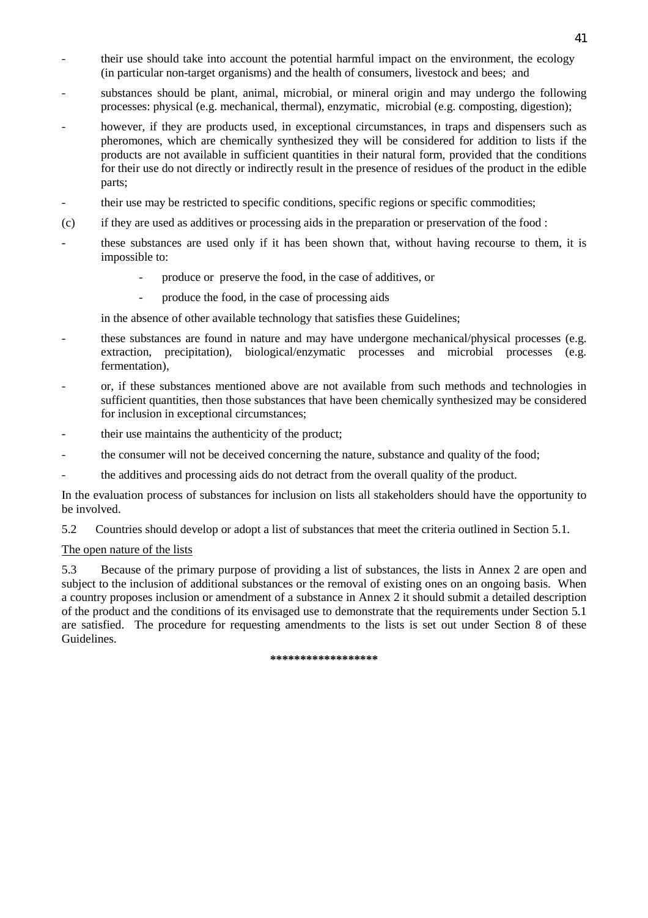- their use should take into account the potential harmful impact on the environment, the ecology (in particular non-target organisms) and the health of consumers, livestock and bees; and
- substances should be plant, animal, microbial, or mineral origin and may undergo the following processes: physical (e.g. mechanical, thermal), enzymatic, microbial (e.g. composting, digestion);
- however, if they are products used, in exceptional circumstances, in traps and dispensers such as pheromones, which are chemically synthesized they will be considered for addition to lists if the products are not available in sufficient quantities in their natural form, provided that the conditions for their use do not directly or indirectly result in the presence of residues of the product in the edible parts;
- their use may be restricted to specific conditions, specific regions or specific commodities;
- (c) if they are used as additives or processing aids in the preparation or preservation of the food :
- these substances are used only if it has been shown that, without having recourse to them, it is impossible to:
	- produce or preserve the food, in the case of additives, or
	- produce the food, in the case of processing aids

in the absence of other available technology that satisfies these Guidelines;

- these substances are found in nature and may have undergone mechanical/physical processes (e.g. extraction, precipitation), biological/enzymatic processes and microbial processes (e.g. fermentation),
- or, if these substances mentioned above are not available from such methods and technologies in sufficient quantities, then those substances that have been chemically synthesized may be considered for inclusion in exceptional circumstances;
- their use maintains the authenticity of the product;
- the consumer will not be deceived concerning the nature, substance and quality of the food;
- the additives and processing aids do not detract from the overall quality of the product.

In the evaluation process of substances for inclusion on lists all stakeholders should have the opportunity to be involved.

5.2 Countries should develop or adopt a list of substances that meet the criteria outlined in Section 5.1.

## The open nature of the lists

5.3 Because of the primary purpose of providing a list of substances, the lists in Annex 2 are open and subject to the inclusion of additional substances or the removal of existing ones on an ongoing basis. When a country proposes inclusion or amendment of a substance in Annex 2 it should submit a detailed description of the product and the conditions of its envisaged use to demonstrate that the requirements under Section 5.1 are satisfied. The procedure for requesting amendments to the lists is set out under Section 8 of these Guidelines.

#### **\*\*\*\*\*\*\*\*\*\*\*\*\*\*\*\*\*\***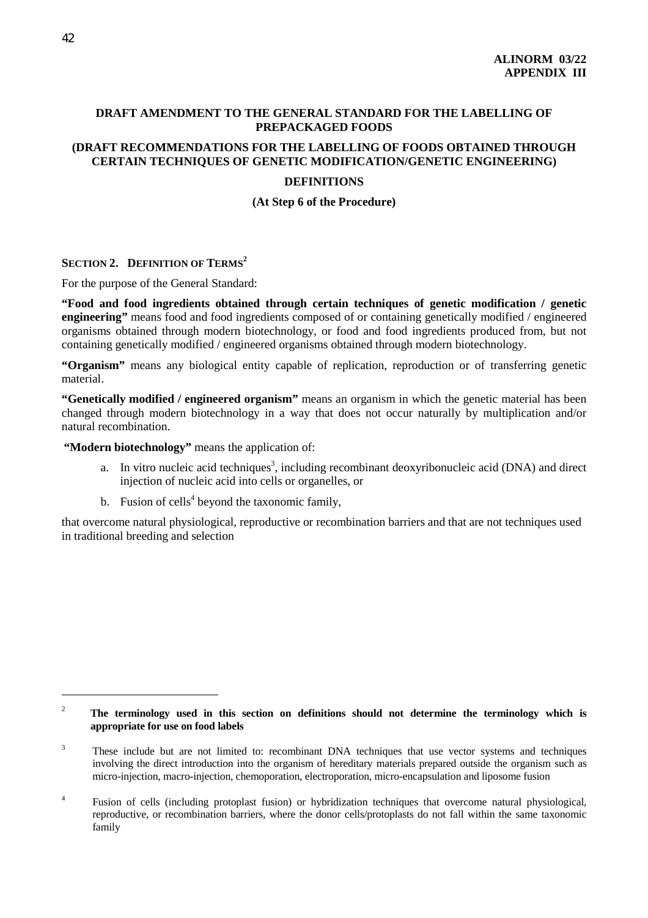## **DRAFT AMENDMENT TO THE GENERAL STANDARD FOR THE LABELLING OF PREPACKAGED FOODS**

### **(DRAFT RECOMMENDATIONS FOR THE LABELLING OF FOODS OBTAINED THROUGH CERTAIN TECHNIQUES OF GENETIC MODIFICATION/GENETIC ENGINEERING)**

#### **DEFINITIONS**

**(At Step 6 of the Procedure)**

## **SECTION 2. DEFINITION OF TERMS<sup>2</sup>**

For the purpose of the General Standard:

**"Food and food ingredients obtained through certain techniques of genetic modification / genetic engineering"** means food and food ingredients composed of or containing genetically modified / engineered organisms obtained through modern biotechnology, or food and food ingredients produced from, but not containing genetically modified / engineered organisms obtained through modern biotechnology.

**"Organism"** means any biological entity capable of replication, reproduction or of transferring genetic material.

**"Genetically modified / engineered organism"** means an organism in which the genetic material has been changed through modern biotechnology in a way that does not occur naturally by multiplication and/or natural recombination.

**"Modern biotechnology"** means the application of:

- a. In vitro nucleic acid techniques<sup>3</sup>, including recombinant deoxyribonucleic acid (DNA) and direct injection of nucleic acid into cells or organelles, or
- b. Fusion of cells<sup>4</sup> beyond the taxonomic family,

that overcome natural physiological, reproductive or recombination barriers and that are not techniques used in traditional breeding and selection

 $\overline{a}$ 

<sup>&</sup>lt;sup>2</sup> The terminology used in this section on definitions should not determine the terminology which is **appropriate for use on food labels**

<sup>3</sup> These include but are not limited to: recombinant DNA techniques that use vector systems and techniques involving the direct introduction into the organism of hereditary materials prepared outside the organism such as micro-injection, macro-injection, chemoporation, electroporation, micro-encapsulation and liposome fusion

<sup>4</sup> Fusion of cells (including protoplast fusion) or hybridization techniques that overcome natural physiological, reproductive, or recombination barriers, where the donor cells/protoplasts do not fall within the same taxonomic family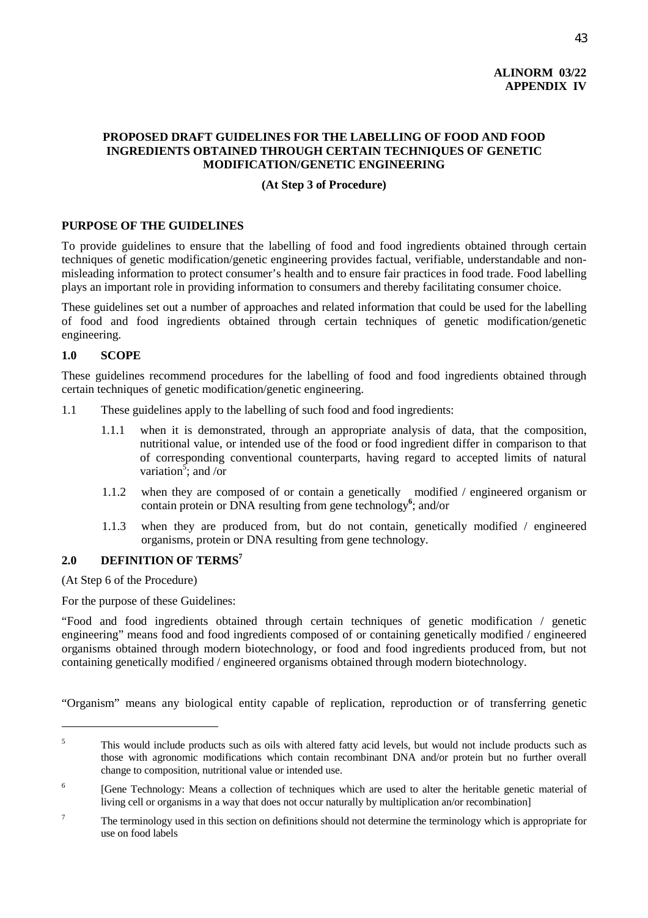## **ALINORM 03/22 APPENDIX IV**

## **PROPOSED DRAFT GUIDELINES FOR THE LABELLING OF FOOD AND FOOD INGREDIENTS OBTAINED THROUGH CERTAIN TECHNIQUES OF GENETIC MODIFICATION/GENETIC ENGINEERING**

### **(At Step 3 of Procedure)**

## **PURPOSE OF THE GUIDELINES**

To provide guidelines to ensure that the labelling of food and food ingredients obtained through certain techniques of genetic modification/genetic engineering provides factual, verifiable, understandable and nonmisleading information to protect consumer's health and to ensure fair practices in food trade. Food labelling plays an important role in providing information to consumers and thereby facilitating consumer choice.

These guidelines set out a number of approaches and related information that could be used for the labelling of food and food ingredients obtained through certain techniques of genetic modification/genetic engineering.

#### **1.0 SCOPE**

These guidelines recommend procedures for the labelling of food and food ingredients obtained through certain techniques of genetic modification/genetic engineering.

- 1.1 These guidelines apply to the labelling of such food and food ingredients:
	- 1.1.1 when it is demonstrated, through an appropriate analysis of data, that the composition, nutritional value, or intended use of the food or food ingredient differ in comparison to that of corresponding conventional counterparts, having regard to accepted limits of natural variation<sup>5</sup>; and /or
	- 1.1.2 when they are composed of or contain a genetically modified / engineered organism or contain protein or DNA resulting from gene technology**<sup>6</sup>** ; and/or
	- 1.1.3 when they are produced from, but do not contain, genetically modified / engineered organisms, protein or DNA resulting from gene technology.

## 2.0 DEFINITION OF TERMS<sup>7</sup>

(At Step 6 of the Procedure)

 $\overline{a}$ 

For the purpose of these Guidelines:

"Food and food ingredients obtained through certain techniques of genetic modification / genetic engineering" means food and food ingredients composed of or containing genetically modified / engineered organisms obtained through modern biotechnology, or food and food ingredients produced from, but not containing genetically modified / engineered organisms obtained through modern biotechnology.

"Organism" means any biological entity capable of replication, reproduction or of transferring genetic

<sup>5</sup> This would include products such as oils with altered fatty acid levels, but would not include products such as those with agronomic modifications which contain recombinant DNA and/or protein but no further overall change to composition, nutritional value or intended use.

<sup>6</sup> [Gene Technology: Means a collection of techniques which are used to alter the heritable genetic material of living cell or organisms in a way that does not occur naturally by multiplication an/or recombination]

<sup>7</sup> The terminology used in this section on definitions should not determine the terminology which is appropriate for use on food labels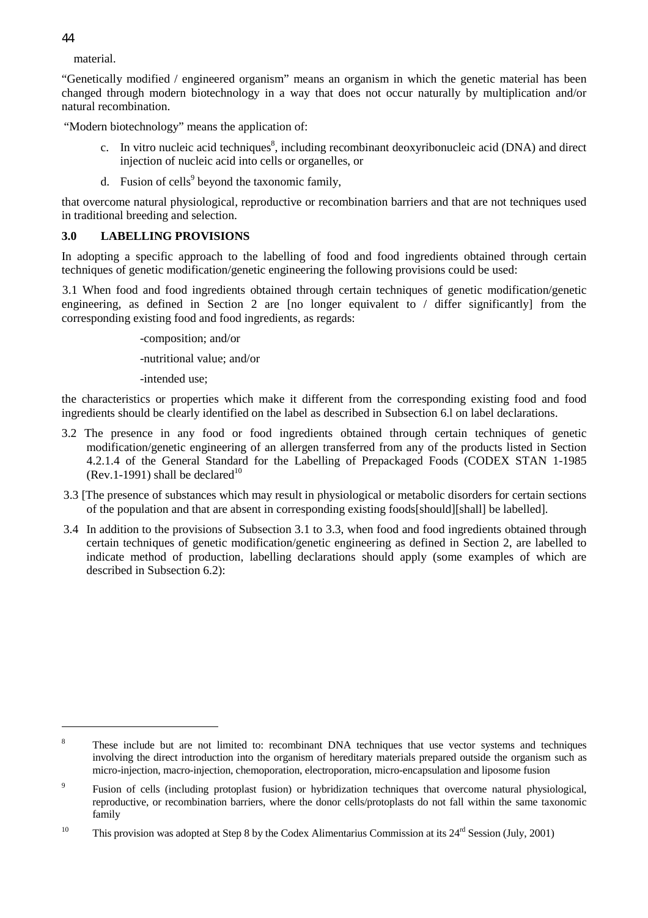material.

"Genetically modified / engineered organism" means an organism in which the genetic material has been changed through modern biotechnology in a way that does not occur naturally by multiplication and/or natural recombination.

"Modern biotechnology" means the application of:

- c. In vitro nucleic acid techniques<sup>8</sup>, including recombinant deoxyribonucleic acid (DNA) and direct injection of nucleic acid into cells or organelles, or
- d. Fusion of cells<sup>9</sup> beyond the taxonomic family,

that overcome natural physiological, reproductive or recombination barriers and that are not techniques used in traditional breeding and selection.

## **3.0 LABELLING PROVISIONS**

In adopting a specific approach to the labelling of food and food ingredients obtained through certain techniques of genetic modification/genetic engineering the following provisions could be used:

3.1 When food and food ingredients obtained through certain techniques of genetic modification/genetic engineering, as defined in Section 2 are [no longer equivalent to / differ significantly] from the corresponding existing food and food ingredients, as regards:

-composition; and/or

-nutritional value; and/or

-intended use;

the characteristics or properties which make it different from the corresponding existing food and food ingredients should be clearly identified on the label as described in Subsection 6.l on label declarations.

- 3.2 The presence in any food or food ingredients obtained through certain techniques of genetic modification/genetic engineering of an allergen transferred from any of the products listed in Section 4.2.1.4 of the General Standard for the Labelling of Prepackaged Foods (CODEX STAN 1-1985  $(Rev.1-1991)$  shall be declared<sup>10</sup>
- 3.3 [The presence of substances which may result in physiological or metabolic disorders for certain sections of the population and that are absent in corresponding existing foods[should][shall] be labelled]*.*
- 3.4 In addition to the provisions of Subsection 3.1 to 3.3, when food and food ingredients obtained through certain techniques of genetic modification/genetic engineering as defined in Section 2, are labelled to indicate method of production, labelling declarations should apply (some examples of which are described in Subsection 6.2):

 $\overline{a}$ 

<sup>8</sup> These include but are not limited to: recombinant DNA techniques that use vector systems and techniques involving the direct introduction into the organism of hereditary materials prepared outside the organism such as micro-injection, macro-injection, chemoporation, electroporation, micro-encapsulation and liposome fusion

<sup>9</sup> Fusion of cells (including protoplast fusion) or hybridization techniques that overcome natural physiological, reproductive, or recombination barriers, where the donor cells/protoplasts do not fall within the same taxonomic family

<sup>&</sup>lt;sup>10</sup> This provision was adopted at Step 8 by the Codex Alimentarius Commission at its  $24^{rd}$  Session (July, 2001)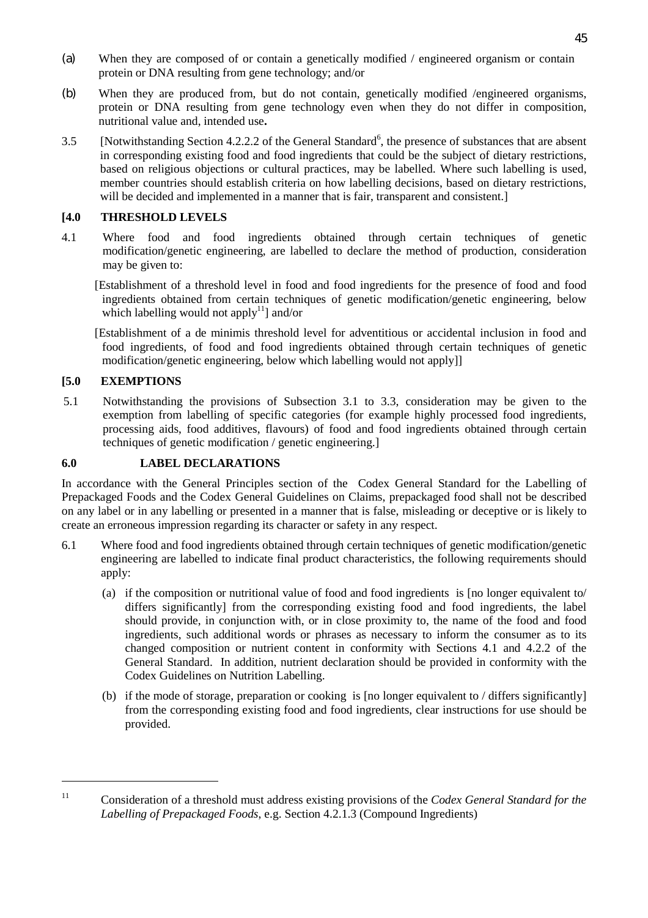- (a) When they are composed of or contain a genetically modified / engineered organism or contain protein or DNA resulting from gene technology; and/or
- (b) When they are produced from, but do not contain, genetically modified /engineered organisms, protein or DNA resulting from gene technology even when they do not differ in composition, nutritional value and, intended use**.**
- 3.5 [Notwithstanding Section 4.2.2.2 of the General Standard<sup>6</sup>, the presence of substances that are absent in corresponding existing food and food ingredients that could be the subject of dietary restrictions, based on religious objections or cultural practices, may be labelled. Where such labelling is used, member countries should establish criteria on how labelling decisions, based on dietary restrictions, will be decided and implemented in a manner that is fair, transparent and consistent.

## **[4.0 THRESHOLD LEVELS**

- 4.1 Where food and food ingredients obtained through certain techniques of genetic modification/genetic engineering, are labelled to declare the method of production, consideration may be given to:
	- [Establishment of a threshold level in food and food ingredients for the presence of food and food ingredients obtained from certain techniques of genetic modification/genetic engineering, below which labelling would not apply<sup>11</sup> and/or
	- [Establishment of a de minimis threshold level for adventitious or accidental inclusion in food and food ingredients, of food and food ingredients obtained through certain techniques of genetic modification/genetic engineering, below which labelling would not apply]]

## **[5.0 EXEMPTIONS**

5.1 Notwithstanding the provisions of Subsection 3.1 to 3.3, consideration may be given to the exemption from labelling of specific categories (for example highly processed food ingredients, processing aids, food additives, flavours) of food and food ingredients obtained through certain techniques of genetic modification / genetic engineering.]

## **6.0 LABEL DECLARATIONS**

In accordance with the General Principles section of the Codex General Standard for the Labelling of Prepackaged Foods and the Codex General Guidelines on Claims, prepackaged food shall not be described on any label or in any labelling or presented in a manner that is false, misleading or deceptive or is likely to create an erroneous impression regarding its character or safety in any respect.

- 6.1 Where food and food ingredients obtained through certain techniques of genetic modification/genetic engineering are labelled to indicate final product characteristics, the following requirements should apply:
	- (a) if the composition or nutritional value of food and food ingredients is [no longer equivalent to/ differs significantly] from the corresponding existing food and food ingredients, the label should provide, in conjunction with, or in close proximity to, the name of the food and food ingredients, such additional words or phrases as necessary to inform the consumer as to its changed composition or nutrient content in conformity with Sections 4.1 and 4.2.2 of the General Standard. In addition, nutrient declaration should be provided in conformity with the Codex Guidelines on Nutrition Labelling.
	- (b) if the mode of storage, preparation or cooking is [no longer equivalent to / differs significantly] from the corresponding existing food and food ingredients, clear instructions for use should be provided.

<sup>11</sup> Consideration of a threshold must address existing provisions of the *Codex General Standard for the Labelling of Prepackaged Foods*, e.g. Section 4.2.1.3 (Compound Ingredients)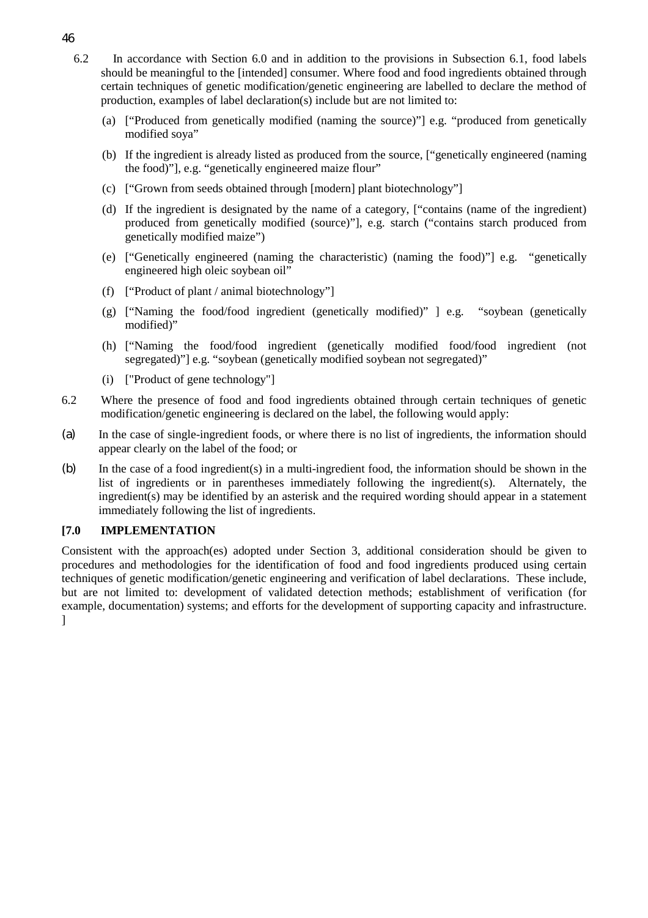- 6.2 In accordance with Section 6.0 and in addition to the provisions in Subsection 6.1, food labels should be meaningful to the [intended] consumer. Where food and food ingredients obtained through certain techniques of genetic modification/genetic engineering are labelled to declare the method of production, examples of label declaration(s) include but are not limited to:
	- (a) ["Produced from genetically modified (naming the source)"] e.g. "produced from genetically modified soya"
	- (b) If the ingredient is already listed as produced from the source, ["genetically engineered (naming the food)"], e.g. "genetically engineered maize flour"
	- (c) ["Grown from seeds obtained through [modern] plant biotechnology"]
	- (d) If the ingredient is designated by the name of a category, ["contains (name of the ingredient) produced from genetically modified (source)"], e.g. starch ("contains starch produced from genetically modified maize")
	- (e) ["Genetically engineered (naming the characteristic) (naming the food)"] e.g. "genetically engineered high oleic soybean oil"
	- (f) ["Product of plant / animal biotechnology"]
	- (g) ["Naming the food/food ingredient (genetically modified)" ] e.g. "soybean (genetically modified)"
	- (h) ["Naming the food/food ingredient (genetically modified food/food ingredient (not segregated)" e.g. "soybean (genetically modified soybean not segregated)"
	- (i) ["Product of gene technology"]
- 6.2 Where the presence of food and food ingredients obtained through certain techniques of genetic modification/genetic engineering is declared on the label, the following would apply:
- (a) In the case of single-ingredient foods, or where there is no list of ingredients, the information should appear clearly on the label of the food; or
- (b) In the case of a food ingredient(s) in a multi-ingredient food, the information should be shown in the list of ingredients or in parentheses immediately following the ingredient(s). Alternately, the ingredient(s) may be identified by an asterisk and the required wording should appear in a statement immediately following the list of ingredients.

#### **[7.0 IMPLEMENTATION**

Consistent with the approach(es) adopted under Section 3, additional consideration should be given to procedures and methodologies for the identification of food and food ingredients produced using certain techniques of genetic modification/genetic engineering and verification of label declarations. These include, but are not limited to: development of validated detection methods; establishment of verification (for example, documentation) systems; and efforts for the development of supporting capacity and infrastructure. ]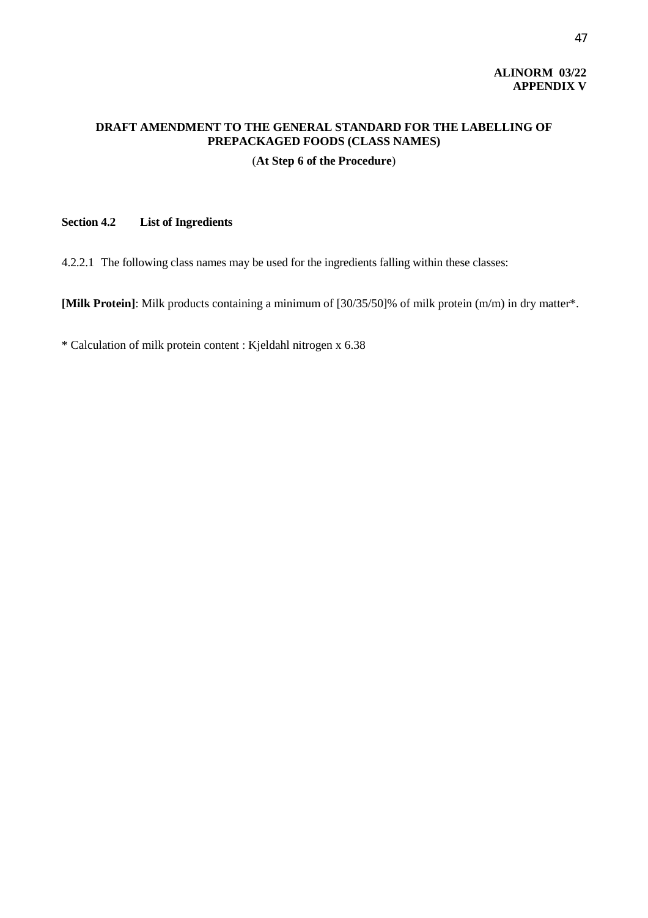## **ALINORM 03/22 APPENDIX V**

## **DRAFT AMENDMENT TO THE GENERAL STANDARD FOR THE LABELLING OF PREPACKAGED FOODS (CLASS NAMES)**

## (**At Step 6 of the Procedure**)

## **Section 4.2 List of Ingredients**

4.2.2.1 The following class names may be used for the ingredients falling within these classes:

**[Milk Protein]**: Milk products containing a minimum of [30/35/50]% of milk protein (m/m) in dry matter\*.

\* Calculation of milk protein content : Kjeldahl nitrogen x 6.38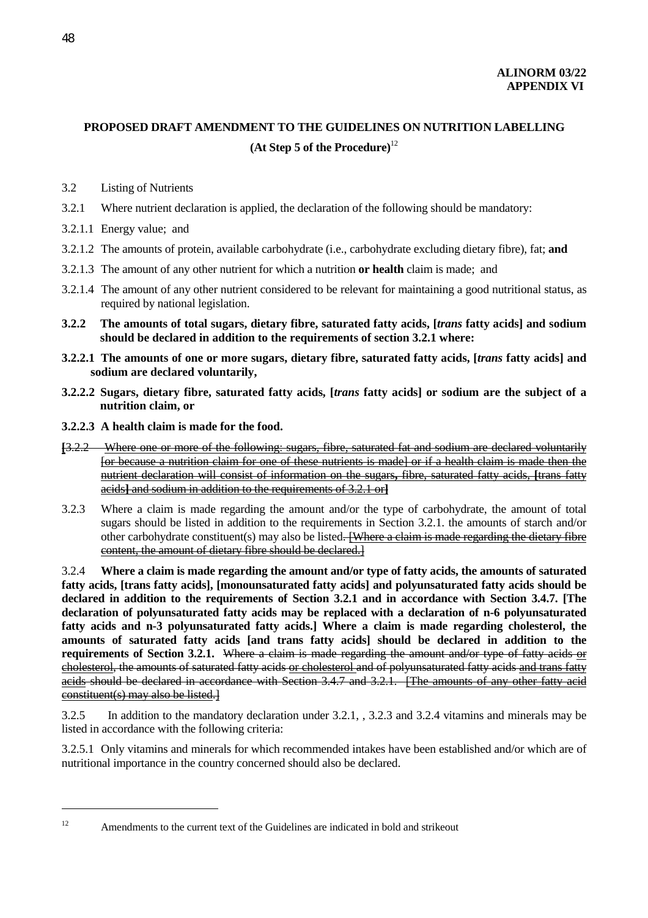## **PROPOSED DRAFT AMENDMENT TO THE GUIDELINES ON NUTRITION LABELLING (At Step 5 of the Procedure)**<sup>12</sup>

- 3.2 Listing of Nutrients
- 3.2.1 Where nutrient declaration is applied, the declaration of the following should be mandatory:
- 3.2.1.1 Energy value; and
- 3.2.1.2 The amounts of protein, available carbohydrate (i.e., carbohydrate excluding dietary fibre), fat; **and**
- 3.2.1.3 The amount of any other nutrient for which a nutrition **or health** claim is made; and
- 3.2.1.4 The amount of any other nutrient considered to be relevant for maintaining a good nutritional status, as required by national legislation.
- **3.2.2 The amounts of total sugars, dietary fibre, saturated fatty acids, [***trans* **fatty acids] and sodium should be declared in addition to the requirements of section 3.2.1 where:**
- **3.2.2.1 The amounts of one or more sugars, dietary fibre, saturated fatty acids, [***trans* **fatty acids] and sodium are declared voluntarily,**
- **3.2.2.2 Sugars, dietary fibre, saturated fatty acids, [***trans* **fatty acids] or sodium are the subject of a nutrition claim, or**
- **3.2.2.3 A health claim is made for the food.**
- **[**3.2.2 Where one or more of the following: sugars, fibre, saturated fat and sodium are declared voluntarily [or because a nutrition claim for one of these nutrients is made] or if a health claim is made then the nutrient declaration will consist of information on the sugars**,** fibre, saturated fatty acids, **[**trans fatty acids**]** and sodium in addition to the requirements of 3.2.1 or**]**
- 3.2.3 Where a claim is made regarding the amount and/or the type of carbohydrate, the amount of total sugars should be listed in addition to the requirements in Section 3.2.1. the amounts of starch and/or other carbohydrate constituent(s) may also be listed. [Where a claim is made regarding the dietary fibre content, the amount of dietary fibre should be declared.]

3.2.4 **Where a claim is made regarding the amount and/or type of fatty acids, the amounts of saturated fatty acids, [trans fatty acids], [monounsaturated fatty acids] and polyunsaturated fatty acids should be declared in addition to the requirements of Section 3.2.1 and in accordance with Section 3.4.7. [The declaration of polyunsaturated fatty acids may be replaced with a declaration of n-6 polyunsaturated fatty acids and n-3 polyunsaturated fatty acids.] Where a claim is made regarding cholesterol, the amounts of saturated fatty acids [and trans fatty acids] should be declared in addition to the requirements of Section 3.2.1.** Where a claim is made regarding the amount and/or type of fatty acids or cholesterol, the amounts of saturated fatty acids or cholesterol and of polyunsaturated fatty acids and trans fatty acids should be declared in accordance with Section 3.4.7 and 3.2.1. [The amounts of any other fatty acid constituent(s) may also be listed.]

3.2.5 In addition to the mandatory declaration under 3.2.1, , 3.2.3 and 3.2.4 vitamins and minerals may be listed in accordance with the following criteria:

3.2.5.1 Only vitamins and minerals for which recommended intakes have been established and/or which are of nutritional importance in the country concerned should also be declared.

 $\overline{a}$ 

<sup>&</sup>lt;sup>12</sup> Amendments to the current text of the Guidelines are indicated in bold and strikeout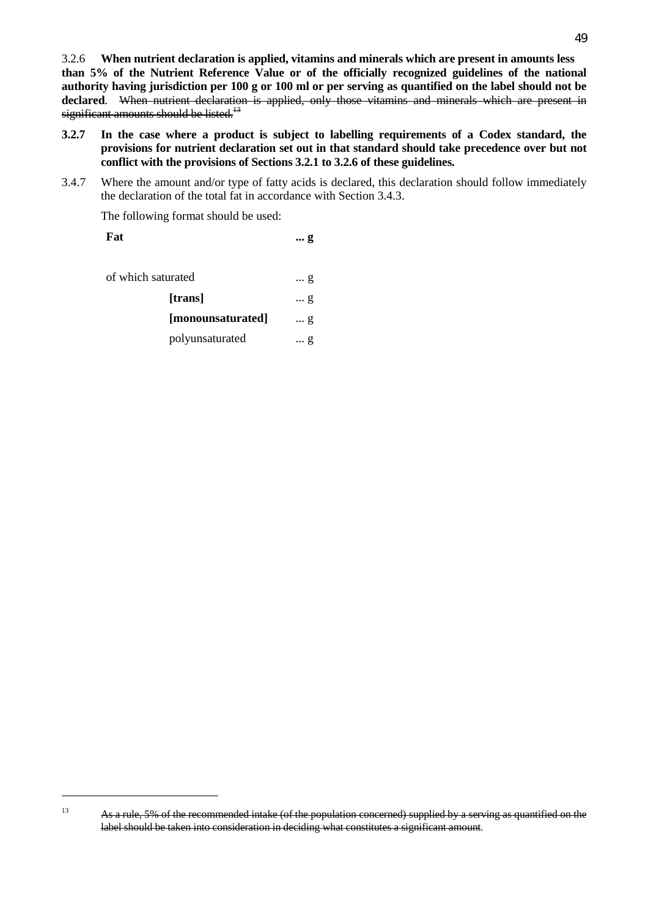3.2.6 **When nutrient declaration is applied, vitamins and minerals which are present in amounts less than 5% of the Nutrient Reference Value or of the officially recognized guidelines of the national authority having jurisdiction per 100 g or 100 ml or per serving as quantified on the label should not be declared**. When nutrient declaration is applied, only those vitamins and minerals which are present in significant amounts should be listed.<sup> $13$ </sup>

- **3.2.7 In the case where a product is subject to labelling requirements of a Codex standard, the provisions for nutrient declaration set out in that standard should take precedence over but not conflict with the provisions of Sections 3.2.1 to 3.2.6 of these guidelines.**
- 3.4.7 Where the amount and/or type of fatty acids is declared, this declaration should follow immediately the declaration of the total fat in accordance with Section 3.4.3.

The following format should be used:

| Fat                | g          |
|--------------------|------------|
|                    |            |
| of which saturated | g          |
| [trans]            | $\ldots$ g |
| [monounsaturated]  | g          |
| polyunsaturated    | g          |

<sup>&</sup>lt;sup>13</sup> As a rule, 5% of the recommended intake (of the population concerned) supplied by a serving as quantified on the label should be taken into consideration in deciding what constitutes a significant amount.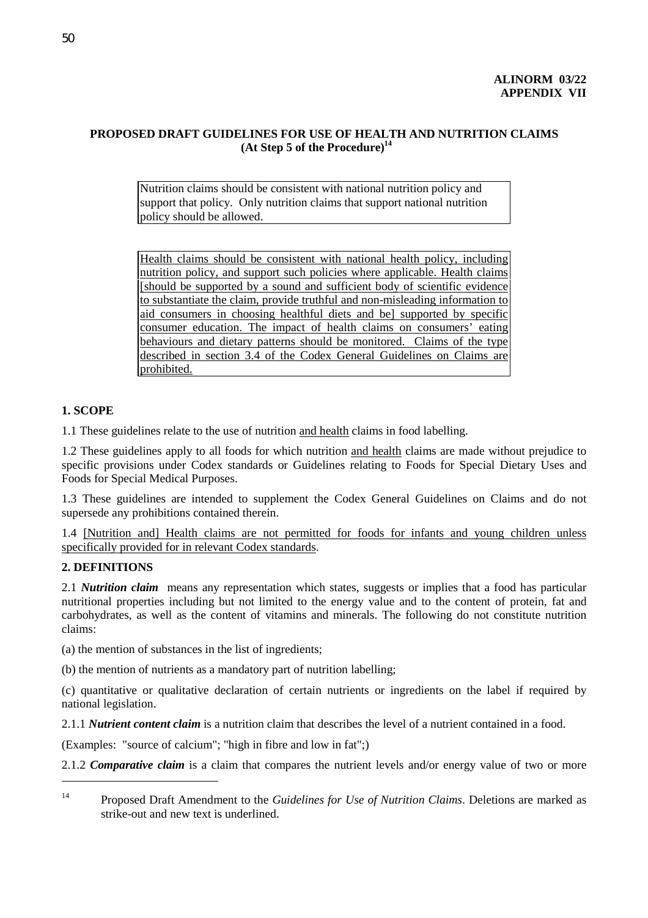## **PROPOSED DRAFT GUIDELINES FOR USE OF HEALTH AND NUTRITION CLAIMS (At Step 5 of the Procedure)14**

Nutrition claims should be consistent with national nutrition policy and support that policy. Only nutrition claims that support national nutrition policy should be allowed.

Health claims should be consistent with national health policy, including nutrition policy, and support such policies where applicable. Health claims [should be supported by a sound and sufficient body of scientific evidence to substantiate the claim, provide truthful and non-misleading information to aid consumers in choosing healthful diets and be] supported by specific consumer education. The impact of health claims on consumers' eating behaviours and dietary patterns should be monitored.Claims of the type described in section 3.4 of the Codex General Guidelines on Claims are prohibited.

## **1. SCOPE**

1.1 These guidelines relate to the use of nutrition and health claims in food labelling.

1.2 These guidelines apply to all foods for which nutrition and health claims are made without prejudice to specific provisions under Codex standards or Guidelines relating to Foods for Special Dietary Uses and Foods for Special Medical Purposes.

1.3 These guidelines are intended to supplement the Codex General Guidelines on Claims and do not supersede any prohibitions contained therein.

1.4 [Nutrition and] Health claims are not permitted for foods for infants and young children unless specifically provided for in relevant Codex standards.

## **2. DEFINITIONS**

2.1 *Nutrition claim* means any representation which states, suggests or implies that a food has particular nutritional properties including but not limited to the energy value and to the content of protein, fat and carbohydrates, as well as the content of vitamins and minerals. The following do not constitute nutrition claims:

(a) the mention of substances in the list of ingredients;

(b) the mention of nutrients as a mandatory part of nutrition labelling;

(c) quantitative or qualitative declaration of certain nutrients or ingredients on the label if required by national legislation.

2.1.1 *Nutrient content claim* is a nutrition claim that describes the level of a nutrient contained in a food.

(Examples: "source of calcium"; "high in fibre and low in fat";)

2.1.2 *Comparative claim* is a claim that compares the nutrient levels and/or energy value of two or more

<sup>14</sup> Proposed Draft Amendment to the *Guidelines for Use of Nutrition Claims*. Deletions are marked as strike-out and new text is underlined.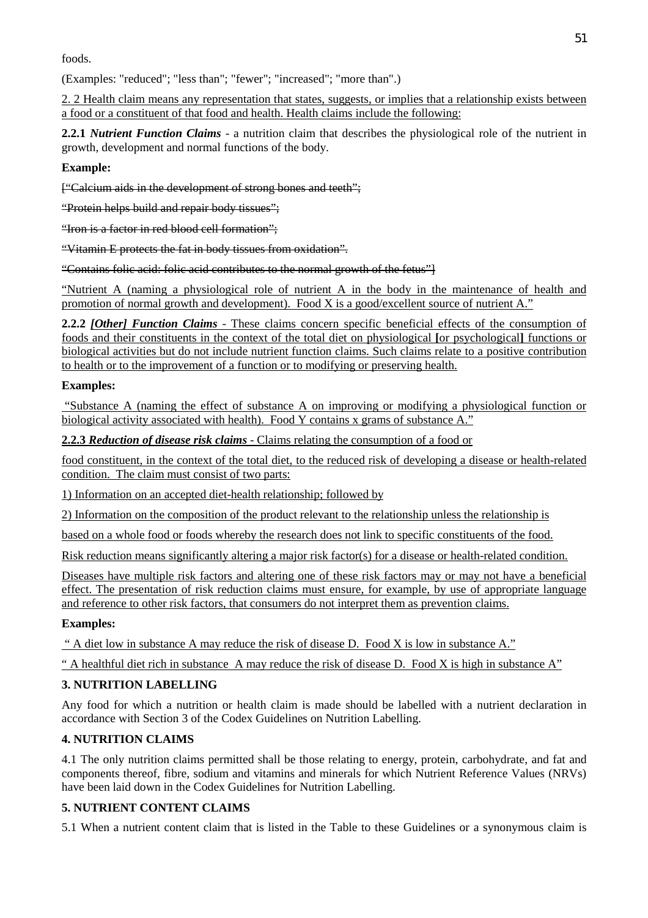foods.

(Examples: "reduced"; "less than"; "fewer"; "increased"; "more than".)

2. 2 Health claim means any representation that states, suggests, or implies that a relationship exists between a food or a constituent of that food and health. Health claims include the following:

**2.2.1** *Nutrient Function Claims* - a nutrition claim that describes the physiological role of the nutrient in growth, development and normal functions of the body.

## **Example:**

["Calcium aids in the development of strong bones and teeth";

"Protein helps build and repair body tissues";

"Iron is a factor in red blood cell formation";

"Vitamin E protects the fat in body tissues from oxidation".

"Contains folic acid: folic acid contributes to the normal growth of the fetus"]

"Nutrient A (naming a physiological role of nutrient A in the body in the maintenance of health and promotion of normal growth and development). Food X is a good/excellent source of nutrient A."

**2.2.2** *[Other] Function Claims* - These claims concern specific beneficial effects of the consumption of foods and their constituents in the context of the total diet on physiological **[**or psychological**]** functions or biological activities but do not include nutrient function claims. Such claims relate to a positive contribution to health or to the improvement of a function or to modifying or preserving health.

## **Examples:**

 "Substance A (naming the effect of substance A on improving or modifying a physiological function or biological activity associated with health). Food Y contains x grams of substance A."

2.2.3 Reduction of disease risk claims - Claims relating the consumption of a food or

food constituent, in the context of the total diet, to the reduced risk of developing a disease or health-related condition. The claim must consist of two parts:

1) Information on an accepted diet-health relationship; followed by

2) Information on the composition of the product relevant to the relationship unless the relationship is

based on a whole food or foods whereby the research does not link to specific constituents of the food.

Risk reduction means significantly altering a major risk factor(s) for a disease or health-related condition.

Diseases have multiple risk factors and altering one of these risk factors may or may not have a beneficial effect. The presentation of risk reduction claims must ensure, for example, by use of appropriate language and reference to other risk factors, that consumers do not interpret them as prevention claims.

## **Examples:**

" A diet low in substance A may reduce the risk of disease D. Food X is low in substance A."

" A healthful diet rich in substance A may reduce the risk of disease D. Food X is high in substance A"

## **3. NUTRITION LABELLING**

Any food for which a nutrition or health claim is made should be labelled with a nutrient declaration in accordance with Section 3 of the Codex Guidelines on Nutrition Labelling.

## **4. NUTRITION CLAIMS**

4.1 The only nutrition claims permitted shall be those relating to energy, protein, carbohydrate, and fat and components thereof, fibre, sodium and vitamins and minerals for which Nutrient Reference Values (NRVs) have been laid down in the Codex Guidelines for Nutrition Labelling.

## **5. NUTRIENT CONTENT CLAIMS**

5.1 When a nutrient content claim that is listed in the Table to these Guidelines or a synonymous claim is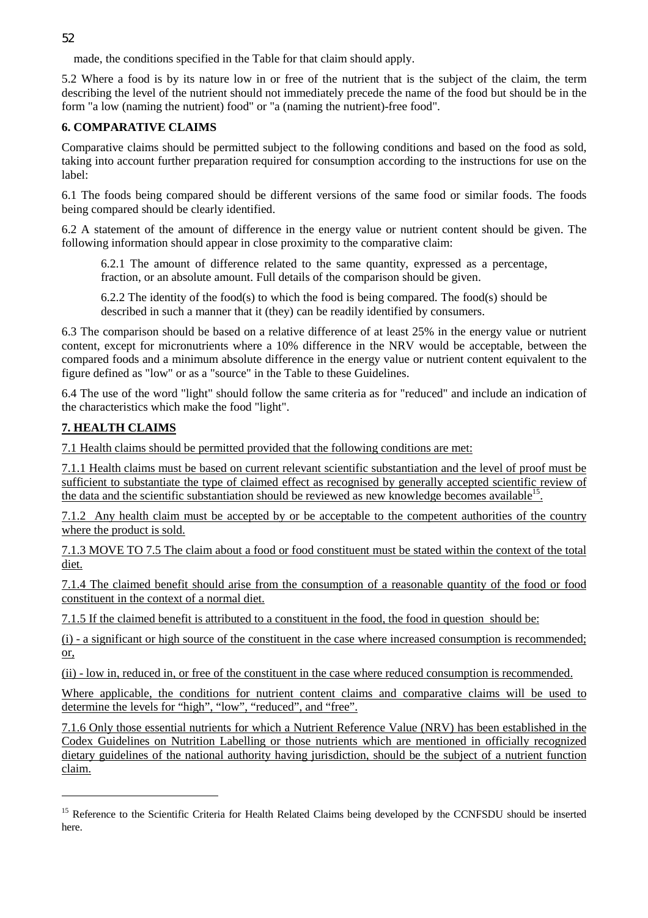made, the conditions specified in the Table for that claim should apply.

5.2 Where a food is by its nature low in or free of the nutrient that is the subject of the claim, the term describing the level of the nutrient should not immediately precede the name of the food but should be in the form "a low (naming the nutrient) food" or "a (naming the nutrient)-free food".

## **6. COMPARATIVE CLAIMS**

Comparative claims should be permitted subject to the following conditions and based on the food as sold, taking into account further preparation required for consumption according to the instructions for use on the label:

6.1 The foods being compared should be different versions of the same food or similar foods. The foods being compared should be clearly identified.

6.2 A statement of the amount of difference in the energy value or nutrient content should be given. The following information should appear in close proximity to the comparative claim:

6.2.1 The amount of difference related to the same quantity, expressed as a percentage, fraction, or an absolute amount. Full details of the comparison should be given.

6.2.2 The identity of the food(s) to which the food is being compared. The food(s) should be described in such a manner that it (they) can be readily identified by consumers.

6.3 The comparison should be based on a relative difference of at least 25% in the energy value or nutrient content, except for micronutrients where a 10% difference in the NRV would be acceptable, between the compared foods and a minimum absolute difference in the energy value or nutrient content equivalent to the figure defined as "low" or as a "source" in the Table to these Guidelines.

6.4 The use of the word "light" should follow the same criteria as for "reduced" and include an indication of the characteristics which make the food "light".

## **7. HEALTH CLAIMS**

7.1 Health claims should be permitted provided that the following conditions are met:

7.1.1 Health claims must be based on current relevant scientific substantiation and the level of proof must be sufficient to substantiate the type of claimed effect as recognised by generally accepted scientific review of the data and the scientific substantiation should be reviewed as new knowledge becomes available<sup>15</sup>.

7.1.2 Any health claim must be accepted by or be acceptable to the competent authorities of the country where the product is sold.

7.1.3 MOVE TO 7.5 The claim about a food or food constituent must be stated within the context of the total diet.

7.1.4 The claimed benefit should arise from the consumption of a reasonable quantity of the food or food constituent in the context of a normal diet.

7.1.5 If the claimed benefit is attributed to a constituent in the food, the food in question should be:

(i) - a significant or high source of the constituent in the case where increased consumption is recommended; or,

(ii) - low in, reduced in, or free of the constituent in the case where reduced consumption is recommended.

Where applicable, the conditions for nutrient content claims and comparative claims will be used to determine the levels for "high", "low", "reduced", and "free".

7.1.6 Only those essential nutrients for which a Nutrient Reference Value (NRV) has been established in the Codex Guidelines on Nutrition Labelling or those nutrients which are mentioned in officially recognized dietary guidelines of the national authority having jurisdiction, should be the subject of a nutrient function claim.

<sup>&</sup>lt;sup>15</sup> Reference to the Scientific Criteria for Health Related Claims being developed by the CCNFSDU should be inserted here.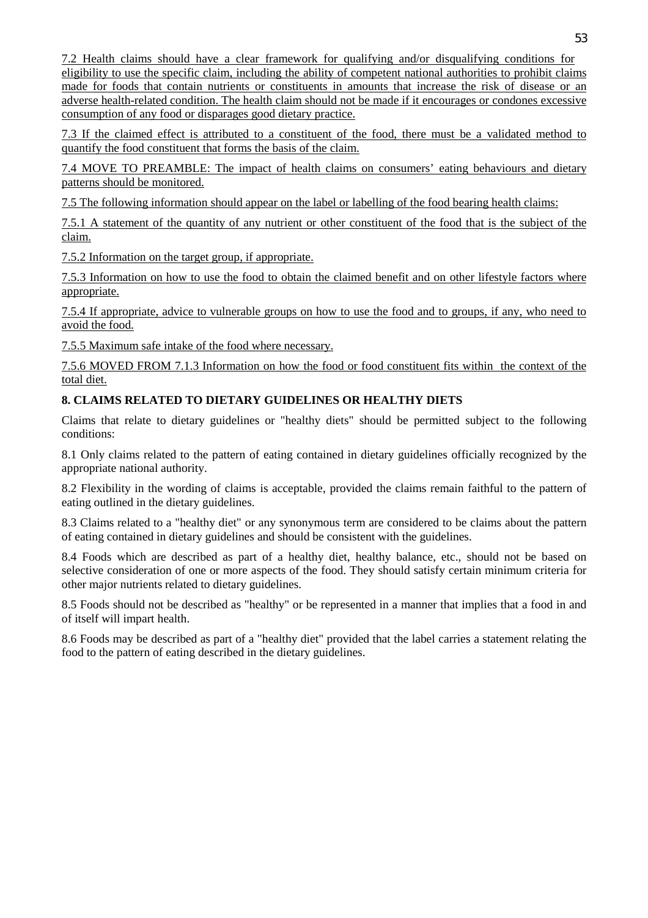7.2 Health claims should have a clear framework for qualifying and/or disqualifying conditions for eligibility to use the specific claim, including the ability of competent national authorities to prohibit claims made for foods that contain nutrients or constituents in amounts that increase the risk of disease or an adverse health-related condition. The health claim should not be made if it encourages or condones excessive consumption of any food or disparages good dietary practice.

7.3 If the claimed effect is attributed to a constituent of the food, there must be a validated method to quantify the food constituent that forms the basis of the claim.

7.4 MOVE TO PREAMBLE: The impact of health claims on consumers' eating behaviours and dietary patterns should be monitored.

7.5 The following information should appear on the label or labelling of the food bearing health claims:

7.5.1 A statement of the quantity of any nutrient or other constituent of the food that is the subject of the claim.

7.5.2 Information on the target group, if appropriate.

7.5.3 Information on how to use the food to obtain the claimed benefit and on other lifestyle factors where appropriate.

7.5.4 If appropriate, advice to vulnerable groups on how to use the food and to groups, if any, who need to avoid the food.

7.5.5 Maximum safe intake of the food where necessary.

7.5.6 MOVED FROM 7.1.3 Information on how the food or food constituent fits within the context of the total diet.

## **8. CLAIMS RELATED TO DIETARY GUIDELINES OR HEALTHY DIETS**

Claims that relate to dietary guidelines or "healthy diets" should be permitted subject to the following conditions:

8.1 Only claims related to the pattern of eating contained in dietary guidelines officially recognized by the appropriate national authority.

8.2 Flexibility in the wording of claims is acceptable, provided the claims remain faithful to the pattern of eating outlined in the dietary guidelines.

8.3 Claims related to a "healthy diet" or any synonymous term are considered to be claims about the pattern of eating contained in dietary guidelines and should be consistent with the guidelines.

8.4 Foods which are described as part of a healthy diet, healthy balance, etc., should not be based on selective consideration of one or more aspects of the food. They should satisfy certain minimum criteria for other major nutrients related to dietary guidelines.

8.5 Foods should not be described as "healthy" or be represented in a manner that implies that a food in and of itself will impart health.

8.6 Foods may be described as part of a "healthy diet" provided that the label carries a statement relating the food to the pattern of eating described in the dietary guidelines.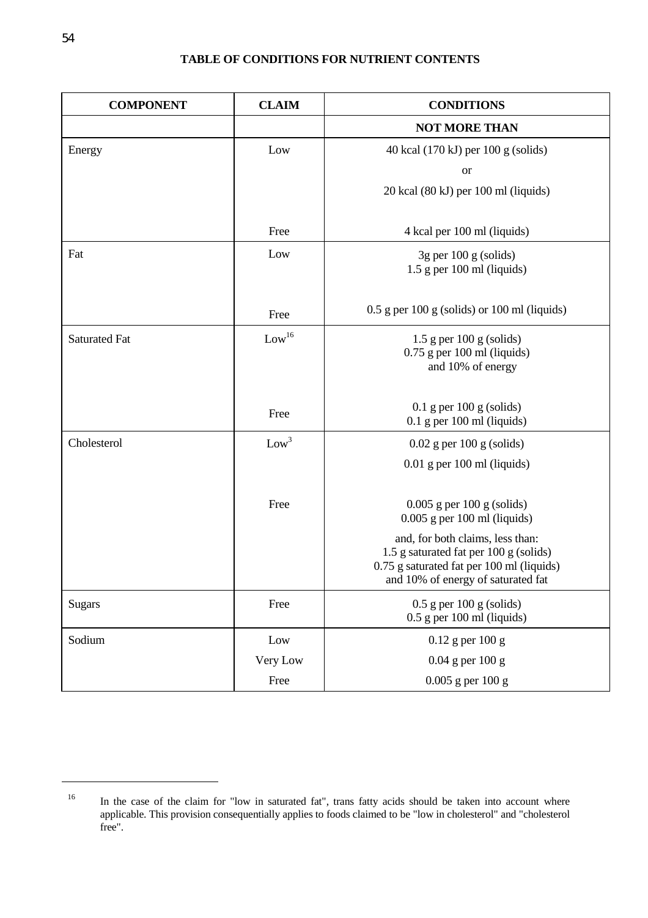## **TABLE OF CONDITIONS FOR NUTRIENT CONTENTS**

| <b>COMPONENT</b>     | <b>CLAIM</b>      | <b>CONDITIONS</b>                                              |
|----------------------|-------------------|----------------------------------------------------------------|
|                      |                   | <b>NOT MORE THAN</b>                                           |
| Energy               | Low               | 40 kcal (170 kJ) per 100 g (solids)                            |
|                      |                   | <b>or</b>                                                      |
|                      |                   | 20 kcal (80 kJ) per 100 ml (liquids)                           |
|                      |                   |                                                                |
|                      | Free              | 4 kcal per 100 ml (liquids)                                    |
| Fat                  | Low               | $3g$ per 100 g (solids)                                        |
|                      |                   | $1.5$ g per 100 ml (liquids)                                   |
|                      |                   |                                                                |
|                      | Free              | $0.5$ g per 100 g (solids) or 100 ml (liquids)                 |
| <b>Saturated Fat</b> | Low <sup>16</sup> | $1.5$ g per $100$ g (solids)                                   |
|                      |                   | $0.75$ g per 100 ml (liquids)<br>and 10% of energy             |
|                      |                   |                                                                |
|                      |                   | $0.1$ g per 100 g (solids)                                     |
|                      | Free              | $0.1$ g per 100 ml (liquids)                                   |
| Cholesterol          | Low <sup>3</sup>  | $0.02$ g per 100 g (solids)                                    |
|                      |                   | $0.01$ g per 100 ml (liquids)                                  |
|                      |                   |                                                                |
|                      | Free              | $0.005$ g per 100 g (solids)<br>$0.005$ g per 100 ml (liquids) |
|                      |                   | and, for both claims, less than:                               |
|                      |                   | 1.5 g saturated fat per 100 g (solids)                         |
|                      |                   | 0.75 g saturated fat per 100 ml (liquids)                      |
|                      |                   | and 10% of energy of saturated fat                             |
| <b>Sugars</b>        | Free              | $0.5$ g per 100 g (solids)<br>$0.5$ g per 100 ml (liquids)     |
| Sodium               | Low               | $0.12$ g per $100$ g                                           |
|                      |                   | $0.04$ g per $100$ g                                           |
|                      | Very Low          |                                                                |
|                      | Free              | $0.005$ g per $100$ g                                          |

 $\overline{a}$ 

<sup>&</sup>lt;sup>16</sup> In the case of the claim for "low in saturated fat", trans fatty acids should be taken into account where applicable. This provision consequentially applies to foods claimed to be "low in cholesterol" and "cholesterol free".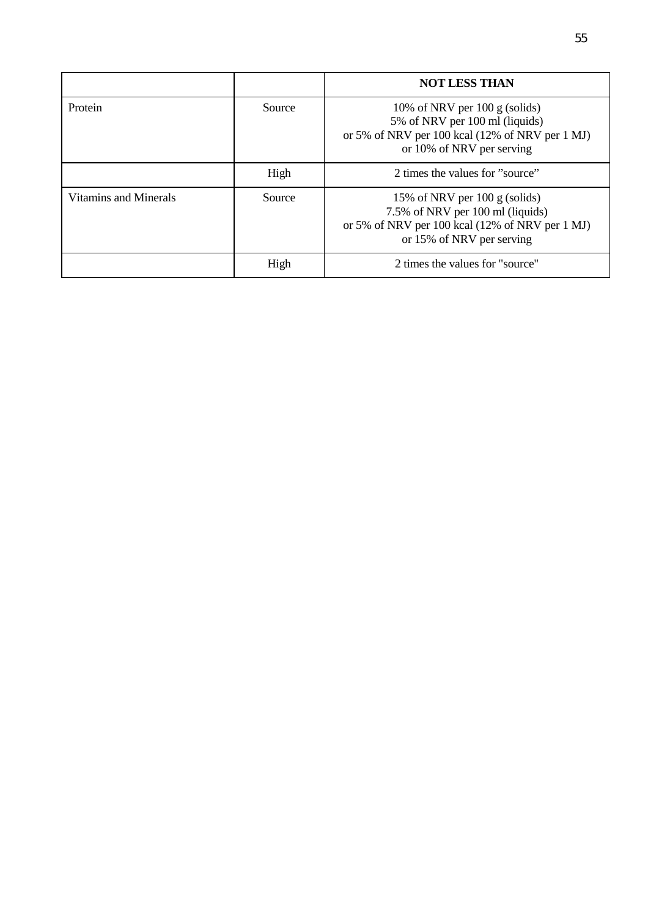|                       |        | <b>NOT LESS THAN</b>                                                                                                                                        |
|-----------------------|--------|-------------------------------------------------------------------------------------------------------------------------------------------------------------|
| Protein               | Source | 10% of NRV per 100 g (solids)<br>5% of NRV per 100 ml (liquids)<br>or 5% of NRV per 100 kcal (12% of NRV per 1 MJ)<br>or 10% of NRV per serving             |
|                       | High   | 2 times the values for "source"                                                                                                                             |
| Vitamins and Minerals | Source | 15% of NRV per $100 \text{ g}$ (solids)<br>7.5% of NRV per 100 ml (liquids)<br>or 5% of NRV per 100 kcal (12% of NRV per 1 MJ)<br>or 15% of NRV per serving |
|                       | High   | 2 times the values for "source"                                                                                                                             |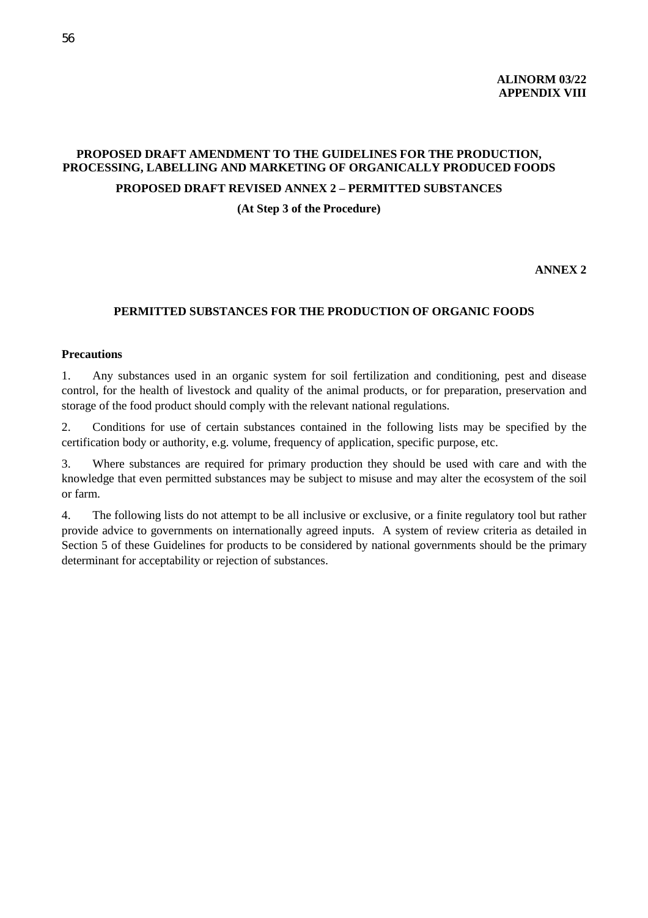## **PROPOSED DRAFT AMENDMENT TO THE GUIDELINES FOR THE PRODUCTION, PROCESSING, LABELLING AND MARKETING OF ORGANICALLY PRODUCED FOODS**

## **PROPOSED DRAFT REVISED ANNEX 2 – PERMITTED SUBSTANCES**

**(At Step 3 of the Procedure)**

**ANNEX 2**

#### **PERMITTED SUBSTANCES FOR THE PRODUCTION OF ORGANIC FOODS**

#### **Precautions**

1. Any substances used in an organic system for soil fertilization and conditioning, pest and disease control, for the health of livestock and quality of the animal products, or for preparation, preservation and storage of the food product should comply with the relevant national regulations.

2. Conditions for use of certain substances contained in the following lists may be specified by the certification body or authority, e.g. volume, frequency of application, specific purpose, etc.

3. Where substances are required for primary production they should be used with care and with the knowledge that even permitted substances may be subject to misuse and may alter the ecosystem of the soil or farm.

4. The following lists do not attempt to be all inclusive or exclusive, or a finite regulatory tool but rather provide advice to governments on internationally agreed inputs. A system of review criteria as detailed in Section 5 of these Guidelines for products to be considered by national governments should be the primary determinant for acceptability or rejection of substances.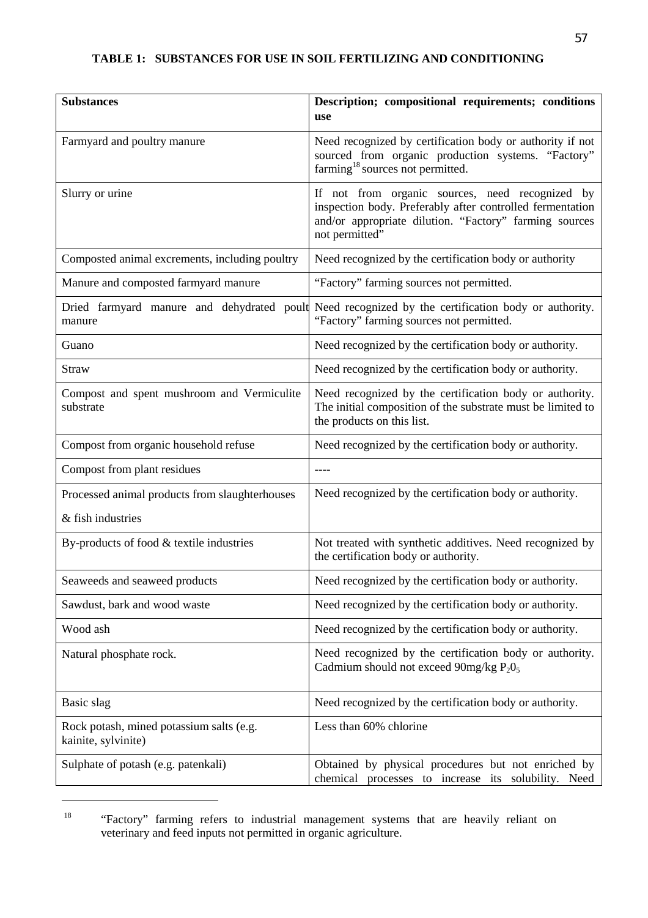| <b>Substances</b>                                               | Description; compositional requirements; conditions<br>use                                                                                                                               |
|-----------------------------------------------------------------|------------------------------------------------------------------------------------------------------------------------------------------------------------------------------------------|
| Farmyard and poultry manure                                     | Need recognized by certification body or authority if not<br>sourced from organic production systems. "Factory"<br>farming <sup>18</sup> sources not permitted.                          |
| Slurry or urine                                                 | If not from organic sources, need recognized by<br>inspection body. Preferably after controlled fermentation<br>and/or appropriate dilution. "Factory" farming sources<br>not permitted" |
| Composted animal excrements, including poultry                  | Need recognized by the certification body or authority                                                                                                                                   |
| Manure and composted farmyard manure                            | "Factory" farming sources not permitted.                                                                                                                                                 |
| Dried farmyard manure and dehydrated poult<br>manure            | Need recognized by the certification body or authority.<br>"Factory" farming sources not permitted.                                                                                      |
| Guano                                                           | Need recognized by the certification body or authority.                                                                                                                                  |
| <b>Straw</b>                                                    | Need recognized by the certification body or authority.                                                                                                                                  |
| Compost and spent mushroom and Vermiculite<br>substrate         | Need recognized by the certification body or authority.<br>The initial composition of the substrate must be limited to<br>the products on this list.                                     |
| Compost from organic household refuse                           | Need recognized by the certification body or authority.                                                                                                                                  |
| Compost from plant residues                                     | $---$                                                                                                                                                                                    |
| Processed animal products from slaughterhouses                  | Need recognized by the certification body or authority.                                                                                                                                  |
| & fish industries                                               |                                                                                                                                                                                          |
| By-products of food & textile industries                        | Not treated with synthetic additives. Need recognized by<br>the certification body or authority.                                                                                         |
| Seaweeds and seaweed products                                   | Need recognized by the certification body or authority.                                                                                                                                  |
| Sawdust, bark and wood waste                                    | Need recognized by the certification body or authority.                                                                                                                                  |
| Wood ash                                                        | Need recognized by the certification body or authority.                                                                                                                                  |
| Natural phosphate rock.                                         | Need recognized by the certification body or authority.<br>Cadmium should not exceed 90mg/kg $P_2O_5$                                                                                    |
| Basic slag                                                      | Need recognized by the certification body or authority.                                                                                                                                  |
| Rock potash, mined potassium salts (e.g.<br>kainite, sylvinite) | Less than 60% chlorine                                                                                                                                                                   |
| Sulphate of potash (e.g. patenkali)                             | Obtained by physical procedures but not enriched by<br>chemical<br>processes to increase its solubility. Need                                                                            |

<sup>&</sup>lt;sup>18</sup> "Factory" farming refers to industrial management systems that are heavily reliant on veterinary and feed inputs not permitted in organic agriculture.

 $\overline{a}$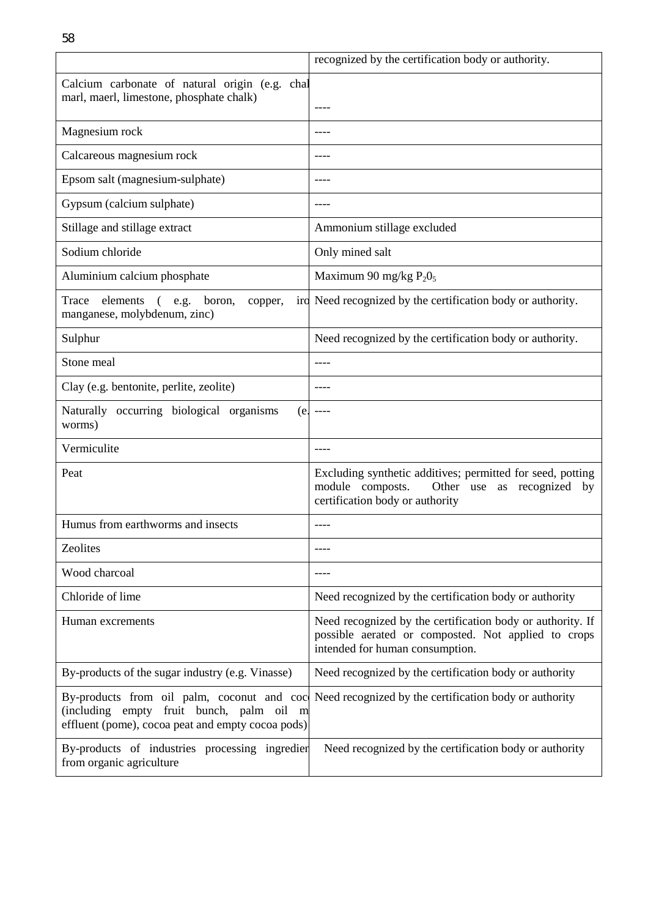|                                                                                               | recognized by the certification body or authority.                                                                                                   |
|-----------------------------------------------------------------------------------------------|------------------------------------------------------------------------------------------------------------------------------------------------------|
| Calcium carbonate of natural origin (e.g. chal<br>marl, maerl, limestone, phosphate chalk)    | $- - - -$                                                                                                                                            |
| Magnesium rock                                                                                | ----                                                                                                                                                 |
| Calcareous magnesium rock                                                                     | ----                                                                                                                                                 |
| Epsom salt (magnesium-sulphate)                                                               | ----                                                                                                                                                 |
| Gypsum (calcium sulphate)                                                                     | ----                                                                                                                                                 |
| Stillage and stillage extract                                                                 | Ammonium stillage excluded                                                                                                                           |
| Sodium chloride                                                                               | Only mined salt                                                                                                                                      |
| Aluminium calcium phosphate                                                                   | Maximum 90 mg/kg $P_2O_5$                                                                                                                            |
| elements<br>(e.g. boron,<br>Trace<br>copper,<br>manganese, molybdenum, zinc)                  | ird Need recognized by the certification body or authority.                                                                                          |
| Sulphur                                                                                       | Need recognized by the certification body or authority.                                                                                              |
| Stone meal                                                                                    | ----                                                                                                                                                 |
| Clay (e.g. bentonite, perlite, zeolite)                                                       |                                                                                                                                                      |
| Naturally occurring biological organisms<br>(e<br>worms)                                      | ----                                                                                                                                                 |
| Vermiculite                                                                                   | $- - - -$                                                                                                                                            |
| Peat                                                                                          | Excluding synthetic additives; permitted for seed, potting<br>module composts.<br>Other use as recognized<br>by<br>certification body or authority   |
| Humus from earthworms and insects                                                             | $- - - -$                                                                                                                                            |
| Zeolites                                                                                      | ----                                                                                                                                                 |
| Wood charcoal                                                                                 |                                                                                                                                                      |
| Chloride of lime                                                                              | Need recognized by the certification body or authority                                                                                               |
| Human excrements                                                                              | Need recognized by the certification body or authority. If<br>possible aerated or composted. Not applied to crops<br>intended for human consumption. |
| By-products of the sugar industry (e.g. Vinasse)                                              | Need recognized by the certification body or authority                                                                                               |
| (including empty fruit bunch, palm oil m<br>effluent (pome), cocoa peat and empty cocoa pods) | By-products from oil palm, coconut and coc Need recognized by the certification body or authority                                                    |
| By-products of industries processing ingredien<br>from organic agriculture                    | Need recognized by the certification body or authority                                                                                               |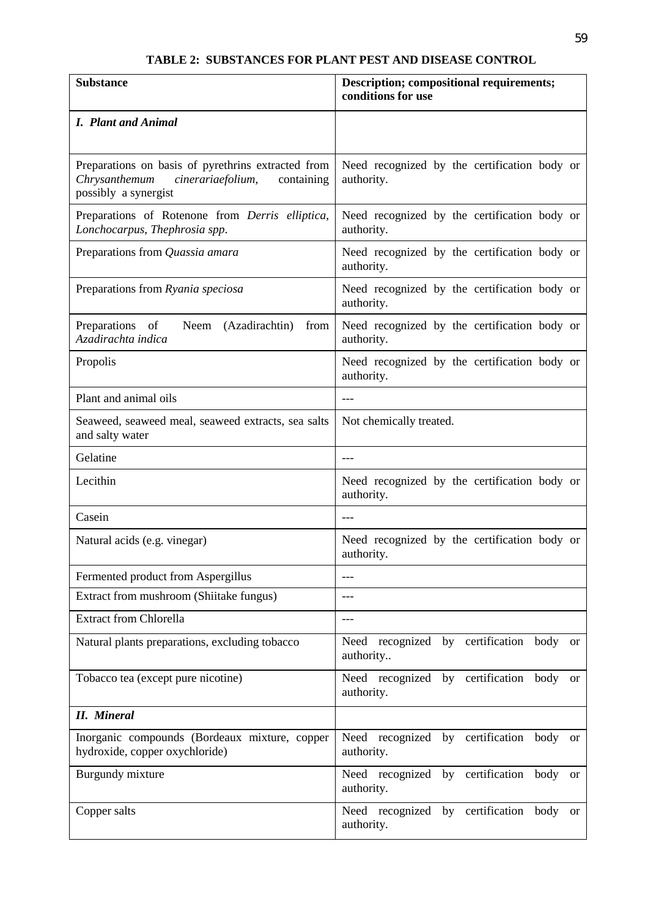## **TABLE 2: SUBSTANCES FOR PLANT PEST AND DISEASE CONTROL**

| <b>Substance</b>                                                                                                               | <b>Description; compositional requirements;</b><br>conditions for use |
|--------------------------------------------------------------------------------------------------------------------------------|-----------------------------------------------------------------------|
| <b>I.</b> Plant and Animal                                                                                                     |                                                                       |
| Preparations on basis of pyrethrins extracted from<br>Chrysanthemum<br>cinerariaefolium,<br>containing<br>possibly a synergist | Need recognized by the certification body or<br>authority.            |
| Preparations of Rotenone from Derris elliptica,<br>Lonchocarpus, Thephrosia spp.                                               | Need recognized by the certification body or<br>authority.            |
| Preparations from Quassia amara                                                                                                | Need recognized by the certification body or<br>authority.            |
| Preparations from Ryania speciosa                                                                                              | Need recognized by the certification body or<br>authority.            |
| (Azadirachtin)<br>Preparations of<br>from<br>Neem<br>Azadirachta indica                                                        | Need recognized by the certification body or<br>authority.            |
| Propolis                                                                                                                       | Need recognized by the certification body or<br>authority.            |
| Plant and animal oils                                                                                                          | $---$                                                                 |
| Seaweed, seaweed meal, seaweed extracts, sea salts<br>and salty water                                                          | Not chemically treated.                                               |
| Gelatine                                                                                                                       | ---                                                                   |
| Lecithin                                                                                                                       | Need recognized by the certification body or<br>authority.            |
| Casein                                                                                                                         | $---$                                                                 |
| Natural acids (e.g. vinegar)                                                                                                   | Need recognized by the certification body or<br>authority.            |
| Fermented product from Aspergillus                                                                                             | ---                                                                   |
| Extract from mushroom (Shiitake fungus)                                                                                        | ---                                                                   |
| <b>Extract from Chlorella</b>                                                                                                  | ---                                                                   |
| Natural plants preparations, excluding tobacco                                                                                 | Need recognized by certification body<br><sub>or</sub><br>authority   |
| Tobacco tea (except pure nicotine)                                                                                             | Need recognized by certification body<br><sub>or</sub><br>authority.  |
| <b>II.</b> Mineral                                                                                                             |                                                                       |
| Inorganic compounds (Bordeaux mixture, copper<br>hydroxide, copper oxychloride)                                                | Need recognized by certification body<br>or<br>authority.             |
| Burgundy mixture                                                                                                               | Need recognized by certification body<br>or<br>authority.             |
| Copper salts                                                                                                                   | Need recognized by certification<br>body<br>or<br>authority.          |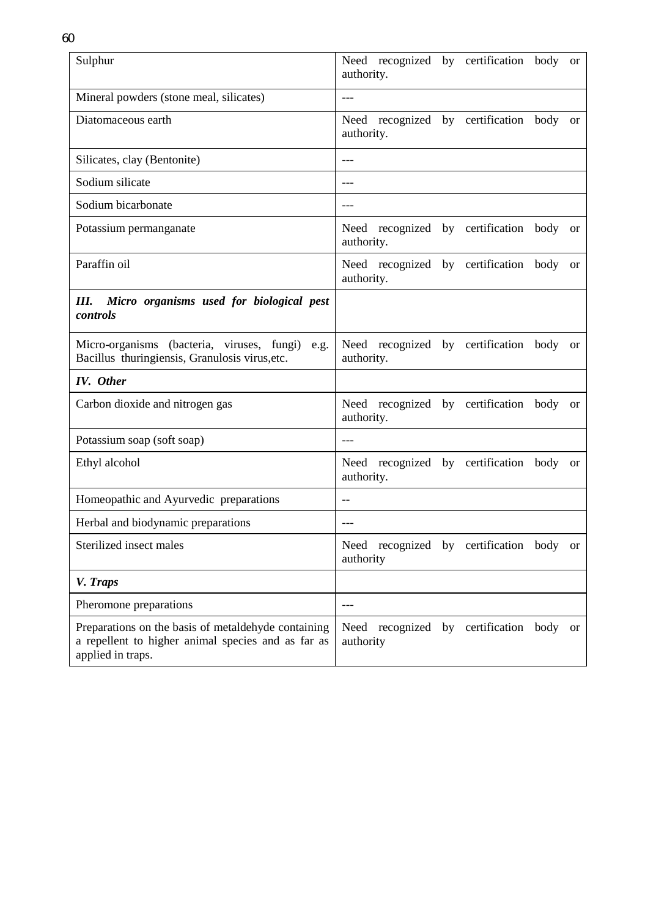| Sulphur                                                                                                                        | Need recognized by certification<br>body<br><sub>or</sub><br>authority. |
|--------------------------------------------------------------------------------------------------------------------------------|-------------------------------------------------------------------------|
| Mineral powders (stone meal, silicates)                                                                                        | $---$                                                                   |
| Diatomaceous earth                                                                                                             | Need recognized by certification body<br><sub>or</sub><br>authority.    |
| Silicates, clay (Bentonite)                                                                                                    | ---                                                                     |
| Sodium silicate                                                                                                                | $---$                                                                   |
| Sodium bicarbonate                                                                                                             | ---                                                                     |
| Potassium permanganate                                                                                                         | Need recognized by certification<br>body<br><b>or</b><br>authority.     |
| Paraffin oil                                                                                                                   | Need recognized by certification body<br>or<br>authority.               |
| Micro organisms used for biological pest<br>III.<br>controls                                                                   |                                                                         |
| Micro-organisms (bacteria, viruses, fungi)<br>e.g.<br>Bacillus thuringiensis, Granulosis virus, etc.                           | Need recognized by certification<br>body or<br>authority.               |
| <b>IV.</b> Other                                                                                                               |                                                                         |
| Carbon dioxide and nitrogen gas                                                                                                | Need recognized by certification body or<br>authority.                  |
| Potassium soap (soft soap)                                                                                                     | ---                                                                     |
| Ethyl alcohol                                                                                                                  | Need recognized by certification<br>body<br>or<br>authority.            |
| Homeopathic and Ayurvedic preparations                                                                                         | $-$                                                                     |
| Herbal and biodynamic preparations                                                                                             | $---$                                                                   |
| Sterilized insect males                                                                                                        | Need recognized by certification body or<br>authority                   |
| V. Traps                                                                                                                       |                                                                         |
| Pheromone preparations                                                                                                         | ---                                                                     |
| Preparations on the basis of metaldehyde containing<br>a repellent to higher animal species and as far as<br>applied in traps. | Need recognized by certification<br>body<br><sub>or</sub><br>authority  |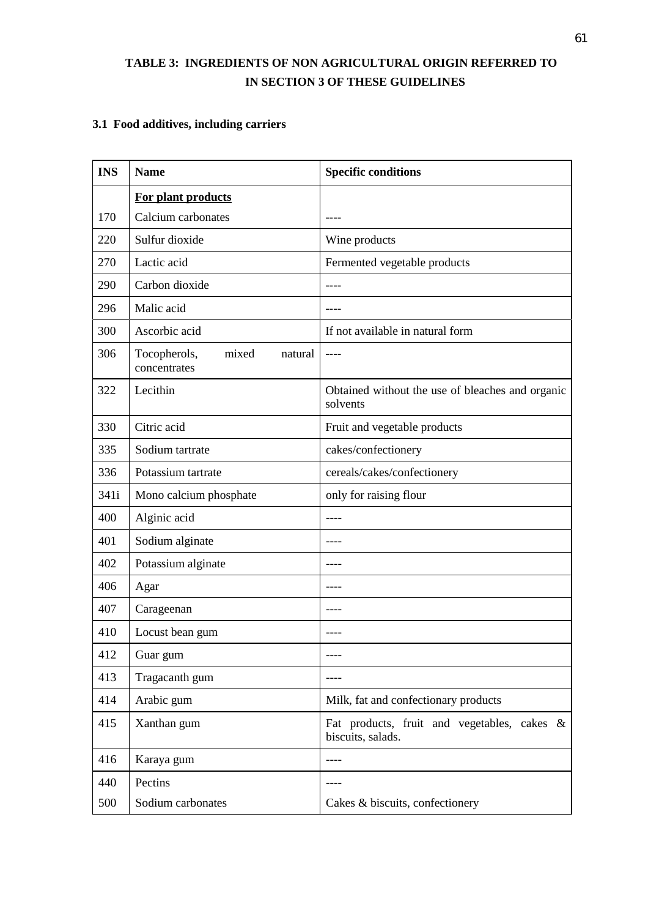## **TABLE 3: INGREDIENTS OF NON AGRICULTURAL ORIGIN REFERRED TO IN SECTION 3 OF THESE GUIDELINES**

## **3.1 Food additives, including carriers**

| <b>INS</b> | <b>Name</b>                                      | <b>Specific conditions</b>                                       |
|------------|--------------------------------------------------|------------------------------------------------------------------|
|            | For plant products                               |                                                                  |
| 170        | Calcium carbonates                               |                                                                  |
| 220        | Sulfur dioxide                                   | Wine products                                                    |
| 270        | Lactic acid                                      | Fermented vegetable products                                     |
| 290        | Carbon dioxide                                   |                                                                  |
| 296        | Malic acid                                       |                                                                  |
| 300        | Ascorbic acid                                    | If not available in natural form                                 |
| 306        | Tocopherols,<br>mixed<br>natural<br>concentrates |                                                                  |
| 322        | Lecithin                                         | Obtained without the use of bleaches and organic<br>solvents     |
| 330        | Citric acid                                      | Fruit and vegetable products                                     |
| 335        | Sodium tartrate                                  | cakes/confectionery                                              |
| 336        | Potassium tartrate                               | cereals/cakes/confectionery                                      |
| 341i       | Mono calcium phosphate                           | only for raising flour                                           |
| 400        | Alginic acid                                     |                                                                  |
| 401        | Sodium alginate                                  | ----                                                             |
| 402        | Potassium alginate                               | ----                                                             |
| 406        | Agar                                             | ----                                                             |
| 407        | Carageenan                                       |                                                                  |
| 410        | Locust bean gum                                  | ----                                                             |
| 412        | Guar gum                                         | ----                                                             |
| 413        | Tragacanth gum                                   |                                                                  |
| 414        | Arabic gum                                       | Milk, fat and confectionary products                             |
| 415        | Xanthan gum                                      | Fat products, fruit and vegetables, cakes &<br>biscuits, salads. |
| 416        | Karaya gum                                       |                                                                  |
| 440        | Pectins                                          | ----                                                             |
| 500        | Sodium carbonates                                | Cakes & biscuits, confectionery                                  |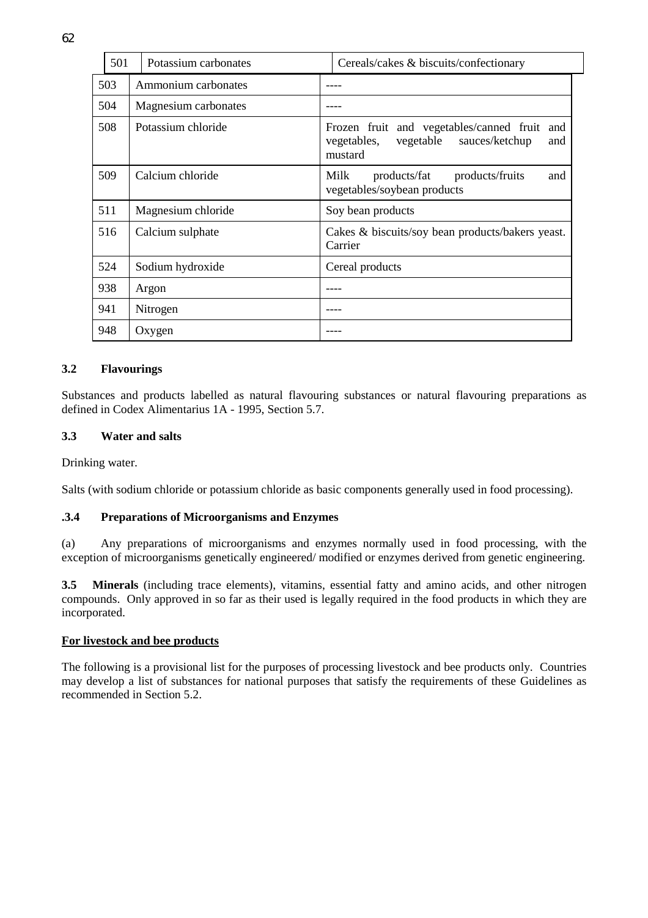| 501 | Potassium carbonates | Cereals/cakes & biscuits/confectionary                                                                          |
|-----|----------------------|-----------------------------------------------------------------------------------------------------------------|
| 503 | Ammonium carbonates  |                                                                                                                 |
| 504 | Magnesium carbonates |                                                                                                                 |
| 508 | Potassium chloride   | Frozen fruit and vegetables/canned fruit<br>and<br>vegetable<br>vegetables,<br>sauces/ketchup<br>and<br>mustard |
| 509 | Calcium chloride     | Milk<br>products/fruits<br>products/fat<br>and<br>vegetables/soybean products                                   |
| 511 | Magnesium chloride   | Soy bean products                                                                                               |
| 516 | Calcium sulphate     | Cakes & biscuits/soy bean products/bakers yeast.<br>Carrier                                                     |
| 524 | Sodium hydroxide     | Cereal products                                                                                                 |
| 938 | Argon                |                                                                                                                 |
| 941 | Nitrogen             |                                                                                                                 |
| 948 | Oxygen               |                                                                                                                 |

## **3.2 Flavourings**

Substances and products labelled as natural flavouring substances or natural flavouring preparations as defined in Codex Alimentarius 1A - 1995, Section 5.7.

## **3.3 Water and salts**

Drinking water.

Salts (with sodium chloride or potassium chloride as basic components generally used in food processing).

## **.3.4 Preparations of Microorganisms and Enzymes**

(a) Any preparations of microorganisms and enzymes normally used in food processing, with the exception of microorganisms genetically engineered/ modified or enzymes derived from genetic engineering.

**3.5 Minerals** (including trace elements), vitamins, essential fatty and amino acids, and other nitrogen compounds. Only approved in so far as their used is legally required in the food products in which they are incorporated.

## **For livestock and bee products**

The following is a provisional list for the purposes of processing livestock and bee products only. Countries may develop a list of substances for national purposes that satisfy the requirements of these Guidelines as recommended in Section 5.2.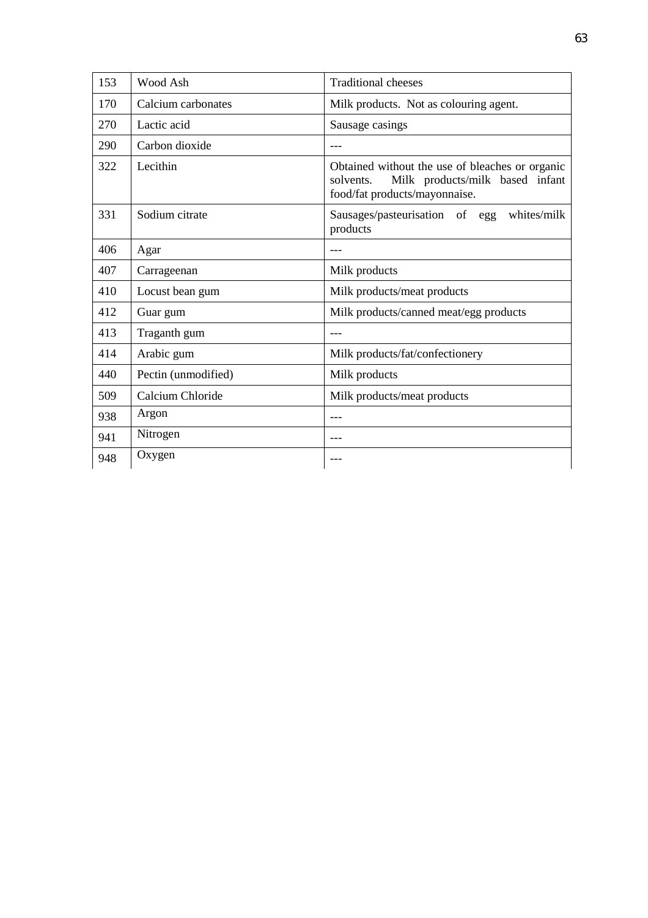| 153 | Wood Ash            | <b>Traditional cheeses</b>                                                                                                       |
|-----|---------------------|----------------------------------------------------------------------------------------------------------------------------------|
| 170 | Calcium carbonates  | Milk products. Not as colouring agent.                                                                                           |
| 270 | Lactic acid         | Sausage casings                                                                                                                  |
| 290 | Carbon dioxide      |                                                                                                                                  |
| 322 | Lecithin            | Obtained without the use of bleaches or organic<br>Milk products/milk based infant<br>solvents.<br>food/fat products/mayonnaise. |
| 331 | Sodium citrate      | Sausages/pasteurisation of egg<br>whites/milk<br>products                                                                        |
| 406 | Agar                |                                                                                                                                  |
| 407 | Carrageenan         | Milk products                                                                                                                    |
| 410 | Locust bean gum     | Milk products/meat products                                                                                                      |
| 412 | Guar gum            | Milk products/canned meat/egg products                                                                                           |
| 413 | Traganth gum        | ---                                                                                                                              |
| 414 | Arabic gum          | Milk products/fat/confectionery                                                                                                  |
| 440 | Pectin (unmodified) | Milk products                                                                                                                    |
| 509 | Calcium Chloride    | Milk products/meat products                                                                                                      |
| 938 | Argon               |                                                                                                                                  |
| 941 | Nitrogen            |                                                                                                                                  |
| 948 | Oxygen              |                                                                                                                                  |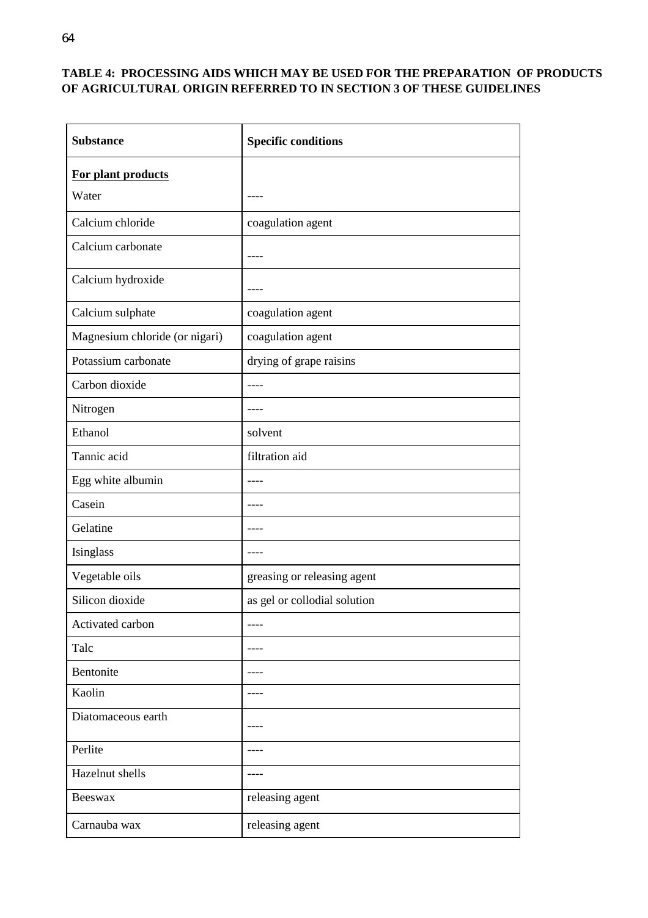## **TABLE 4: PROCESSING AIDS WHICH MAY BE USED FOR THE PREPARATION OF PRODUCTS OF AGRICULTURAL ORIGIN REFERRED TO IN SECTION 3 OF THESE GUIDELINES**

| <b>Substance</b>               | <b>Specific conditions</b>   |
|--------------------------------|------------------------------|
| For plant products             |                              |
| Water                          |                              |
| Calcium chloride               | coagulation agent            |
| Calcium carbonate              |                              |
| Calcium hydroxide              |                              |
| Calcium sulphate               | coagulation agent            |
| Magnesium chloride (or nigari) | coagulation agent            |
| Potassium carbonate            | drying of grape raisins      |
| Carbon dioxide                 | $---$                        |
| Nitrogen                       |                              |
| Ethanol                        | solvent                      |
| Tannic acid                    | filtration aid               |
| Egg white albumin              |                              |
| Casein                         |                              |
| Gelatine                       | ----                         |
| Isinglass                      |                              |
| Vegetable oils                 | greasing or releasing agent  |
| Silicon dioxide                | as gel or collodial solution |
| Activated carbon               |                              |
| Talc                           |                              |
| Bentonite                      | ----                         |
| Kaolin                         | $- - - -$                    |
| Diatomaceous earth             |                              |
| Perlite                        |                              |
| Hazelnut shells                | ----                         |
| Beeswax                        | releasing agent              |
| Carnauba wax                   | releasing agent              |